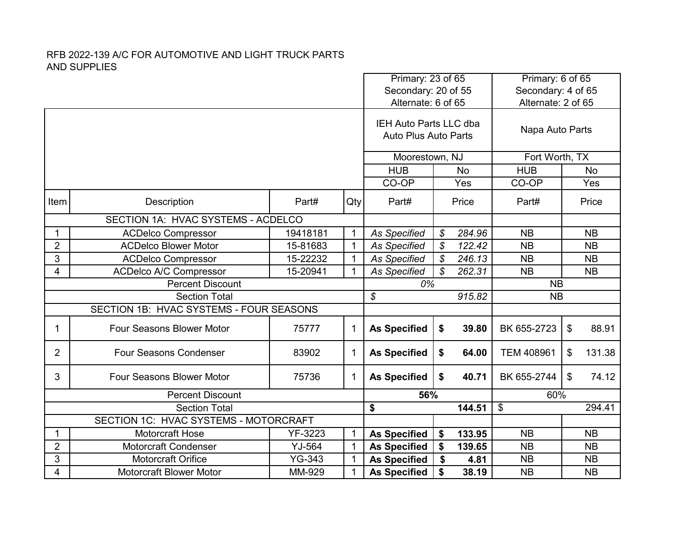|                                                |                                                             |               |                                                       | Primary: 23 of 65<br>Secondary: 20 of 55 |    | Primary: 6 of 65<br>Secondary: 4 of 65 |                           |    |           |
|------------------------------------------------|-------------------------------------------------------------|---------------|-------------------------------------------------------|------------------------------------------|----|----------------------------------------|---------------------------|----|-----------|
|                                                |                                                             |               |                                                       | Alternate: 6 of 65                       |    |                                        | Alternate: 2 of 65        |    |           |
|                                                |                                                             |               | IEH Auto Parts LLC dba<br><b>Auto Plus Auto Parts</b> |                                          |    | Napa Auto Parts                        |                           |    |           |
|                                                |                                                             |               |                                                       | Moorestown, NJ                           |    |                                        | Fort Worth, TX            |    |           |
|                                                |                                                             |               |                                                       | <b>HUB</b>                               |    | <b>No</b>                              | <b>HUB</b>                |    | <b>No</b> |
|                                                |                                                             |               |                                                       | CO-OP                                    |    | Yes                                    | CO-OP                     |    | Yes       |
| Item                                           | Description                                                 | Part#         | Qty                                                   | Part#                                    |    | Price                                  | Part#                     |    | Price     |
|                                                | SECTION 1A: HVAC SYSTEMS - ACDELCO                          |               |                                                       |                                          |    |                                        |                           |    |           |
| 1                                              | <b>ACDelco Compressor</b>                                   | 19418181      | $\mathbf{1}$                                          | <b>As Specified</b>                      | \$ | 284.96                                 | <b>NB</b>                 |    | <b>NB</b> |
| $\overline{2}$                                 | <b>ACDelco Blower Motor</b>                                 | 15-81683      | $\mathbf{1}$                                          | As Specified                             | \$ | 122.42                                 | <b>NB</b>                 |    | <b>NB</b> |
| 3                                              | <b>ACDelco Compressor</b>                                   | 15-22232      | $\mathbf{1}$                                          | <b>As Specified</b>                      | \$ | 246.13                                 | <b>NB</b>                 |    | <b>NB</b> |
| 4<br><b>ACDelco A/C Compressor</b><br>15-20941 |                                                             |               | $\mathbf{1}$                                          | <b>As Specified</b>                      | \$ | 262.31                                 | <b>NB</b>                 |    | <b>NB</b> |
| <b>Percent Discount</b>                        |                                                             |               |                                                       |                                          |    |                                        |                           |    |           |
|                                                |                                                             |               |                                                       | 0%                                       |    |                                        | <b>NB</b>                 |    |           |
|                                                | <b>Section Total</b>                                        |               |                                                       | \$                                       |    | 915.82                                 | <b>NB</b>                 |    |           |
|                                                | SECTION 1B: HVAC SYSTEMS - FOUR SEASONS                     |               |                                                       |                                          |    |                                        |                           |    |           |
| 1                                              | <b>Four Seasons Blower Motor</b>                            | 75777         | $\mathbf{1}$                                          | <b>As Specified</b>                      | \$ | 39.80                                  | BK 655-2723               | \$ | 88.91     |
| $\overline{2}$                                 | <b>Four Seasons Condenser</b>                               | 83902         | $\mathbf{1}$                                          | <b>As Specified</b>                      | \$ | 64.00                                  | <b>TEM 408961</b>         | \$ | 131.38    |
| 3                                              | Four Seasons Blower Motor                                   | 75736         | $\mathbf 1$                                           | <b>As Specified</b>                      | \$ | 40.71                                  | BK 655-2744               | \$ | 74.12     |
|                                                | <b>Percent Discount</b>                                     |               |                                                       | 56%                                      |    |                                        | 60%                       |    |           |
|                                                | <b>Section Total</b>                                        |               |                                                       | \$                                       |    | 144.51                                 | $\boldsymbol{\mathsf{S}}$ |    | 294.41    |
|                                                | SECTION 1C: HVAC SYSTEMS - MOTORCRAFT                       |               |                                                       |                                          |    |                                        |                           |    |           |
| 1                                              | <b>Motorcraft Hose</b>                                      | YF-3223       | $\mathbf{1}$                                          | <b>As Specified</b>                      | \$ | 133.95                                 | <b>NB</b>                 |    | <b>NB</b> |
| $\overline{2}$                                 | <b>Motorcraft Condenser</b>                                 | YJ-564        | $\mathbf{1}$                                          | <b>As Specified</b>                      | \$ | 139.65                                 | <b>NB</b>                 |    | <b>NB</b> |
| 3                                              | <b>Motorcraft Orifice</b><br><b>Motorcraft Blower Motor</b> | <b>YG-343</b> | $\mathbf{1}$                                          | <b>As Specified</b>                      | \$ | 4.81                                   | <b>NB</b>                 |    | <b>NB</b> |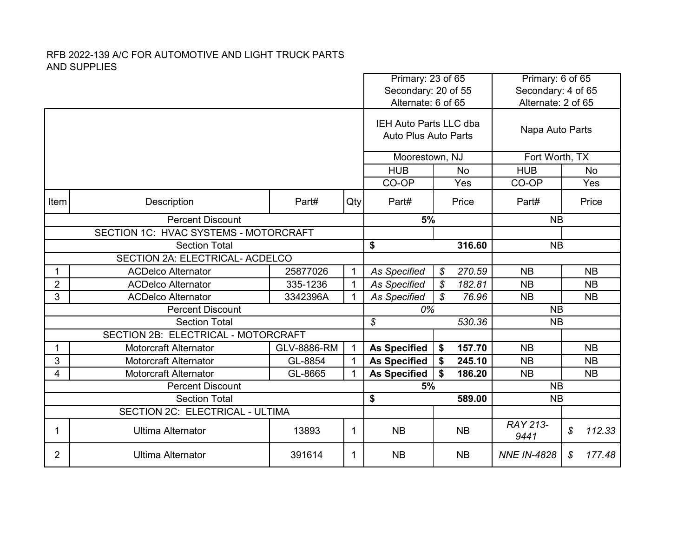|                |                                                   |             | Primary: 23 of 65<br>Secondary: 20 of 55 |                                                       | Primary: 6 of 65<br>Secondary: 4 of 65 |                    |              |
|----------------|---------------------------------------------------|-------------|------------------------------------------|-------------------------------------------------------|----------------------------------------|--------------------|--------------|
|                |                                                   |             |                                          | Alternate: 6 of 65                                    |                                        | Alternate: 2 of 65 |              |
|                |                                                   |             |                                          | IEH Auto Parts LLC dba<br><b>Auto Plus Auto Parts</b> |                                        | Napa Auto Parts    |              |
|                |                                                   |             |                                          | Moorestown, NJ                                        |                                        | Fort Worth, TX     |              |
|                |                                                   |             |                                          | <b>HUB</b>                                            | <b>No</b>                              | <b>HUB</b>         | <b>No</b>    |
|                |                                                   |             |                                          | CO-OP<br>Yes                                          |                                        | CO-OP              | Yes          |
| Item           | <b>Description</b>                                | Part#       | Qty                                      | Part#                                                 | Price                                  | Part#              | Price        |
|                | <b>Percent Discount</b>                           | 5%          |                                          | <b>NB</b>                                             |                                        |                    |              |
|                | SECTION 1C: HVAC SYSTEMS - MOTORCRAFT             |             |                                          |                                                       |                                        |                    |              |
|                | <b>Section Total</b>                              | \$          | 316.60                                   | <b>NB</b>                                             |                                        |                    |              |
|                | SECTION 2A: ELECTRICAL- ACDELCO                   |             |                                          |                                                       |                                        |                    |              |
| 1              | <b>ACDelco Alternator</b>                         | 25877026    | $\mathbf{1}$                             | <b>As Specified</b>                                   | 270.59<br>\$                           | <b>NB</b>          | <b>NB</b>    |
| $\overline{2}$ | <b>ACDelco Alternator</b>                         | 335-1236    | $\mathbf{1}$                             | <b>As Specified</b>                                   | $\mathcal{S}$<br>182.81                | <b>NB</b>          | <b>NB</b>    |
| 3              | <b>ACDelco Alternator</b>                         | 3342396A    | 1                                        | <b>As Specified</b>                                   | \$<br>76.96                            | <b>NB</b>          | <b>NB</b>    |
|                | <b>Percent Discount</b>                           |             |                                          | 0%                                                    |                                        | <b>NB</b>          |              |
|                | <b>Section Total</b>                              |             |                                          | \$                                                    | 530.36                                 | <b>NB</b>          |              |
|                | SECTION 2B: ELECTRICAL - MOTORCRAFT               |             |                                          |                                                       |                                        |                    |              |
| 1              | <b>Motorcraft Alternator</b>                      | GLV-8886-RM | $\mathbf 1$                              | <b>As Specified</b>                                   | 157.70<br>\$                           | <b>NB</b>          | <b>NB</b>    |
| 3              | <b>Motorcraft Alternator</b>                      | GL-8854     | $\mathbf{1}$                             | <b>As Specified</b>                                   | \$<br>245.10                           | <b>NB</b>          | <b>NB</b>    |
| 4              | <b>Motorcraft Alternator</b>                      | GL-8665     | 1                                        | <b>As Specified</b>                                   | \$<br>186.20                           | <b>NB</b>          | <b>NB</b>    |
|                | <b>Percent Discount</b>                           |             |                                          | 5%                                                    |                                        | <b>NB</b>          |              |
|                | <b>Section Total</b>                              |             |                                          | \$                                                    | 589.00                                 | <b>NB</b>          |              |
|                | SECTION 2C: ELECTRICAL - ULTIMA                   |             |                                          |                                                       |                                        |                    |              |
| 1              | <b>Ultima Alternator</b>                          | 13893       | 1                                        | <b>NB</b>                                             | <b>NB</b>                              | RAY 213-<br>9441   | \$<br>112.33 |
| $\overline{2}$ | <b>Ultima Alternator</b><br>391614<br>$\mathbf 1$ |             |                                          |                                                       | <b>NB</b>                              | <b>NNE IN-4828</b> | 177.48<br>\$ |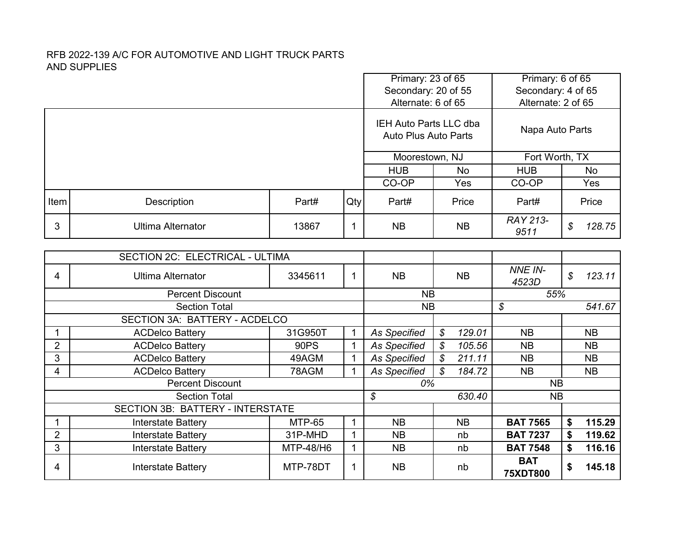|                |                                                                 |               | Primary: 23 of 65 |                                                       | Primary: 6 of 65<br>Secondary: 4 of 65 |                         |                            |           |
|----------------|-----------------------------------------------------------------|---------------|-------------------|-------------------------------------------------------|----------------------------------------|-------------------------|----------------------------|-----------|
|                |                                                                 |               |                   | Secondary: 20 of 55<br>Alternate: 6 of 65             |                                        | Alternate: 2 of 65      |                            |           |
|                |                                                                 |               |                   |                                                       |                                        |                         |                            |           |
|                |                                                                 |               |                   | IEH Auto Parts LLC dba<br><b>Auto Plus Auto Parts</b> | Napa Auto Parts                        |                         |                            |           |
|                |                                                                 |               |                   | Moorestown, NJ                                        |                                        | Fort Worth, TX          |                            |           |
|                |                                                                 |               |                   | <b>HUB</b><br><b>No</b>                               |                                        | <b>HUB</b>              |                            | <b>No</b> |
|                |                                                                 |               |                   | CO-OP                                                 | CO-OP                                  |                         | Yes                        |           |
| Item           | Qty<br>Description<br>Part#                                     |               |                   |                                                       | Price                                  | Part#                   |                            | Price     |
| 3              | <b>Ultima Alternator</b>                                        | 13867         | $\mathbf{1}$      | <b>NB</b>                                             | <b>NB</b>                              | <b>RAY 213-</b><br>9511 | $\boldsymbol{\mathcal{S}}$ | 128.75    |
|                |                                                                 |               |                   |                                                       |                                        |                         |                            |           |
|                | SECTION 2C: ELECTRICAL - ULTIMA                                 |               |                   |                                                       |                                        |                         |                            |           |
| 4              | <b>Ultima Alternator</b>                                        | 3345611       | $\mathbf 1$       | <b>NB</b>                                             | <b>NB</b>                              | NNE IN-<br>4523D        | $\boldsymbol{\mathcal{S}}$ | 123.11    |
|                | <b>Percent Discount</b>                                         |               |                   | <b>NB</b>                                             |                                        | 55%                     |                            |           |
|                | <b>Section Total</b>                                            |               |                   | <b>NB</b>                                             | \$                                     |                         | 541.67                     |           |
|                | SECTION 3A: BATTERY - ACDELCO                                   |               |                   |                                                       |                                        |                         |                            |           |
|                | <b>ACDelco Battery</b>                                          | 31G950T       | $\mathbf{1}$      | <b>As Specified</b>                                   | $\mathcal{S}$<br>129.01                | <b>NB</b>               |                            | <b>NB</b> |
| $\overline{2}$ | <b>ACDelco Battery</b>                                          | <b>90PS</b>   | $\mathbf{1}$      | <b>As Specified</b>                                   | S<br>105.56                            | <b>NB</b>               |                            | <b>NB</b> |
| 3              | <b>ACDelco Battery</b>                                          | 49AGM         | $\mathbf{1}$      | <b>As Specified</b>                                   | S<br>211.11                            | <b>NB</b>               |                            | <b>NB</b> |
| $\overline{4}$ | <b>ACDelco Battery</b>                                          | 78AGM         | $\mathbf{1}$      | As Specified                                          | $\mathcal{S}$<br>184.72                | <b>NB</b>               |                            | <b>NB</b> |
|                | <b>Percent Discount</b>                                         |               |                   | 0%                                                    |                                        | <b>NB</b>               |                            |           |
|                | <b>Section Total</b>                                            |               |                   | $\boldsymbol{\mathcal{S}}$                            | 630.40                                 | <b>NB</b>               |                            |           |
|                | <b>SECTION 3B: BATTERY - INTERSTATE</b>                         |               |                   |                                                       |                                        |                         |                            |           |
|                | <b>Interstate Battery</b>                                       | <b>MTP-65</b> | $\mathbf{1}$      | <b>NB</b>                                             | <b>NB</b>                              | <b>BAT 7565</b>         | \$                         | 115.29    |
|                | $\overline{2}$<br>31P-MHD<br>$\mathbf{1}$<br>Interstate Battery |               |                   |                                                       | nb                                     | <b>BAT 7237</b><br>\$   |                            | 119.62    |
| 3              | MTP-48/H6<br>$\mathbf{1}$<br><b>Interstate Battery</b>          |               |                   |                                                       | nb                                     | <b>BAT 7548</b>         | \$                         | 116.16    |
| 4              | <b>Interstate Battery</b>                                       | <b>NB</b>     | nb                | <b>BAT</b><br><b>75XDT800</b>                         | \$                                     | 145.18                  |                            |           |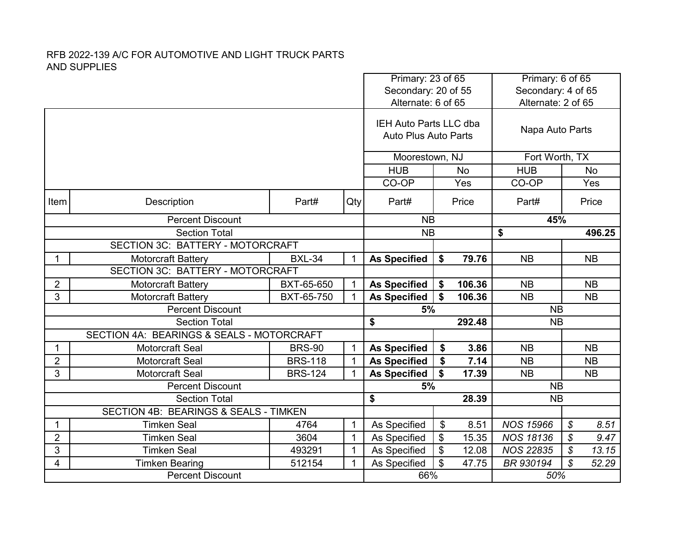|                                  |                                                                            |                | Primary: 23 of 65<br>Secondary: 20 of 55<br>Alternate: 6 of 65 |                                                              |           | Primary: 6 of 65<br>Secondary: 4 of 65<br>Alternate: 2 of 65 |                    |                       |  |
|----------------------------------|----------------------------------------------------------------------------|----------------|----------------------------------------------------------------|--------------------------------------------------------------|-----------|--------------------------------------------------------------|--------------------|-----------------------|--|
|                                  |                                                                            |                |                                                                |                                                              |           |                                                              |                    |                       |  |
|                                  |                                                                            |                |                                                                | <b>IEH Auto Parts LLC dba</b><br><b>Auto Plus Auto Parts</b> |           |                                                              | Napa Auto Parts    |                       |  |
|                                  |                                                                            |                |                                                                | Moorestown, NJ                                               |           |                                                              | Fort Worth, TX     |                       |  |
|                                  |                                                                            |                |                                                                | <b>HUB</b><br><b>No</b>                                      |           |                                                              | <b>HUB</b>         | <b>No</b>             |  |
|                                  |                                                                            |                |                                                                | CO-OP<br>Yes                                                 |           | CO-OP                                                        | Yes                |                       |  |
| Item                             | Description                                                                | Qty            | Part#                                                          |                                                              | Price     | Part#                                                        | Price              |                       |  |
|                                  | <b>Percent Discount</b>                                                    |                |                                                                |                                                              | <b>NB</b> |                                                              | 45%                |                       |  |
|                                  | <b>Section Total</b>                                                       |                |                                                                |                                                              | <b>NB</b> |                                                              | \$                 | 496.25                |  |
| SECTION 3C: BATTERY - MOTORCRAFT |                                                                            |                |                                                                |                                                              |           |                                                              |                    |                       |  |
| $\mathbf 1$                      | <b>Motorcraft Battery</b>                                                  | <b>BXL-34</b>  | $\mathbf{1}$                                                   | <b>As Specified</b>                                          | \$        | 79.76                                                        | <b>NB</b>          | <b>NB</b>             |  |
|                                  | <b>SECTION 3C: BATTERY - MOTORCRAFT</b>                                    |                |                                                                |                                                              |           |                                                              |                    |                       |  |
| 2                                | <b>Motorcraft Battery</b>                                                  | BXT-65-650     | $\mathbf{1}$                                                   | <b>As Specified</b>                                          | \$        | 106.36                                                       | <b>NB</b>          | <b>NB</b>             |  |
| 3                                | <b>Motorcraft Battery</b>                                                  | BXT-65-750     | $\mathbf{1}$                                                   | <b>As Specified</b>                                          | \$        | 106.36                                                       | <b>NB</b>          | <b>NB</b>             |  |
|                                  | <b>Percent Discount</b>                                                    |                |                                                                | 5%                                                           |           |                                                              | <b>NB</b>          |                       |  |
|                                  | <b>Section Total</b>                                                       |                |                                                                | \$                                                           |           | 292.48                                                       | <b>NB</b>          |                       |  |
|                                  | SECTION 4A: BEARINGS & SEALS - MOTORCRAFT                                  |                |                                                                |                                                              |           |                                                              |                    |                       |  |
| $\mathbf{1}$                     | <b>Motorcraft Seal</b>                                                     | <b>BRS-90</b>  | $\mathbf{1}$                                                   | <b>As Specified</b>                                          | \$        | 3.86                                                         | <b>NB</b>          | <b>NB</b>             |  |
| $\overline{\mathbf{c}}$          | Motorcraft Seal                                                            | <b>BRS-118</b> | $\mathbf 1$                                                    | <b>As Specified</b>                                          | \$        | 7.14                                                         | <b>NB</b>          | <b>NB</b>             |  |
| 3                                | Motorcraft Seal                                                            | <b>BRS-124</b> | $\mathbf{1}$                                                   | <b>As Specified</b>                                          | \$        | 17.39                                                        | <b>NB</b>          | <b>NB</b>             |  |
|                                  | <b>Percent Discount</b>                                                    |                |                                                                | 5%                                                           |           |                                                              | <b>NB</b>          |                       |  |
|                                  | <b>Section Total</b>                                                       |                |                                                                | \$                                                           |           | 28.39                                                        | <b>NB</b>          |                       |  |
|                                  | SECTION 4B: BEARINGS & SEALS - TIMKEN                                      |                |                                                                |                                                              |           |                                                              |                    |                       |  |
| $\mathbf{1}$                     | <b>Timken Seal</b>                                                         | 4764           | $\mathbf{1}$                                                   | As Specified<br>As Specified                                 | \$        | 8.51                                                         | <b>NOS 15966</b>   | \$<br>8.51            |  |
|                                  | $\overline{2}$<br><b>Timken Seal</b><br>3604<br>$\mathbf{1}$<br>493291     |                |                                                                |                                                              | \$        | 15.35                                                        | <b>NOS 18136</b>   | $\mathcal{L}$<br>9.47 |  |
| 3                                | <b>Timken Seal</b>                                                         | $\mathbf{1}$   | As Specified                                                   | \$                                                           | 12.08     | <b>NOS 22835</b>                                             | \$<br>13.15<br>\$  |                       |  |
| 4                                | $\mathbf{1}$<br><b>Timken Bearing</b><br>512154<br><b>Percent Discount</b> |                |                                                                | \$<br>As Specified<br>47.75<br>66%                           |           |                                                              | BR 930194<br>52.29 |                       |  |
|                                  |                                                                            |                |                                                                |                                                              | 50%       |                                                              |                    |                       |  |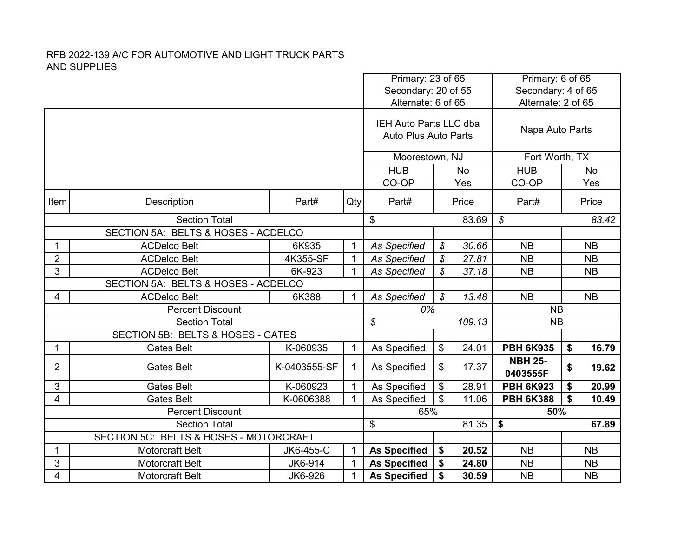|                |                                                                                                    |              |              | Primary: 23 of 65<br>Secondary: 20 of 55 |                            |           | Primary: 6 of 65<br>Secondary: 4 of 65 |    |           |
|----------------|----------------------------------------------------------------------------------------------------|--------------|--------------|------------------------------------------|----------------------------|-----------|----------------------------------------|----|-----------|
|                |                                                                                                    |              |              | Alternate: 6 of 65                       |                            |           | Alternate: 2 of 65                     |    |           |
|                |                                                                                                    |              |              |                                          |                            |           |                                        |    |           |
|                |                                                                                                    |              |              | IEH Auto Parts LLC dba                   |                            |           | Napa Auto Parts                        |    |           |
|                |                                                                                                    |              |              | <b>Auto Plus Auto Parts</b>              |                            |           |                                        |    |           |
|                |                                                                                                    |              |              | Moorestown, NJ                           |                            |           | Fort Worth, TX                         |    |           |
|                |                                                                                                    |              |              | <b>HUB</b>                               |                            | <b>No</b> | <b>HUB</b>                             |    | No        |
|                |                                                                                                    |              |              | CO-OP                                    |                            | Yes       | CO-OP                                  |    | Yes       |
| Item           | Description                                                                                        | Part#        | Qty          | Part#                                    |                            | Price     | Part#                                  |    | Price     |
|                | <b>Section Total</b>                                                                               |              |              |                                          |                            | 83.69     | \$                                     |    | 83.42     |
|                | SECTION 5A: BELTS & HOSES - ACDELCO                                                                |              |              |                                          |                            |           |                                        |    |           |
| 1              | <b>ACDelco Belt</b>                                                                                | 6K935        | $\mathbf 1$  | <b>As Specified</b>                      | \$                         | 30.66     | <b>NB</b>                              |    | <b>NB</b> |
| $\overline{2}$ | <b>ACDelco Belt</b>                                                                                | 4K355-SF     | $\mathbf{1}$ | <b>As Specified</b>                      | \$                         | 27.81     | <b>NB</b>                              |    | <b>NB</b> |
| 3              | <b>ACDelco Belt</b>                                                                                | 6K-923       | $\mathbf{1}$ | <b>As Specified</b>                      | \$                         | 37.18     | <b>NB</b>                              |    | <b>NB</b> |
|                | SECTION 5A: BELTS & HOSES - ACDELCO                                                                |              |              |                                          |                            |           |                                        |    |           |
| 4              | <b>ACDelco Belt</b>                                                                                | 6K388        | $\mathbf{1}$ | <b>As Specified</b>                      | $\boldsymbol{\mathcal{S}}$ | 13.48     | <b>NB</b>                              |    | <b>NB</b> |
|                | <b>Percent Discount</b>                                                                            |              |              | 0%                                       |                            |           | <b>NB</b>                              |    |           |
|                | <b>Section Total</b>                                                                               |              |              | $\mathcal{S}$                            |                            | 109.13    | <b>NB</b>                              |    |           |
|                | SECTION 5B: BELTS & HOSES - GATES                                                                  |              |              |                                          |                            |           |                                        |    |           |
| 1              | <b>Gates Belt</b>                                                                                  | K-060935     | $\mathbf{1}$ | As Specified                             | \$                         | 24.01     | <b>PBH 6K935</b>                       | \$ | 16.79     |
| 2              | <b>Gates Belt</b>                                                                                  | K-0403555-SF | 1            | As Specified                             | \$                         | 17.37     | <b>NBH 25-</b>                         | \$ | 19.62     |
|                |                                                                                                    |              |              |                                          |                            |           | 0403555F                               |    |           |
| 3              | <b>Gates Belt</b>                                                                                  | K-060923     | $\mathbf{1}$ | As Specified                             | \$                         | 28.91     | <b>PBH 6K923</b>                       | \$ | 20.99     |
| 4              | <b>Gates Belt</b>                                                                                  | K-0606388    | $\mathbf 1$  | As Specified                             | \$                         | 11.06     | <b>PBH 6K388</b>                       | \$ | 10.49     |
|                | <b>Percent Discount</b>                                                                            |              |              | 65%<br>\$                                |                            |           | 50%                                    |    |           |
|                | <b>Section Total</b>                                                                               |              |              |                                          |                            | 81.35     | \$                                     |    | 67.89     |
|                | SECTION 5C: BELTS & HOSES - MOTORCRAFT<br><b>Motorcraft Belt</b><br>JK6-455-C<br>$\mathbf{1}$<br>1 |              |              | <b>As Specified</b>                      | \$                         | 20.52     | <b>NB</b>                              |    | <b>NB</b> |
| 3              | Motorcraft Belt                                                                                    | JK6-914      | $\mathbf{1}$ | <b>As Specified</b>                      | \$                         | 24.80     | <b>NB</b>                              |    | <b>NB</b> |
| 4              | Motorcraft Belt                                                                                    | JK6-926      | 1            | <b>As Specified</b>                      | \$                         | 30.59     | <b>NB</b>                              |    | <b>NB</b> |
|                |                                                                                                    |              |              |                                          |                            |           |                                        |    |           |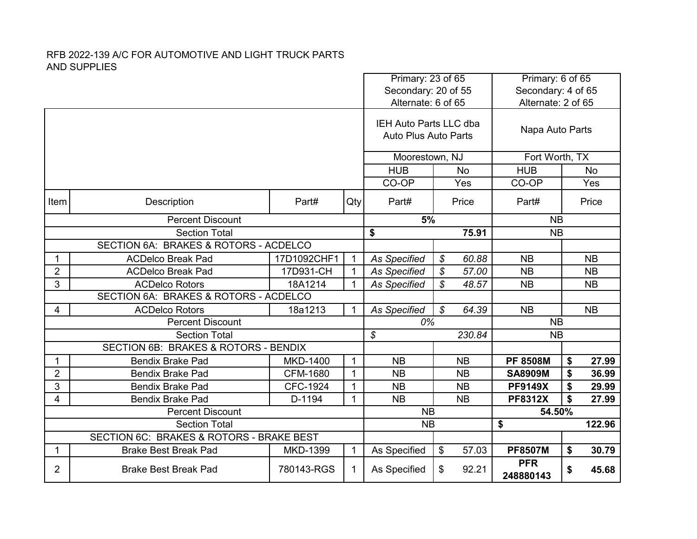| Primary: 23 of 65<br>Secondary: 20 of 55<br>Alternate: 6 of 65 |                                                                     |                 |              |                                                       |               | Primary: 6 of 65<br>Secondary: 4 of 65 |                         |    |           |
|----------------------------------------------------------------|---------------------------------------------------------------------|-----------------|--------------|-------------------------------------------------------|---------------|----------------------------------------|-------------------------|----|-----------|
|                                                                |                                                                     |                 |              |                                                       |               |                                        | Alternate: 2 of 65      |    |           |
|                                                                |                                                                     |                 |              | IEH Auto Parts LLC dba<br><b>Auto Plus Auto Parts</b> |               |                                        | Napa Auto Parts         |    |           |
|                                                                |                                                                     |                 |              | Moorestown, NJ                                        |               |                                        | Fort Worth, TX          |    |           |
|                                                                |                                                                     |                 |              | <b>HUB</b>                                            |               | <b>No</b>                              | <b>HUB</b>              |    | <b>No</b> |
|                                                                |                                                                     |                 |              | CO-OP                                                 |               | Yes                                    | CO-OP                   |    | Yes       |
| Item                                                           | Description                                                         | Part#           | Qty          | Part#                                                 |               | Price                                  | Part#                   |    | Price     |
|                                                                | <b>Percent Discount</b>                                             |                 |              | 5%                                                    |               |                                        | <b>NB</b>               |    |           |
|                                                                | \$<br><b>Section Total</b><br>SECTION 6A: BRAKES & ROTORS - ACDELCO |                 |              |                                                       |               | 75.91                                  | <b>NB</b>               |    |           |
|                                                                |                                                                     |                 |              |                                                       |               |                                        |                         |    |           |
| $\mathbf{1}$                                                   | <b>ACDelco Break Pad</b>                                            | 17D1092CHF1     | $\mathbf{1}$ | <b>As Specified</b>                                   | $\mathcal{S}$ | 60.88                                  | <b>NB</b>               |    | <b>NB</b> |
| $\overline{2}$                                                 | <b>ACDelco Break Pad</b>                                            | 17D931-CH       | $\mathbf{1}$ | <b>As Specified</b>                                   | $\mathcal{S}$ | 57.00                                  | <b>NB</b>               |    | <b>NB</b> |
| 3                                                              | <b>ACDelco Rotors</b>                                               | 18A1214         | 1            | <b>As Specified</b>                                   | \$            | 48.57                                  | <b>NB</b>               |    | <b>NB</b> |
|                                                                | SECTION 6A: BRAKES & ROTORS - ACDELCO                               |                 |              |                                                       |               |                                        |                         |    |           |
| 4                                                              | <b>ACDelco Rotors</b>                                               | 18a1213         | $\mathbf{1}$ | <b>As Specified</b>                                   | $\mathcal{S}$ | 64.39                                  | <b>NB</b>               |    | <b>NB</b> |
|                                                                | <b>Percent Discount</b>                                             |                 |              | 0%                                                    |               |                                        | <b>NB</b>               |    |           |
|                                                                | <b>Section Total</b>                                                |                 |              | $\boldsymbol{\mathcal{S}}$                            |               | 230.84                                 | <b>NB</b>               |    |           |
|                                                                | SECTION 6B: BRAKES & ROTORS - BENDIX                                |                 |              |                                                       |               |                                        |                         |    |           |
| 1                                                              | <b>Bendix Brake Pad</b>                                             | <b>MKD-1400</b> | $\mathbf{1}$ | <b>NB</b>                                             |               | <b>NB</b>                              | <b>PF 8508M</b>         | \$ | 27.99     |
| $\overline{2}$                                                 | <b>Bendix Brake Pad</b>                                             | CFM-1680        | $\mathbf{1}$ | <b>NB</b>                                             |               | <b>NB</b>                              | <b>SA8909M</b>          | \$ | 36.99     |
| 3                                                              | <b>Bendix Brake Pad</b>                                             | CFC-1924        | $\mathbf{1}$ | <b>NB</b>                                             |               | <b>NB</b>                              | <b>PF9149X</b>          | \$ | 29.99     |
| 4                                                              | <b>Bendix Brake Pad</b>                                             | D-1194          | $\mathbf{1}$ | <b>NB</b>                                             |               | <b>NB</b>                              | <b>PF8312X</b>          | \$ | 27.99     |
|                                                                | <b>Percent Discount</b>                                             |                 | <b>NB</b>    |                                                       |               | 54.50%                                 |                         |    |           |
|                                                                | <b>Section Total</b>                                                |                 |              |                                                       | <b>NB</b>     |                                        | \$                      |    | 122.96    |
|                                                                | SECTION 6C: BRAKES & ROTORS - BRAKE BEST                            |                 |              |                                                       |               |                                        |                         |    |           |
| 1                                                              | <b>Brake Best Break Pad</b>                                         | MKD-1399        | $\mathbf 1$  | As Specified                                          | \$            | 57.03                                  | <b>PF8507M</b>          | \$ | 30.79     |
| $\overline{2}$                                                 | <b>Brake Best Break Pad</b><br>780143-RGS<br>$\mathbf{1}$           |                 |              |                                                       | \$            | 92.21                                  | <b>PFR</b><br>248880143 | \$ | 45.68     |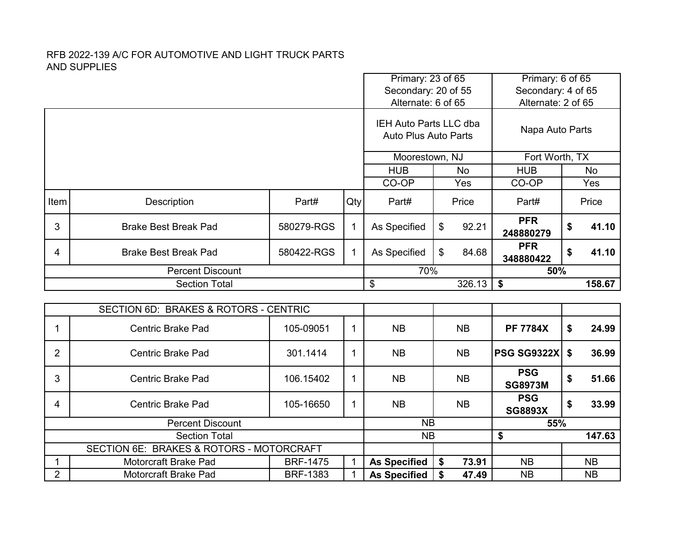|                |                                          |                 | Primary: 23 of 65<br>Secondary: 20 of 55 |                                                       | Primary: 6 of 65<br>Secondary: 4 of 65 |           |                              |           |           |
|----------------|------------------------------------------|-----------------|------------------------------------------|-------------------------------------------------------|----------------------------------------|-----------|------------------------------|-----------|-----------|
|                |                                          |                 |                                          | Alternate: 6 of 65                                    |                                        |           | Alternate: 2 of 65           |           |           |
|                |                                          |                 |                                          | IEH Auto Parts LLC dba<br><b>Auto Plus Auto Parts</b> |                                        |           | Napa Auto Parts              |           |           |
|                |                                          |                 |                                          | Moorestown, NJ                                        |                                        |           | Fort Worth, TX               |           |           |
|                |                                          |                 |                                          | <b>HUB</b><br><b>No</b>                               |                                        |           | <b>HUB</b>                   |           | <b>No</b> |
|                |                                          |                 |                                          | CO-OP                                                 | Yes                                    |           | CO-OP                        |           | Yes       |
| Item           | Description                              | Part#           | Qty                                      | Part#                                                 |                                        | Price     | Part#                        |           | Price     |
| 3              | <b>Brake Best Break Pad</b>              | 580279-RGS      | $\mathbf{1}$                             | As Specified                                          | \$                                     | 92.21     | <b>PFR</b><br>248880279      | \$        | 41.10     |
| 4              | <b>Brake Best Break Pad</b>              | 580422-RGS      | $\mathbf{1}$                             | As Specified                                          | \$                                     | 84.68     | <b>PFR</b><br>348880422      | \$        | 41.10     |
|                | <b>Percent Discount</b>                  |                 |                                          | 70%                                                   |                                        |           | 50%                          |           |           |
|                | <b>Section Total</b>                     |                 |                                          | \$                                                    |                                        | 326.13    | \$                           |           | 158.67    |
|                |                                          |                 |                                          |                                                       |                                        |           |                              |           |           |
|                | SECTION 6D: BRAKES & ROTORS - CENTRIC    |                 |                                          |                                                       |                                        |           |                              |           |           |
| 1              | <b>Centric Brake Pad</b>                 | 105-09051       | $\mathbf{1}$                             | <b>NB</b>                                             |                                        | <b>NB</b> | <b>PF 7784X</b>              | \$        | 24.99     |
| $\overline{2}$ | <b>Centric Brake Pad</b>                 | 301.1414        | $\mathbf 1$                              | <b>NB</b>                                             |                                        | <b>NB</b> | <b>PSG SG9322X</b>           | \$        | 36.99     |
| 3              | <b>Centric Brake Pad</b>                 | 106.15402       | 1                                        | <b>NB</b>                                             |                                        | <b>NB</b> | <b>PSG</b><br><b>SG8973M</b> | \$        | 51.66     |
| 4              | <b>Centric Brake Pad</b>                 | 105-16650       | $\mathbf 1$                              | <b>NB</b>                                             |                                        | <b>NB</b> | <b>PSG</b><br><b>SG8893X</b> | \$        | 33.99     |
|                | <b>Percent Discount</b>                  |                 |                                          | <b>NB</b>                                             |                                        |           | 55%                          |           |           |
|                | <b>Section Total</b>                     | <b>NB</b>       |                                          |                                                       | \$                                     |           | 147.63                       |           |           |
|                | SECTION 6E: BRAKES & ROTORS - MOTORCRAFT |                 |                                          |                                                       |                                        |           |                              |           |           |
| 1              | Motorcraft Brake Pad                     | $\mathbf{1}$    | <b>As Specified</b>                      | \$                                                    | 73.91                                  | <b>NB</b> |                              | <b>NB</b> |           |
| $\overline{2}$ |                                          | <b>BRF-1475</b> |                                          |                                                       |                                        | 47.49     |                              |           |           |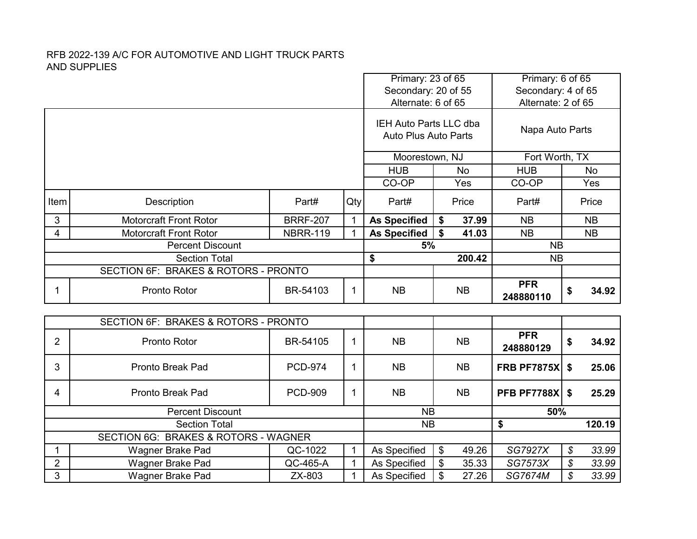|                |                                      |                 | Primary: 23 of 65 |                                                              | Primary: 6 of 65 |                         |           |           |
|----------------|--------------------------------------|-----------------|-------------------|--------------------------------------------------------------|------------------|-------------------------|-----------|-----------|
|                |                                      |                 |                   | Secondary: 20 of 55                                          |                  | Secondary: 4 of 65      |           |           |
|                |                                      |                 |                   | Alternate: 6 of 65                                           |                  | Alternate: 2 of 65      |           |           |
|                |                                      |                 |                   | <b>IEH Auto Parts LLC dba</b><br><b>Auto Plus Auto Parts</b> | Napa Auto Parts  |                         |           |           |
|                |                                      |                 |                   | Moorestown, NJ                                               | Fort Worth, TX   |                         |           |           |
|                |                                      |                 |                   | <b>HUB</b>                                                   | <b>HUB</b>       |                         | <b>No</b> |           |
|                |                                      |                 |                   | CO-OP                                                        | Yes              | CO-OP                   |           | Yes       |
| Item           | Description                          | Part#           | Qty               | Part#                                                        | Price            | Part#                   |           | Price     |
| 3              | <b>Motorcraft Front Rotor</b>        | <b>BRRF-207</b> | 1                 | <b>As Specified</b>                                          | 37.99<br>\$      | <b>NB</b>               |           | <b>NB</b> |
| $\overline{4}$ | <b>Motorcraft Front Rotor</b>        | <b>NBRR-119</b> | $\mathbf{1}$      | <b>As Specified</b>                                          | \$<br>41.03      | <b>NB</b>               |           | <b>NB</b> |
|                | <b>Percent Discount</b>              |                 |                   |                                                              | 5%               |                         |           |           |
|                | <b>Section Total</b><br>\$           |                 |                   |                                                              | 200.42           | <b>NB</b>               |           |           |
|                | SECTION 6F: BRAKES & ROTORS - PRONTO |                 |                   |                                                              |                  |                         |           |           |
| 1              | <b>Pronto Rotor</b>                  | BR-54103        | 1                 | <b>NB</b>                                                    | <b>NB</b>        | <b>PFR</b><br>248880110 | \$        | 34.92     |
|                |                                      |                 |                   |                                                              |                  |                         |           |           |
|                | SECTION 6F: BRAKES & ROTORS - PRONTO |                 |                   |                                                              |                  |                         |           |           |
| $\overline{2}$ | Pronto Rotor                         | BR-54105        | 1                 | <b>NB</b>                                                    | <b>NB</b>        | <b>PFR</b><br>248880129 | \$        | 34.92     |
| 3              | <b>Pronto Break Pad</b>              | <b>PCD-974</b>  | 1                 | <b>NB</b>                                                    | <b>NB</b>        | <b>FRB PF7875X</b>      | \$        | 25.06     |
| 4              | <b>Pronto Break Pad</b>              | <b>PCD-909</b>  | $\mathbf 1$       | <b>NB</b>                                                    | <b>NB</b>        | <b>PFB PF7788X</b>      | \$        | 25.29     |
|                | <b>Percent Discount</b>              |                 |                   | <b>NB</b>                                                    |                  | 50%                     |           |           |
|                | <b>Section Total</b>                 |                 |                   | <b>NB</b>                                                    |                  | \$                      |           | 120.19    |
|                | SECTION 6G: BRAKES & ROTORS - WAGNER |                 |                   |                                                              |                  |                         |           |           |
| 1              | Wagner Brake Pad                     | QC-1022         | $\mathbf{1}$      | As Specified                                                 | \$<br>49.26      | <b>SG7927X</b>          | \$        | 33.99     |
| $\overline{2}$ | Wagner Brake Pad                     | QC-465-A        | 1                 | As Specified                                                 | \$<br>35.33      | <b>SG7573X</b>          | \$        | 33.99     |
| 3              | Wagner Brake Pad                     | ZX-803          | $\mathbf{1}$      | As Specified                                                 | \$<br>27.26      | <b>SG7674M</b>          | \$        | 33.99     |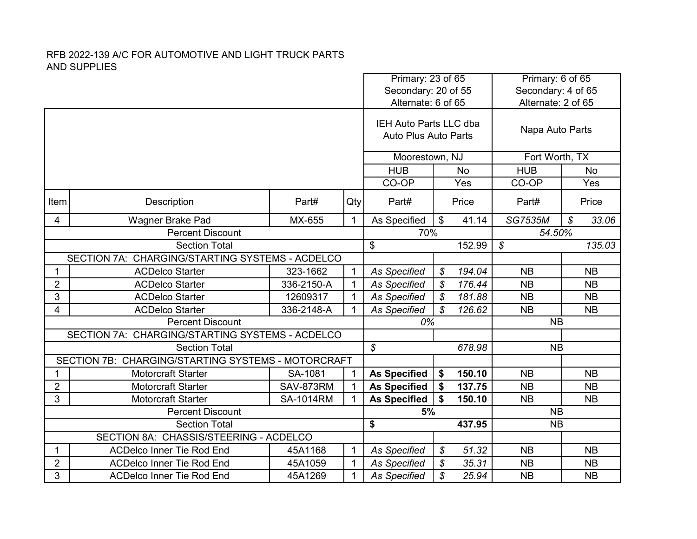|                                                 |                                                                                                            |                     |              | Primary: 23 of 65<br>Secondary: 20 of 55              |                            |            | Primary: 6 of 65<br>Secondary: 4 of 65 |                                     |  |
|-------------------------------------------------|------------------------------------------------------------------------------------------------------------|---------------------|--------------|-------------------------------------------------------|----------------------------|------------|----------------------------------------|-------------------------------------|--|
|                                                 |                                                                                                            |                     |              | Alternate: 6 of 65                                    |                            |            | Alternate: 2 of 65                     |                                     |  |
|                                                 |                                                                                                            |                     |              | IEH Auto Parts LLC dba<br><b>Auto Plus Auto Parts</b> |                            |            | Napa Auto Parts                        |                                     |  |
|                                                 |                                                                                                            |                     |              | Moorestown, NJ                                        |                            |            | Fort Worth, TX                         |                                     |  |
|                                                 |                                                                                                            |                     |              | <b>HUB</b><br><b>No</b>                               |                            | <b>HUB</b> | No                                     |                                     |  |
|                                                 |                                                                                                            |                     |              | CO-OP                                                 |                            | Yes        | CO-OP                                  | Yes                                 |  |
| Item                                            | Description                                                                                                | Part#               | Qty          | Part#                                                 |                            | Price      | Part#                                  | Price                               |  |
| 4                                               | <b>Wagner Brake Pad</b>                                                                                    | MX-655              | $\mathbf{1}$ | As Specified                                          | \$                         | 41.14      | <b>SG7535M</b>                         | $\boldsymbol{\mathcal{S}}$<br>33.06 |  |
|                                                 | <b>Percent Discount</b>                                                                                    | 70%                 |              |                                                       | 54.50%                     |            |                                        |                                     |  |
|                                                 | <b>Section Total</b><br>\$                                                                                 |                     |              |                                                       |                            | 152.99     | $\mathcal{S}$                          | 135.03                              |  |
| SECTION 7A: CHARGING/STARTING SYSTEMS - ACDELCO |                                                                                                            |                     |              |                                                       |                            |            |                                        |                                     |  |
| 1                                               | <b>ACDelco Starter</b>                                                                                     | 323-1662            | $\mathbf{1}$ | <b>As Specified</b>                                   | $\mathcal{S}$              | 194.04     | <b>NB</b>                              | <b>NB</b>                           |  |
| $\overline{2}$                                  | <b>ACDelco Starter</b>                                                                                     | 336-2150-A          | $\mathbf{1}$ | <b>As Specified</b>                                   | \$                         | 176.44     | <b>NB</b>                              | <b>NB</b>                           |  |
| 3                                               | <b>ACDelco Starter</b>                                                                                     | 12609317            | $\mathbf{1}$ | As Specified                                          | \$                         | 181.88     | <b>NB</b>                              | <b>NB</b>                           |  |
| 4                                               | <b>ACDelco Starter</b>                                                                                     | 336-2148-A          | $\mathbf{1}$ | <b>As Specified</b>                                   | $\mathcal{S}$              | 126.62     | <b>NB</b>                              | <b>NB</b>                           |  |
|                                                 | <b>Percent Discount</b>                                                                                    |                     |              | 0%                                                    |                            |            | <b>NB</b>                              |                                     |  |
|                                                 | SECTION 7A: CHARGING/STARTING SYSTEMS - ACDELCO                                                            |                     |              |                                                       |                            |            |                                        |                                     |  |
|                                                 | <b>Section Total</b>                                                                                       |                     |              | $\boldsymbol{\mathcal{S}}$                            |                            | 678.98     | <b>NB</b>                              |                                     |  |
|                                                 | SECTION 7B: CHARGING/STARTING SYSTEMS - MOTORCRAFT                                                         |                     |              |                                                       |                            |            |                                        |                                     |  |
| 1                                               | <b>Motorcraft Starter</b>                                                                                  | SA-1081             | $\mathbf{1}$ | <b>As Specified</b>                                   | \$                         | 150.10     | <b>NB</b>                              | <b>NB</b>                           |  |
| $\overline{2}$                                  | <b>Motorcraft Starter</b>                                                                                  | SAV-873RM           | $\mathbf{1}$ | <b>As Specified</b>                                   | \$                         | 137.75     | <b>NB</b>                              | <b>NB</b>                           |  |
| 3                                               | <b>Motorcraft Starter</b>                                                                                  | <b>SA-1014RM</b>    | $\mathbf 1$  | <b>As Specified</b>                                   |                            | 150.10     | <b>NB</b>                              | <b>NB</b>                           |  |
|                                                 | <b>Percent Discount</b>                                                                                    |                     |              | 5%                                                    |                            |            | <b>NB</b>                              |                                     |  |
|                                                 | <b>Section Total</b>                                                                                       | \$                  |              | 437.95                                                | <b>NB</b>                  |            |                                        |                                     |  |
|                                                 | SECTION 8A: CHASSIS/STEERING - ACDELCO<br><b>ACDelco Inner Tie Rod End</b><br>45A1168<br>$\mathbf{1}$<br>1 |                     |              | <b>As Specified</b>                                   | $\boldsymbol{\mathcal{S}}$ | 51.32      | <b>NB</b>                              | <b>NB</b>                           |  |
| $\overline{2}$                                  | <b>ACDelco Inner Tie Rod End</b>                                                                           | 45A1059             | $\mathbf{1}$ | <b>As Specified</b>                                   | $\mathcal{S}$              | 35.31      | <b>NB</b>                              | <b>NB</b>                           |  |
| 3                                               | <b>ACDelco Inner Tie Rod End</b>                                                                           | <b>As Specified</b> | \$           | 25.94                                                 | <b>NB</b>                  | <b>NB</b>  |                                        |                                     |  |
|                                                 |                                                                                                            | 45A1269             | $\mathbf{1}$ |                                                       |                            |            |                                        |                                     |  |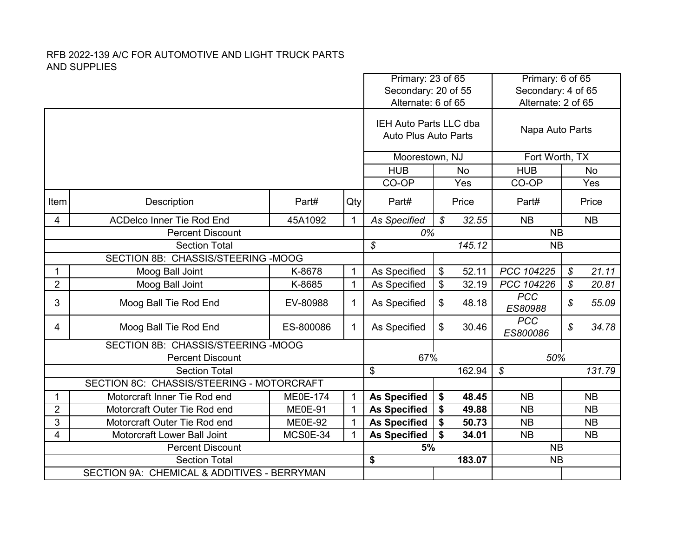|                                    |                                             |                            |                     |                                                       | Primary: 23 of 65 | Secondary: 20 of 55 | Primary: 6 of 65<br>Secondary: 4 of 65 |                                     |  |
|------------------------------------|---------------------------------------------|----------------------------|---------------------|-------------------------------------------------------|-------------------|---------------------|----------------------------------------|-------------------------------------|--|
|                                    |                                             |                            |                     | Alternate: 6 of 65                                    |                   |                     | Alternate: 2 of 65                     |                                     |  |
|                                    |                                             |                            |                     | IEH Auto Parts LLC dba<br><b>Auto Plus Auto Parts</b> |                   |                     | Napa Auto Parts                        |                                     |  |
|                                    |                                             |                            |                     | Moorestown, NJ                                        |                   |                     | Fort Worth, TX                         |                                     |  |
|                                    |                                             |                            |                     | <b>HUB</b>                                            |                   | <b>No</b>           | <b>HUB</b>                             | No                                  |  |
|                                    |                                             |                            |                     |                                                       |                   | Yes                 | CO-OP                                  | Yes                                 |  |
| Item                               | Description                                 | Part#                      | Qty                 | Part#                                                 |                   | Price               | Part#                                  | Price                               |  |
| 4                                  | <b>ACDelco Inner Tie Rod End</b>            | 45A1092                    | $\mathbf{1}$        | <b>As Specified</b>                                   | $\mathcal{S}$     | 32.55               | <b>NB</b>                              | <b>NB</b>                           |  |
|                                    | <b>Percent Discount</b>                     |                            |                     |                                                       | 0%                |                     | <b>NB</b>                              |                                     |  |
|                                    | <b>Section Total</b>                        |                            |                     |                                                       |                   | 145.12              | <b>NB</b>                              |                                     |  |
| SECTION 8B: CHASSIS/STEERING -MOOG |                                             |                            |                     |                                                       |                   |                     |                                        |                                     |  |
| 1                                  | Moog Ball Joint                             | K-8678                     | 1                   | As Specified                                          | \$                | 52.11               | PCC 104225                             | $\boldsymbol{\mathcal{S}}$<br>21.11 |  |
| $\overline{2}$                     | Moog Ball Joint                             | K-8685                     | $\mathbf{1}$        | As Specified                                          | \$                | 32.19               | PCC 104226                             | $\boldsymbol{\mathcal{S}}$<br>20.81 |  |
| 3                                  | Moog Ball Tie Rod End                       | EV-80988                   | $\mathbf{1}$        | As Specified                                          | \$                | 48.18               | <b>PCC</b><br>ES80988                  | \$<br>55.09                         |  |
| 4                                  | Moog Ball Tie Rod End                       | ES-800086                  | $\mathbf{1}$        | As Specified                                          | \$                | 30.46               | <b>PCC</b><br>ES800086                 | $\boldsymbol{\mathcal{S}}$<br>34.78 |  |
|                                    | SECTION 8B: CHASSIS/STEERING -MOOG          |                            |                     |                                                       |                   |                     |                                        |                                     |  |
|                                    | <b>Percent Discount</b>                     |                            |                     | 67%                                                   |                   |                     | 50%                                    |                                     |  |
|                                    | <b>Section Total</b>                        |                            |                     | \$                                                    |                   | 162.94              | $\mathcal{S}$                          | 131.79                              |  |
|                                    | SECTION 8C: CHASSIS/STEERING - MOTORCRAFT   |                            |                     |                                                       |                   |                     |                                        |                                     |  |
| 1                                  | Motorcraft Inner Tie Rod end                | <b>ME0E-174</b>            | $\mathbf{1}$        | <b>As Specified</b>                                   | \$                | 48.45               | <b>NB</b>                              | <b>NB</b>                           |  |
| $\overline{2}$                     | Motorcraft Outer Tie Rod end                | <b>ME0E-91</b>             | $\mathbf{1}$        | <b>As Specified</b>                                   | \$                | 49.88               | <b>NB</b>                              | <b>NB</b>                           |  |
| 3                                  | Motorcraft Outer Tie Rod end                | <b>ME0E-92</b><br>MCS0E-34 | $\mathbf{1}$        | <b>As Specified</b>                                   | \$                | 50.73               | <b>NB</b>                              | <b>NB</b>                           |  |
| 4                                  | Motorcraft Lower Ball Joint                 | $\mathbf 1$                | <b>As Specified</b> | \$                                                    | 34.01             | <b>NB</b>           | <b>NB</b>                              |                                     |  |
|                                    | <b>Percent Discount</b>                     |                            |                     | 5%                                                    |                   |                     | <b>NB</b>                              |                                     |  |
|                                    | <b>Section Total</b>                        |                            |                     | \$                                                    |                   | 183.07              | <b>NB</b>                              |                                     |  |
|                                    | SECTION 9A: CHEMICAL & ADDITIVES - BERRYMAN |                            |                     |                                                       |                   |                     |                                        |                                     |  |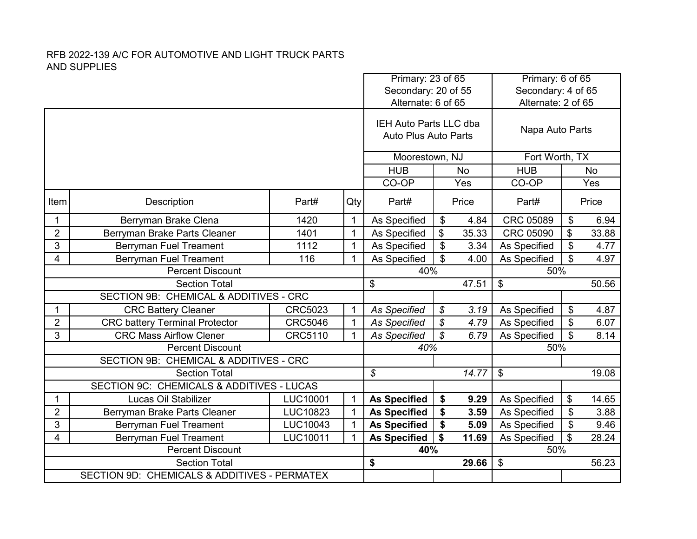|                                                           |                                                                      |                |              | Primary: 23 of 65<br>Secondary: 20 of 55              |           | Primary: 6 of 65<br>Secondary: 4 of 65 |                    |                           |           |
|-----------------------------------------------------------|----------------------------------------------------------------------|----------------|--------------|-------------------------------------------------------|-----------|----------------------------------------|--------------------|---------------------------|-----------|
|                                                           |                                                                      |                |              | Alternate: 6 of 65                                    |           |                                        | Alternate: 2 of 65 |                           |           |
|                                                           |                                                                      |                |              | IEH Auto Parts LLC dba<br><b>Auto Plus Auto Parts</b> |           |                                        | Napa Auto Parts    |                           |           |
|                                                           |                                                                      |                |              | Moorestown, NJ                                        |           |                                        | Fort Worth, TX     |                           |           |
|                                                           |                                                                      |                |              | <b>HUB</b>                                            | <b>No</b> |                                        | <b>HUB</b>         |                           | <b>No</b> |
|                                                           |                                                                      |                |              | CO-OP                                                 |           | Yes                                    | CO-OP              |                           | Yes       |
| Item                                                      | Description                                                          | Part#          | Qty          | Part#                                                 |           | Price                                  | Part#              |                           | Price     |
| 1                                                         | Berryman Brake Clena                                                 | 1420           | $\mathbf{1}$ | As Specified                                          | \$        | 4.84                                   | CRC 05089          | $\boldsymbol{\mathsf{S}}$ | 6.94      |
| $\overline{2}$                                            | Berryman Brake Parts Cleaner                                         | 1401           | $\mathbf{1}$ | As Specified                                          | \$        | 35.33                                  | CRC 05090          | \$                        | 33.88     |
| 3                                                         | <b>Berryman Fuel Treament</b>                                        | 1112           | $\mathbf 1$  | As Specified                                          | \$        | 3.34                                   | As Specified       | \$                        | 4.77      |
| <b>Berryman Fuel Treament</b><br>4<br>116<br>$\mathbf{1}$ |                                                                      |                |              | As Specified                                          | \$        | 4.00                                   | As Specified       | $\mathfrak{L}$            | 4.97      |
|                                                           | <b>Percent Discount</b>                                              |                |              | 40%                                                   |           |                                        | 50%                |                           |           |
|                                                           | <b>Section Total</b>                                                 |                |              | \$                                                    |           | 47.51                                  | \$                 |                           | 50.56     |
|                                                           | SECTION 9B: CHEMICAL & ADDITIVES - CRC                               |                |              |                                                       |           |                                        |                    |                           |           |
| 1                                                         | <b>CRC Battery Cleaner</b>                                           | CRC5023        | $\mathbf 1$  | <b>As Specified</b>                                   | \$        | 3.19                                   | As Specified       | \$                        | 4.87      |
| $\overline{2}$                                            | <b>CRC battery Terminal Protector</b>                                | <b>CRC5046</b> | $\mathbf{1}$ | <b>As Specified</b>                                   | \$        | 4.79                                   | As Specified       | \$                        | 6.07      |
| 3                                                         | <b>CRC Mass Airflow Clener</b>                                       | CRC5110        | 1            | <b>As Specified</b>                                   | \$        | 6.79                                   | As Specified       | \$                        | 8.14      |
|                                                           | <b>Percent Discount</b>                                              |                |              | 40%                                                   |           |                                        | 50%                |                           |           |
|                                                           | SECTION 9B: CHEMICAL & ADDITIVES - CRC                               |                |              |                                                       |           |                                        |                    |                           |           |
|                                                           | <b>Section Total</b>                                                 |                |              | $\mathcal{L}$                                         |           | 14.77                                  | \$                 |                           | 19.08     |
|                                                           | SECTION 9C: CHEMICALS & ADDITIVES - LUCAS                            |                |              |                                                       |           |                                        |                    |                           |           |
| 1                                                         | Lucas Oil Stabilizer                                                 | LUC10001       | $\mathbf 1$  | <b>As Specified</b>                                   | \$        | 9.29                                   | As Specified       | \$                        | 14.65     |
| $\overline{2}$                                            | Berryman Brake Parts Cleaner                                         | LUC10823       | $\mathbf{1}$ | <b>As Specified</b>                                   | \$        | 3.59                                   | As Specified       | \$                        | 3.88      |
| 3                                                         | <b>Berryman Fuel Treament</b>                                        | LUC10043       | 1            | <b>As Specified</b>                                   | \$        | 5.09                                   | As Specified       | \$                        | 9.46      |
| 4                                                         | <b>Berryman Fuel Treament</b>                                        | LUC10011       | $\mathbf 1$  | <b>As Specified</b>                                   | \$        | 11.69                                  | As Specified       | \$                        | 28.24     |
|                                                           | <b>Percent Discount</b>                                              |                |              | 40%                                                   |           |                                        | 50%                |                           |           |
|                                                           | <b>Section Total</b><br>SECTION 9D: CHEMICALS & ADDITIVES - PERMATEX |                |              | \$                                                    |           | 29.66                                  | \$                 |                           | 56.23     |
|                                                           |                                                                      |                |              |                                                       |           |                                        |                    |                           |           |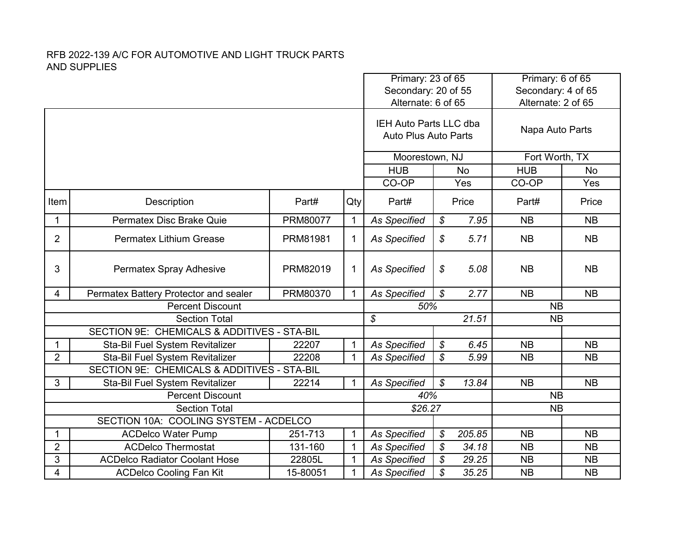|                |                                             |          | Primary: 23 of 65<br>Secondary: 20 of 55 |                                                              |                            | Primary: 6 of 65<br>Secondary: 4 of 65 |                    |           |  |
|----------------|---------------------------------------------|----------|------------------------------------------|--------------------------------------------------------------|----------------------------|----------------------------------------|--------------------|-----------|--|
|                |                                             |          |                                          | Alternate: 6 of 65                                           |                            |                                        | Alternate: 2 of 65 |           |  |
|                |                                             |          |                                          | <b>IEH Auto Parts LLC dba</b><br><b>Auto Plus Auto Parts</b> |                            |                                        | Napa Auto Parts    |           |  |
|                |                                             |          |                                          | Moorestown, NJ                                               |                            |                                        | Fort Worth, TX     |           |  |
|                |                                             |          |                                          | <b>HUB</b>                                                   |                            | <b>No</b>                              | <b>HUB</b>         | <b>No</b> |  |
|                |                                             |          |                                          | CO-OP                                                        |                            | Yes                                    | CO-OP              | Yes       |  |
| Item           | Description                                 | Part#    | Qty                                      | Part#                                                        |                            | Price                                  | Part#              | Price     |  |
| $\mathbf{1}$   | Permatex Disc Brake Quie                    | PRM80077 | $\mathbf 1$                              | <b>As Specified</b>                                          | $\boldsymbol{\mathcal{S}}$ | 7.95                                   | <b>NB</b>          | <b>NB</b> |  |
| $\overline{2}$ | <b>Permatex Lithium Grease</b>              | PRM81981 | $\mathbf 1$                              | <b>As Specified</b>                                          | \$                         | 5.71                                   | <b>NB</b>          | <b>NB</b> |  |
| 3              | Permatex Spray Adhesive                     | PRM82019 | $\mathbf{1}$                             | <b>As Specified</b>                                          | $\boldsymbol{\mathcal{S}}$ | 5.08                                   | <b>NB</b>          | <b>NB</b> |  |
| 4              | Permatex Battery Protector and sealer       | PRM80370 | 1                                        | <b>As Specified</b>                                          | $\mathcal{S}$              | 2.77                                   | <b>NB</b>          | <b>NB</b> |  |
|                | <b>Percent Discount</b>                     |          |                                          | 50%                                                          |                            |                                        | <b>NB</b>          |           |  |
|                | <b>Section Total</b>                        |          |                                          | $\mathcal{S}$<br>21.51                                       |                            |                                        | <b>NB</b>          |           |  |
|                | SECTION 9E: CHEMICALS & ADDITIVES - STA-BIL |          |                                          |                                                              |                            |                                        |                    |           |  |
| $\mathbf{1}$   | Sta-Bil Fuel System Revitalizer             | 22207    | $\mathbf{1}$                             | <b>As Specified</b>                                          | $\boldsymbol{\mathcal{S}}$ | 6.45                                   | <b>NB</b>          | <b>NB</b> |  |
| $\overline{2}$ | Sta-Bil Fuel System Revitalizer             | 22208    | $\mathbf{1}$                             | <b>As Specified</b>                                          | \$                         | 5.99                                   | <b>NB</b>          | <b>NB</b> |  |
|                | SECTION 9E: CHEMICALS & ADDITIVES - STA-BIL |          |                                          |                                                              |                            |                                        |                    |           |  |
| 3              | Sta-Bil Fuel System Revitalizer             | 22214    | $\mathbf{1}$                             | <b>As Specified</b>                                          | $\boldsymbol{\mathcal{S}}$ | 13.84                                  | <b>NB</b>          | <b>NB</b> |  |
|                | <b>Percent Discount</b>                     |          |                                          | 40%                                                          |                            |                                        | <b>NB</b>          |           |  |
|                | <b>Section Total</b>                        |          |                                          | \$26.27                                                      |                            |                                        | <b>NB</b>          |           |  |
|                | SECTION 10A: COOLING SYSTEM - ACDELCO       |          |                                          |                                                              |                            |                                        |                    |           |  |
| 1              | <b>ACDelco Water Pump</b>                   | 251-713  | $\mathbf{1}$                             | <b>As Specified</b>                                          | \$                         | 205.85                                 | <b>NB</b>          | <b>NB</b> |  |
| $\overline{2}$ | <b>ACDelco Thermostat</b>                   | 131-160  | $\mathbf{1}$                             | <b>As Specified</b>                                          | \$                         | 34.18                                  | <b>NB</b>          | <b>NB</b> |  |
| 3              | <b>ACDelco Radiator Coolant Hose</b>        | 22805L   | $\mathbf{1}$                             | <b>As Specified</b>                                          | \$                         | 29.25                                  | <b>NB</b>          | <b>NB</b> |  |
| 4              | <b>ACDelco Cooling Fan Kit</b>              | 15-80051 | $\mathbf{1}$                             | <b>As Specified</b>                                          | \$                         | 35.25                                  | <b>NB</b>          | <b>NB</b> |  |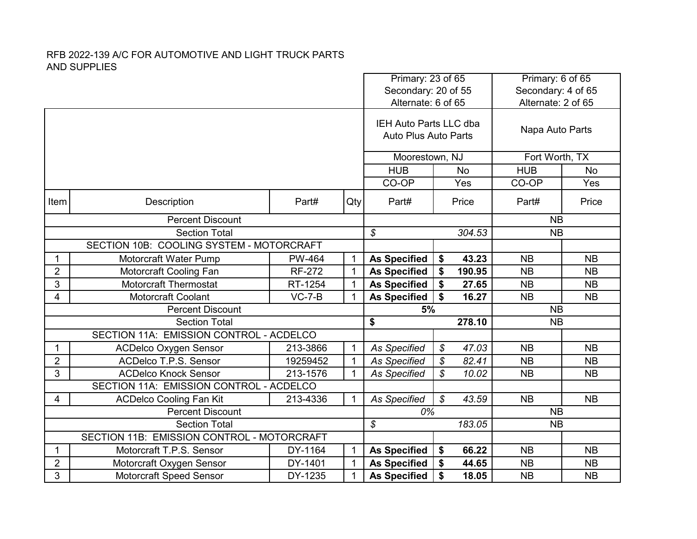|                |                                                                                   |               |                         | Primary: 23 of 65<br>Secondary: 20 of 55              |                                     | Primary: 6 of 65<br>Secondary: 4 of 65 |           |
|----------------|-----------------------------------------------------------------------------------|---------------|-------------------------|-------------------------------------------------------|-------------------------------------|----------------------------------------|-----------|
|                |                                                                                   |               |                         | Alternate: 6 of 65                                    |                                     | Alternate: 2 of 65                     |           |
|                |                                                                                   |               |                         | IEH Auto Parts LLC dba<br><b>Auto Plus Auto Parts</b> |                                     | Napa Auto Parts                        |           |
|                |                                                                                   |               |                         | Moorestown, NJ                                        |                                     | Fort Worth, TX                         |           |
|                |                                                                                   |               | <b>HUB</b><br><b>No</b> |                                                       | <b>HUB</b>                          | <b>No</b>                              |           |
|                |                                                                                   |               |                         | CO-OP                                                 | Yes                                 | CO-OP                                  | Yes       |
| Item           | Description                                                                       | Part#         | Qty                     | Part#                                                 | Price                               | Part#                                  | Price     |
|                | <b>Percent Discount</b>                                                           |               |                         |                                                       |                                     | <b>NB</b>                              |           |
|                | <b>Section Total</b>                                                              |               |                         | $\mathcal{S}$                                         | 304.53                              | <b>NB</b>                              |           |
|                | SECTION 10B: COOLING SYSTEM - MOTORCRAFT                                          |               |                         |                                                       |                                     |                                        |           |
| $\mathbf{1}$   | Motorcraft Water Pump                                                             | PW-464        | $\mathbf 1$             | <b>As Specified</b>                                   | 43.23<br>\$                         | <b>NB</b>                              | <b>NB</b> |
| $\overline{2}$ | Motorcraft Cooling Fan                                                            | <b>RF-272</b> | $\mathbf{1}$            | <b>As Specified</b>                                   | \$<br>190.95                        | <b>NB</b>                              | <b>NB</b> |
| 3              | <b>Motorcraft Thermostat</b>                                                      | RT-1254       | 1                       | <b>As Specified</b>                                   | 27.65<br>\$                         | <b>NB</b>                              | <b>NB</b> |
| 4              | Motorcraft Coolant                                                                | $VC-7-B$      | $\mathbf{1}$            | <b>As Specified</b>                                   | \$<br>16.27                         | <b>NB</b>                              | <b>NB</b> |
|                | <b>Percent Discount</b>                                                           |               |                         | 5%                                                    |                                     | <b>NB</b>                              |           |
|                | <b>Section Total</b>                                                              |               |                         | \$                                                    | 278.10                              | <b>NB</b>                              |           |
|                | SECTION 11A: EMISSION CONTROL - ACDELCO                                           |               |                         |                                                       |                                     |                                        |           |
| 1              | <b>ACDelco Oxygen Sensor</b>                                                      | 213-3866      | $\mathbf{1}$            | <b>As Specified</b>                                   | \$<br>47.03                         | <b>NB</b>                              | <b>NB</b> |
| $\overline{2}$ | ACDelco T.P.S. Sensor                                                             | 19259452      | $\mathbf{1}$            | <b>As Specified</b>                                   | \$<br>82.41                         | <b>NB</b>                              | <b>NB</b> |
| 3              | <b>ACDelco Knock Sensor</b>                                                       | 213-1576      | $\mathbf{1}$            | <b>As Specified</b>                                   | \$<br>10.02                         | <b>NB</b>                              | <b>NB</b> |
|                | SECTION 11A: EMISSION CONTROL - ACDELCO                                           |               |                         |                                                       |                                     |                                        |           |
| 4              | <b>ACDelco Cooling Fan Kit</b>                                                    | 213-4336      | $\mathbf 1$             | <b>As Specified</b>                                   | $\boldsymbol{\mathcal{S}}$<br>43.59 | <b>NB</b>                              | <b>NB</b> |
|                | <b>Percent Discount</b>                                                           |               |                         | 0%                                                    |                                     | <b>NB</b>                              |           |
|                | <b>Section Total</b>                                                              |               |                         | $\boldsymbol{\mathcal{S}}$                            | 183.05                              | <b>NB</b>                              |           |
| 1              | SECTION 11B: EMISSION CONTROL - MOTORCRAFT<br>Motorcraft T.P.S. Sensor<br>DY-1164 |               | $\mathbf{1}$            |                                                       | \$<br>66.22                         | <b>NB</b>                              | <b>NB</b> |
| $\overline{c}$ | Motorcraft Oxygen Sensor                                                          | DY-1401       | $\mathbf{1}$            | <b>As Specified</b><br><b>As Specified</b>            | \$<br>44.65                         | <b>NB</b>                              | <b>NB</b> |
| 3              | <b>Motorcraft Speed Sensor</b>                                                    | DY-1235       | $\mathbf{1}$            | <b>As Specified</b>                                   | \$<br>18.05                         | <b>NB</b>                              | <b>NB</b> |
|                |                                                                                   |               |                         |                                                       |                                     |                                        |           |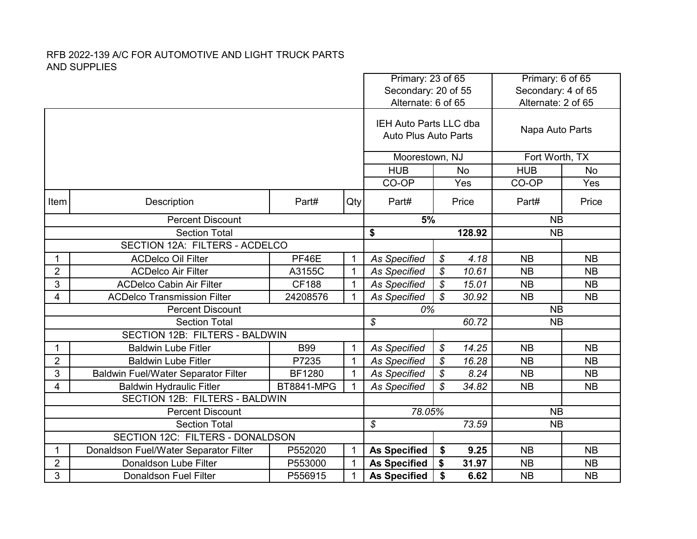|                                |                                            |                                          |              | Primary: 23 of 65<br>Secondary: 20 of 55 |                            |           |                 | Primary: 6 of 65<br>Secondary: 4 of 65 |  |
|--------------------------------|--------------------------------------------|------------------------------------------|--------------|------------------------------------------|----------------------------|-----------|-----------------|----------------------------------------|--|
|                                |                                            | Alternate: 2 of 65<br>Alternate: 6 of 65 |              |                                          |                            |           |                 |                                        |  |
|                                |                                            |                                          |              |                                          |                            |           |                 |                                        |  |
|                                |                                            |                                          |              | IEH Auto Parts LLC dba                   |                            |           | Napa Auto Parts |                                        |  |
|                                |                                            |                                          |              | <b>Auto Plus Auto Parts</b>              |                            |           |                 |                                        |  |
|                                |                                            |                                          |              | Moorestown, NJ                           |                            |           | Fort Worth, TX  |                                        |  |
|                                |                                            |                                          |              | <b>HUB</b>                               |                            | <b>No</b> | <b>HUB</b>      | No                                     |  |
|                                |                                            |                                          |              | CO-OP                                    |                            | Yes       | CO-OP           | Yes                                    |  |
| Item                           | Description                                | Part#                                    | Qty          | Part#                                    |                            | Price     | Part#           | Price                                  |  |
|                                | <b>Percent Discount</b>                    |                                          |              | 5%                                       |                            |           | <b>NB</b>       |                                        |  |
| <b>Section Total</b>           |                                            |                                          | \$           |                                          | 128.92                     | <b>NB</b> |                 |                                        |  |
| SECTION 12A: FILTERS - ACDELCO |                                            |                                          |              |                                          |                            |           |                 |                                        |  |
| $\mathbf 1$                    | <b>ACDelco Oil Filter</b>                  | PF46E                                    | $\mathbf 1$  | <b>As Specified</b>                      | \$                         | 4.18      | <b>NB</b>       | <b>NB</b>                              |  |
| $\overline{2}$                 | <b>ACDelco Air Filter</b>                  | A3155C                                   | $\mathbf 1$  | <b>As Specified</b>                      | \$                         | 10.61     | <b>NB</b>       | <b>NB</b>                              |  |
| 3                              | <b>ACDelco Cabin Air Filter</b>            | <b>CF188</b>                             | $\mathbf{1}$ | <b>As Specified</b>                      | \$                         | 15.01     | <b>NB</b>       | <b>NB</b>                              |  |
| 4                              | <b>ACDelco Transmission Filter</b>         | 24208576                                 | $\mathbf{1}$ | <b>As Specified</b>                      | $\mathcal{S}$              | 30.92     | <b>NB</b>       | <b>NB</b>                              |  |
|                                | <b>Percent Discount</b>                    |                                          |              | 0%                                       |                            |           | <b>NB</b>       |                                        |  |
|                                | <b>Section Total</b>                       |                                          |              | $\mathcal{S}$                            |                            | 60.72     | <b>NB</b>       |                                        |  |
|                                | SECTION 12B: FILTERS - BALDWIN             |                                          |              |                                          |                            |           |                 |                                        |  |
| $\mathbf 1$                    | <b>Baldwin Lube Fitler</b>                 | <b>B99</b>                               | $\mathbf{1}$ | <b>As Specified</b>                      | $\boldsymbol{\mathcal{S}}$ | 14.25     | <b>NB</b>       | <b>NB</b>                              |  |
| $\overline{2}$                 | <b>Baldwin Lube Fitler</b>                 | P7235                                    | $\mathbf{1}$ | <b>As Specified</b>                      | \$                         | 16.28     | <b>NB</b>       | <b>NB</b>                              |  |
| 3                              | <b>Baldwin Fuel/Water Separator Filter</b> | <b>BF1280</b>                            | $\mathbf 1$  | As Specified                             | $\boldsymbol{\mathcal{S}}$ | 8.24      | <b>NB</b>       | <b>NB</b>                              |  |
| 4                              | <b>Baldwin Hydraulic Fitler</b>            | <b>BT8841-MPG</b>                        | $\mathbf{1}$ | <b>As Specified</b>                      | $\mathcal{S}$              | 34.82     | <b>NB</b>       | <b>NB</b>                              |  |
|                                | SECTION 12B: FILTERS - BALDWIN             |                                          |              |                                          |                            |           |                 |                                        |  |
|                                | <b>Percent Discount</b>                    |                                          |              | 78.05%                                   |                            |           | <b>NB</b>       |                                        |  |
|                                | <b>Section Total</b>                       |                                          |              | $\mathcal{S}$                            |                            | 73.59     | <b>NB</b>       |                                        |  |
|                                | SECTION 12C: FILTERS - DONALDSON           |                                          |              |                                          |                            |           |                 |                                        |  |
| 1                              | Donaldson Fuel/Water Separator Filter      | P552020                                  | $\mathbf{1}$ | <b>As Specified</b>                      | \$                         | 9.25      | <b>NB</b>       | <b>NB</b>                              |  |
| $\overline{2}$                 | Donaldson Lube Filter                      | P553000                                  | $\mathbf{1}$ | <b>As Specified</b>                      | \$                         | 31.97     | <b>NB</b>       | <b>NB</b>                              |  |
| 3                              | <b>Donaldson Fuel Filter</b>               | P556915                                  | $\mathbf{1}$ | <b>As Specified</b>                      | \$                         | 6.62      | <b>NB</b>       | <b>NB</b>                              |  |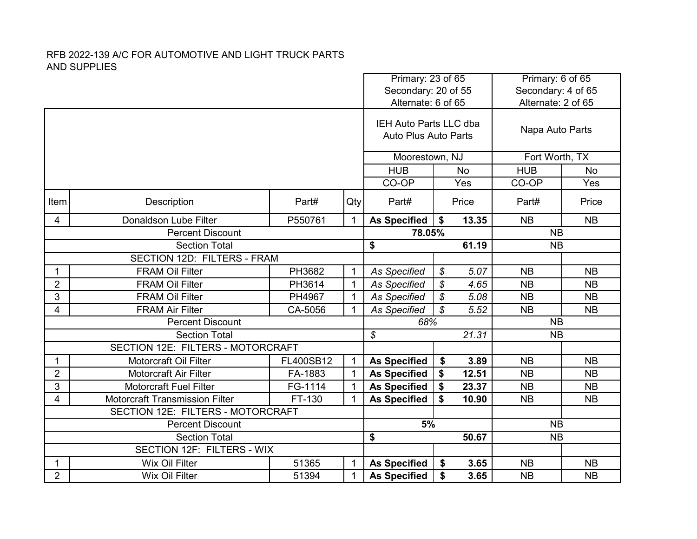|                             |                                          |           |              | Primary: 23 of 65<br>Secondary: 20 of 55                     |               |           | Primary: 6 of 65<br>Secondary: 4 of 65 |           |
|-----------------------------|------------------------------------------|-----------|--------------|--------------------------------------------------------------|---------------|-----------|----------------------------------------|-----------|
|                             |                                          |           |              | Alternate: 6 of 65                                           |               |           | Alternate: 2 of 65                     |           |
|                             |                                          |           |              | <b>IEH Auto Parts LLC dba</b><br><b>Auto Plus Auto Parts</b> |               |           | Napa Auto Parts                        |           |
|                             |                                          |           |              | Moorestown, NJ                                               |               |           | Fort Worth, TX                         |           |
|                             |                                          |           |              | <b>HUB</b>                                                   |               | <b>No</b> | <b>HUB</b>                             | <b>No</b> |
|                             |                                          |           |              | CO-OP                                                        |               | Yes       | CO-OP                                  | Yes       |
| Item                        | Description                              | Part#     | Qty          | Part#                                                        |               | Price     | Part#                                  | Price     |
| 4                           | Donaldson Lube Filter                    | P550761   | $\mathbf{1}$ | <b>As Specified</b>                                          | \$            | 13.35     | <b>NB</b>                              | <b>NB</b> |
|                             | <b>Percent Discount</b>                  |           |              | 78.05%                                                       |               |           | <b>NB</b>                              |           |
| <b>Section Total</b>        |                                          |           |              | \$                                                           |               | 61.19     | <b>NB</b>                              |           |
| SECTION 12D: FILTERS - FRAM |                                          |           |              |                                                              |               |           |                                        |           |
| $\mathbf 1$                 | <b>FRAM Oil Filter</b>                   | PH3682    | $\mathbf{1}$ | <b>As Specified</b>                                          | \$            | 5.07      | <b>NB</b>                              | <b>NB</b> |
| $\overline{2}$              | <b>FRAM Oil Filter</b>                   | PH3614    | $\mathbf{1}$ | <b>As Specified</b>                                          | \$            | 4.65      | <b>NB</b>                              | <b>NB</b> |
| 3                           | <b>FRAM Oil Filter</b>                   | PH4967    | $\mathbf{1}$ | <b>As Specified</b>                                          | $\mathcal{S}$ | 5.08      | <b>NB</b>                              | <b>NB</b> |
| 4                           | <b>FRAM Air Filter</b>                   | CA-5056   | $\mathbf{1}$ | As Specified                                                 | $\mathcal{S}$ | 5.52      | <b>NB</b>                              | <b>NB</b> |
|                             | <b>Percent Discount</b>                  |           |              | 68%                                                          |               |           | <b>NB</b>                              |           |
|                             | <b>Section Total</b>                     |           |              | $\boldsymbol{\mathcal{S}}$                                   |               | 21.31     | <b>NB</b>                              |           |
|                             | <b>SECTION 12E: FILTERS - MOTORCRAFT</b> |           |              |                                                              |               |           |                                        |           |
| 1                           | <b>Motorcraft Oil Filter</b>             | FL400SB12 | $\mathbf{1}$ | <b>As Specified</b>                                          | \$            | 3.89      | <b>NB</b>                              | <b>NB</b> |
| $\overline{2}$              | <b>Motorcraft Air Filter</b>             | FA-1883   | $\mathbf{1}$ | <b>As Specified</b>                                          | \$            | 12.51     | <b>NB</b>                              | <b>NB</b> |
| 3                           | <b>Motorcraft Fuel Filter</b>            | FG-1114   | $\mathbf{1}$ | <b>As Specified</b>                                          | \$            | 23.37     | <b>NB</b>                              | <b>NB</b> |
| 4                           | <b>Motorcraft Transmission Filter</b>    | FT-130    | 1            | <b>As Specified</b>                                          | \$            | 10.90     | <b>NB</b>                              | <b>NB</b> |
|                             | SECTION 12E: FILTERS - MOTORCRAFT        |           |              |                                                              |               |           |                                        |           |
|                             | <b>Percent Discount</b>                  |           |              | 5%                                                           |               |           | <b>NB</b>                              |           |
|                             | <b>Section Total</b>                     |           |              | \$                                                           |               | 50.67     | <b>NB</b>                              |           |
|                             | <b>SECTION 12F: FILTERS - WIX</b>        |           |              |                                                              |               |           |                                        |           |
| $\mathbf 1$                 | <b>Wix Oil Filter</b>                    | 51365     | $\mathbf{1}$ | <b>As Specified</b>                                          | \$            | 3.65      | <b>NB</b>                              | <b>NB</b> |
| $\overline{2}$              | Wix Oil Filter                           | 51394     | $\mathbf{1}$ | <b>As Specified</b>                                          | \$            | 3.65      | <b>NB</b>                              | <b>NB</b> |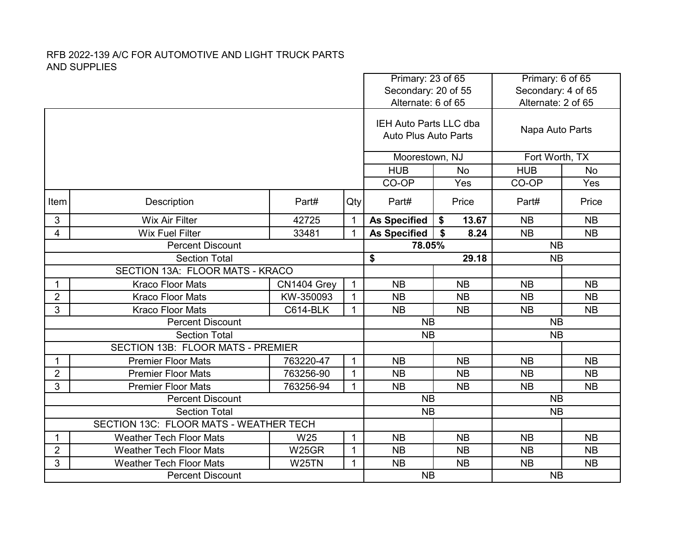|                      |                                        |                                           |              | Primary: 23 of 65           |             | Primary: 6 of 65<br>Secondary: 4 of 65 |           |
|----------------------|----------------------------------------|-------------------------------------------|--------------|-----------------------------|-------------|----------------------------------------|-----------|
|                      |                                        | Secondary: 20 of 55<br>Alternate: 6 of 65 |              |                             |             | Alternate: 2 of 65                     |           |
|                      |                                        |                                           |              | IEH Auto Parts LLC dba      |             |                                        |           |
|                      |                                        |                                           |              | <b>Auto Plus Auto Parts</b> |             | Napa Auto Parts                        |           |
|                      |                                        |                                           |              | Moorestown, NJ              |             | Fort Worth, TX                         |           |
|                      |                                        |                                           |              | <b>HUB</b>                  | <b>No</b>   | <b>HUB</b>                             | <b>No</b> |
|                      |                                        |                                           |              | CO-OP                       | Yes         | CO-OP                                  | Yes       |
| Item                 | Description                            | Part#                                     | Qty          | Part#                       | Price       | Part#                                  | Price     |
| 3                    | <b>Wix Air Filter</b>                  | 42725                                     | $\mathbf{1}$ | <b>As Specified</b>         | 13.67<br>\$ | <b>NB</b>                              | <b>NB</b> |
| 4                    | <b>Wix Fuel Filter</b>                 | 33481                                     | $\mathbf{1}$ | <b>As Specified</b>         | \$<br>8.24  | <b>NB</b>                              | <b>NB</b> |
|                      | <b>Percent Discount</b>                |                                           |              | 78.05%                      |             | <b>NB</b>                              |           |
| <b>Section Total</b> |                                        |                                           |              | \$                          | 29.18       | <b>NB</b>                              |           |
|                      | SECTION 13A: FLOOR MATS - KRACO        |                                           |              |                             |             |                                        |           |
| 1                    | <b>Kraco Floor Mats</b>                | CN1404 Grey                               | $\mathbf{1}$ | <b>NB</b>                   | <b>NB</b>   | <b>NB</b>                              | <b>NB</b> |
| $\overline{2}$       | <b>Kraco Floor Mats</b>                | KW-350093                                 | $\mathbf{1}$ | <b>NB</b>                   | <b>NB</b>   | <b>NB</b>                              | <b>NB</b> |
| 3                    | <b>Kraco Floor Mats</b>                | <b>C614-BLK</b>                           | $\mathbf{1}$ | <b>NB</b>                   | <b>NB</b>   | <b>NB</b>                              | <b>NB</b> |
|                      | <b>Percent Discount</b>                |                                           |              | <b>NB</b>                   |             | <b>NB</b>                              |           |
|                      | <b>Section Total</b>                   |                                           |              | <b>NB</b>                   |             | <b>NB</b>                              |           |
|                      | SECTION 13B: FLOOR MATS - PREMIER      |                                           |              |                             |             |                                        |           |
| 1                    | <b>Premier Floor Mats</b>              | 763220-47                                 | $\mathbf{1}$ | <b>NB</b>                   | <b>NB</b>   | <b>NB</b>                              | <b>NB</b> |
| $\overline{2}$       | <b>Premier Floor Mats</b>              | 763256-90                                 | $\mathbf{1}$ | <b>NB</b>                   | <b>NB</b>   | <b>NB</b>                              | <b>NB</b> |
| 3                    | <b>Premier Floor Mats</b>              | 763256-94                                 | $\mathbf{1}$ | <b>NB</b>                   | <b>NB</b>   | <b>NB</b>                              | <b>NB</b> |
|                      | <b>Percent Discount</b>                |                                           |              | <b>NB</b>                   |             | <b>NB</b>                              |           |
|                      | <b>Section Total</b>                   |                                           |              | <b>NB</b>                   |             | <b>NB</b>                              |           |
|                      | SECTION 13C: FLOOR MATS - WEATHER TECH |                                           |              |                             |             |                                        |           |
| 1                    | <b>Weather Tech Floor Mats</b>         | W <sub>25</sub>                           | $\mathbf{1}$ | <b>NB</b>                   | <b>NB</b>   | <b>NB</b>                              | <b>NB</b> |
| $\overline{2}$       | <b>Weather Tech Floor Mats</b>         | W25GR                                     | $\mathbf 1$  | <b>NB</b>                   | <b>NB</b>   | <b>NB</b>                              | <b>NB</b> |
| 3                    | <b>Weather Tech Floor Mats</b>         | W25TN                                     | $\mathbf{1}$ | <b>NB</b>                   | <b>NB</b>   | <b>NB</b>                              | <b>NB</b> |
|                      | <b>Percent Discount</b>                |                                           |              | <b>NB</b>                   |             | <b>NB</b>                              |           |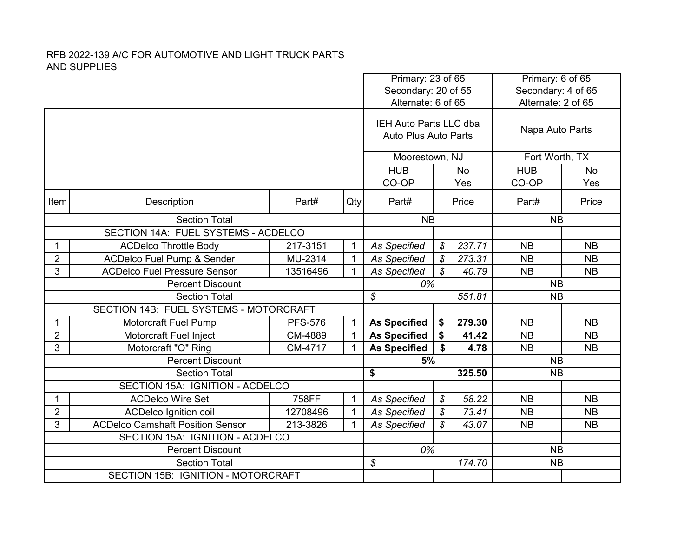|                |                                                 |                |              | Primary: 23 of 65<br>Secondary: 20 of 55              |                            |                 | Primary: 6 of 65<br>Secondary: 4 of 65 |           |
|----------------|-------------------------------------------------|----------------|--------------|-------------------------------------------------------|----------------------------|-----------------|----------------------------------------|-----------|
|                |                                                 |                |              | Alternate: 6 of 65                                    |                            |                 | Alternate: 2 of 65                     |           |
|                |                                                 |                |              | IEH Auto Parts LLC dba<br><b>Auto Plus Auto Parts</b> |                            | Napa Auto Parts |                                        |           |
|                |                                                 |                |              | Moorestown, NJ                                        |                            | Fort Worth, TX  |                                        |           |
|                |                                                 |                |              | <b>HUB</b>                                            |                            | <b>No</b>       | <b>HUB</b>                             | <b>No</b> |
|                |                                                 |                |              | CO-OP                                                 |                            | Yes             | CO-OP                                  | Yes       |
| Item           | Description                                     | Part#          | Qty          | Part#                                                 |                            | Price           | Part#                                  | Price     |
|                | <b>Section Total</b>                            |                |              | <b>NB</b>                                             |                            |                 | <b>NB</b>                              |           |
|                | SECTION 14A: FUEL SYSTEMS - ACDELCO             |                |              |                                                       |                            |                 |                                        |           |
| 1              | <b>ACDelco Throttle Body</b>                    | 217-3151       | $\mathbf{1}$ | <b>As Specified</b>                                   | \$                         | 237.71          | <b>NB</b>                              | <b>NB</b> |
| $\overline{2}$ | <b>ACDelco Fuel Pump &amp; Sender</b>           | MU-2314        | $\mathbf{1}$ | <b>As Specified</b>                                   | $\mathcal{S}$              | 273.31          | <b>NB</b>                              | <b>NB</b> |
| 3              | <b>ACDelco Fuel Pressure Sensor</b><br>13516496 |                | $\mathbf{1}$ | As Specified                                          | \$                         | 40.79           | <b>NB</b>                              | <b>NB</b> |
|                | <b>Percent Discount</b>                         |                |              | 0%                                                    |                            |                 | <b>NB</b>                              |           |
|                | <b>Section Total</b>                            |                |              | $\mathcal{S}$                                         |                            | 551.81          | <b>NB</b>                              |           |
|                | SECTION 14B: FUEL SYSTEMS - MOTORCRAFT          |                |              |                                                       |                            |                 |                                        |           |
| 1              | <b>Motorcraft Fuel Pump</b>                     | <b>PFS-576</b> | $\mathbf{1}$ | <b>As Specified</b>                                   | \$                         | 279.30          | <b>NB</b>                              | <b>NB</b> |
| $\overline{2}$ | Motorcraft Fuel Inject                          | CM-4889        | $\mathbf{1}$ | <b>As Specified</b>                                   | \$                         | 41.42           | <b>NB</b>                              | <b>NB</b> |
| 3              | Motorcraft "O" Ring                             | CM-4717        | $\mathbf{1}$ | <b>As Specified</b>                                   | \$                         | 4.78            | <b>NB</b>                              | <b>NB</b> |
|                | <b>Percent Discount</b>                         |                |              | 5%                                                    |                            |                 | <b>NB</b>                              |           |
|                | <b>Section Total</b>                            |                |              | \$                                                    |                            | 325.50          | <b>NB</b>                              |           |
|                | SECTION 15A: IGNITION - ACDELCO                 |                |              |                                                       |                            |                 |                                        |           |
| 1              | <b>ACDelco Wire Set</b>                         | 758FF          | $\mathbf{1}$ | <b>As Specified</b>                                   | \$                         | 58.22           | <b>NB</b>                              | <b>NB</b> |
| $\overline{2}$ | <b>ACDelco Ignition coil</b>                    | 12708496       | $\mathbf{1}$ | <b>As Specified</b>                                   | $\boldsymbol{\mathcal{S}}$ | 73.41           | <b>NB</b>                              | <b>NB</b> |
| 3              | <b>ACDelco Camshaft Position Sensor</b>         | 213-3826       | $\mathbf{1}$ | <b>As Specified</b>                                   | $\mathcal{L}$              | 43.07           | <b>NB</b>                              | <b>NB</b> |
|                | SECTION 15A: IGNITION - ACDELCO                 |                |              |                                                       |                            |                 |                                        |           |
|                | <b>Percent Discount</b>                         |                |              | 0%                                                    |                            |                 | <b>NB</b>                              |           |
|                | <b>Section Total</b>                            |                |              | $\boldsymbol{\mathcal{S}}$                            |                            | 174.70          | <b>NB</b>                              |           |
|                | <b>SECTION 15B: IGNITION - MOTORCRAFT</b>       |                |              |                                                       |                            |                 |                                        |           |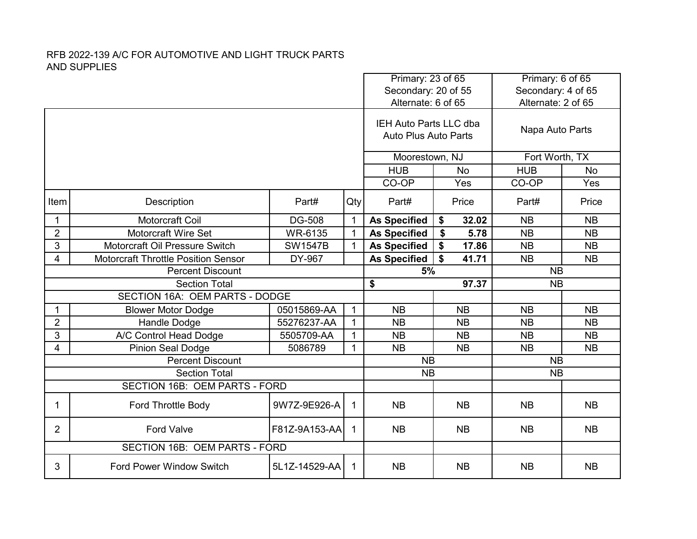|                |                                            | Primary: 23 of 65<br>Secondary: 20 of 55 |              | Primary: 6 of 65<br>Secondary: 4 of 65                |             |                    |           |
|----------------|--------------------------------------------|------------------------------------------|--------------|-------------------------------------------------------|-------------|--------------------|-----------|
|                |                                            |                                          |              | Alternate: 6 of 65                                    |             | Alternate: 2 of 65 |           |
|                |                                            |                                          |              | IEH Auto Parts LLC dba<br><b>Auto Plus Auto Parts</b> |             | Napa Auto Parts    |           |
|                |                                            |                                          |              | Moorestown, NJ                                        |             | Fort Worth, TX     |           |
|                |                                            |                                          |              | <b>HUB</b>                                            | <b>No</b>   | <b>HUB</b>         | <b>No</b> |
|                |                                            |                                          |              | CO-OP                                                 | Yes         | CO-OP              | Yes       |
| Item           | Description                                | Part#                                    | Qty          | Part#                                                 | Price       | Part#              | Price     |
| 1              | Motorcraft Coil                            | <b>DG-508</b>                            | $\mathbf{1}$ | <b>As Specified</b>                                   | \$<br>32.02 | <b>NB</b>          | <b>NB</b> |
| $\overline{2}$ | <b>Motorcraft Wire Set</b>                 | WR-6135                                  | $\mathbf{1}$ | <b>As Specified</b>                                   | \$<br>5.78  | <b>NB</b>          | <b>NB</b> |
| 3              | Motorcraft Oil Pressure Switch             | <b>SW1547B</b>                           | $\mathbf{1}$ | <b>As Specified</b>                                   | \$<br>17.86 | <b>NB</b>          | <b>NB</b> |
| 4              | <b>Motorcraft Throttle Position Sensor</b> | DY-967                                   |              | <b>As Specified</b>                                   | \$<br>41.71 | <b>NB</b>          | <b>NB</b> |
|                | <b>Percent Discount</b>                    |                                          |              | 5%                                                    |             | <b>NB</b>          |           |
|                | <b>Section Total</b>                       |                                          |              | \$                                                    | 97.37       | <b>NB</b>          |           |
|                | SECTION 16A: OEM PARTS - DODGE             |                                          |              |                                                       |             |                    |           |
|                | <b>Blower Motor Dodge</b>                  | 05015869-AA                              | $\mathbf{1}$ | <b>NB</b>                                             | <b>NB</b>   | <b>NB</b>          | <b>NB</b> |
| $\overline{2}$ | Handle Dodge                               | 55276237-AA                              | $\mathbf 1$  | <b>NB</b>                                             | <b>NB</b>   | <b>NB</b>          | <b>NB</b> |
| 3              | A/C Control Head Dodge                     | 5505709-AA                               | $\mathbf{1}$ | <b>NB</b>                                             | <b>NB</b>   | <b>NB</b>          | <b>NB</b> |
| 4              | <b>Pinion Seal Dodge</b>                   | 5086789                                  | $\mathbf{1}$ | <b>NB</b>                                             | <b>NB</b>   | <b>NB</b>          | <b>NB</b> |
|                | <b>Percent Discount</b>                    |                                          |              | <b>NB</b>                                             |             | <b>NB</b>          |           |
|                | <b>Section Total</b>                       |                                          |              | <b>NB</b>                                             |             | <b>NB</b>          |           |
|                | SECTION 16B: OEM PARTS - FORD              |                                          |              |                                                       |             |                    |           |
| 1              | <b>Ford Throttle Body</b>                  | 9W7Z-9E926-A                             | $\mathbf{1}$ | <b>NB</b>                                             | <b>NB</b>   | <b>NB</b>          | <b>NB</b> |
| $\overline{2}$ | <b>Ford Valve</b>                          | F81Z-9A153-AA                            | 1            | <b>NB</b>                                             | <b>NB</b>   | <b>NB</b>          | <b>NB</b> |
|                | SECTION 16B: OEM PARTS - FORD              |                                          |              |                                                       |             |                    |           |
| 3              | <b>Ford Power Window Switch</b>            | 5L1Z-14529-AA                            | 1            | <b>NB</b>                                             | <b>NB</b>   | <b>NB</b>          | <b>NB</b> |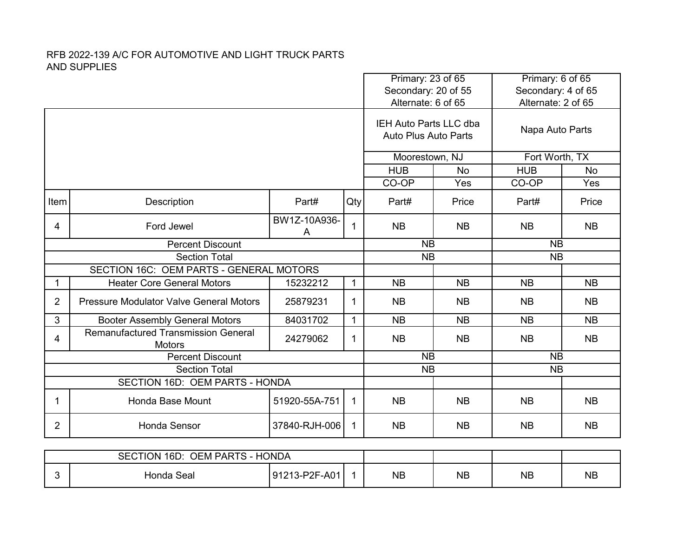|                |                                                             |                   | Primary: 23 of 65<br>Secondary: 20 of 55<br>Alternate: 6 of 65 |                                                       | Primary: 6 of 65<br>Secondary: 4 of 65<br>Alternate: 2 of 65 |                 |           |
|----------------|-------------------------------------------------------------|-------------------|----------------------------------------------------------------|-------------------------------------------------------|--------------------------------------------------------------|-----------------|-----------|
|                |                                                             |                   |                                                                | IEH Auto Parts LLC dba<br><b>Auto Plus Auto Parts</b> |                                                              | Napa Auto Parts |           |
|                |                                                             |                   |                                                                | Moorestown, NJ                                        |                                                              | Fort Worth, TX  |           |
|                |                                                             |                   |                                                                | <b>HUB</b>                                            | <b>No</b>                                                    | <b>HUB</b>      | <b>No</b> |
|                |                                                             |                   |                                                                | CO-OP                                                 | Yes                                                          | CO-OP           | Yes       |
| Item           | Description                                                 | Part#             | Qty                                                            | Part#                                                 | Price                                                        | Part#           | Price     |
| 4              | Ford Jewel                                                  | BW1Z-10A936-<br>A | 1                                                              | <b>NB</b>                                             | <b>NB</b>                                                    | <b>NB</b>       | <b>NB</b> |
|                | <b>Percent Discount</b>                                     |                   |                                                                | <b>NB</b>                                             |                                                              | <b>NB</b>       |           |
|                | <b>Section Total</b>                                        |                   |                                                                | <b>NB</b>                                             |                                                              | <b>NB</b>       |           |
|                | SECTION 16C: OEM PARTS - GENERAL MOTORS                     |                   |                                                                |                                                       |                                                              |                 |           |
| 1              | <b>Heater Core General Motors</b>                           | 15232212          | $\mathbf{1}$                                                   | <b>NB</b>                                             | <b>NB</b>                                                    | <b>NB</b>       | <b>NB</b> |
| $\overline{2}$ | <b>Pressure Modulator Valve General Motors</b>              | 25879231          | 1                                                              | <b>NB</b>                                             | <b>NB</b>                                                    | <b>NB</b>       | <b>NB</b> |
| 3              | <b>Booter Assembly General Motors</b>                       | 84031702          | 1                                                              | <b>NB</b>                                             | <b>NB</b>                                                    | <b>NB</b>       | <b>NB</b> |
| 4              | <b>Remanufactured Transmission General</b><br><b>Motors</b> | 24279062          | 1                                                              | <b>NB</b>                                             | <b>NB</b>                                                    | <b>NB</b>       | <b>NB</b> |
|                | <b>Percent Discount</b>                                     |                   |                                                                | <b>NB</b>                                             |                                                              | <b>NB</b>       |           |
|                | <b>Section Total</b>                                        |                   |                                                                | <b>NB</b>                                             |                                                              | <b>NB</b>       |           |
|                | SECTION 16D: OEM PARTS - HONDA                              |                   |                                                                |                                                       |                                                              |                 |           |
| 1              | Honda Base Mount                                            | 51920-55A-751     | 1                                                              | <b>NB</b>                                             | <b>NB</b>                                                    | <b>NB</b>       | <b>NB</b> |
| $\overline{2}$ | <b>Honda Sensor</b>                                         | 37840-RJH-006     | 1                                                              | <b>NB</b>                                             | <b>NB</b>                                                    | <b>NB</b>       | <b>NB</b> |
|                |                                                             |                   |                                                                |                                                       |                                                              |                 |           |

| <b>OEM PARTS - HONDA</b><br>$16D$ :<br><b>SECTION</b><br>91213-P2F-A01<br>Honda Seal |  |  |           |           |           |           |
|--------------------------------------------------------------------------------------|--|--|-----------|-----------|-----------|-----------|
|                                                                                      |  |  | <b>NB</b> | <b>NB</b> | <b>NB</b> | <b>NB</b> |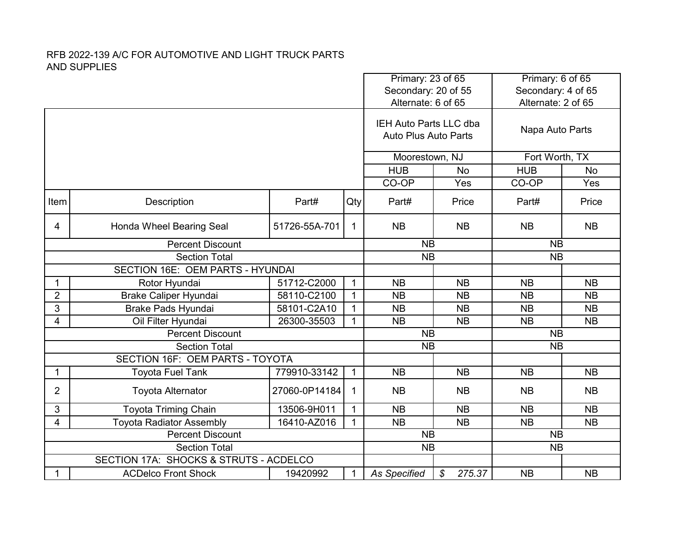|                      |                                        |               |              |                                                       | Primary: 23 of 65<br>Secondary: 20 of 55 | Primary: 6 of 65<br>Secondary: 4 of 65 |           |
|----------------------|----------------------------------------|---------------|--------------|-------------------------------------------------------|------------------------------------------|----------------------------------------|-----------|
|                      |                                        |               |              | Alternate: 6 of 65                                    |                                          | Alternate: 2 of 65                     |           |
|                      |                                        |               |              | IEH Auto Parts LLC dba<br><b>Auto Plus Auto Parts</b> |                                          | Napa Auto Parts                        |           |
|                      |                                        |               |              | Moorestown, NJ                                        |                                          | Fort Worth, TX                         |           |
|                      |                                        |               |              | <b>HUB</b>                                            | <b>No</b>                                | <b>HUB</b>                             | <b>No</b> |
|                      |                                        |               |              | CO-OP                                                 | Yes                                      | CO-OP                                  | Yes       |
| Item                 | Description                            | Part#         | Qty          | Part#                                                 | Price                                    | Part#                                  | Price     |
| 4                    | Honda Wheel Bearing Seal               | 51726-55A-701 | 1            | <b>NB</b>                                             | <b>NB</b>                                | <b>NB</b>                              | <b>NB</b> |
|                      | <b>Percent Discount</b>                |               |              | <b>NB</b>                                             |                                          | <b>NB</b>                              |           |
|                      | <b>Section Total</b>                   |               |              | <b>NB</b>                                             |                                          | <b>NB</b>                              |           |
|                      | SECTION 16E: OEM PARTS - HYUNDAI       |               |              |                                                       |                                          |                                        |           |
| 1                    | Rotor Hyundai                          | 51712-C2000   | $\mathbf{1}$ | <b>NB</b>                                             | <b>NB</b>                                | <b>NB</b>                              | <b>NB</b> |
| $\overline{2}$       | Brake Caliper Hyundai                  | 58110-C2100   | $\mathbf{1}$ | <b>NB</b>                                             | <b>NB</b>                                | <b>NB</b>                              | <b>NB</b> |
| 3                    | <b>Brake Pads Hyundai</b>              | 58101-C2A10   | $\mathbf{1}$ | <b>NB</b>                                             | <b>NB</b>                                | <b>NB</b>                              | <b>NB</b> |
| 4                    | Oil Filter Hyundai                     | 26300-35503   | $\mathbf{1}$ | <b>NB</b>                                             | <b>NB</b>                                | <b>NB</b>                              | <b>NB</b> |
|                      | <b>Percent Discount</b>                |               |              | <b>NB</b>                                             |                                          | <b>NB</b>                              |           |
|                      | <b>Section Total</b>                   |               |              | <b>NB</b>                                             |                                          | <b>NB</b>                              |           |
|                      | SECTION 16F: OEM PARTS - TOYOTA        |               |              |                                                       |                                          |                                        |           |
| 1                    | <b>Toyota Fuel Tank</b>                | 779910-33142  | $\mathbf{1}$ | <b>NB</b>                                             | <b>NB</b>                                | <b>NB</b>                              | <b>NB</b> |
| $\overline{2}$       | <b>Toyota Alternator</b>               | 27060-0P14184 | $\mathbf 1$  | <b>NB</b>                                             | <b>NB</b>                                | <b>NB</b>                              | <b>NB</b> |
| 3                    | <b>Toyota Triming Chain</b>            | 13506-9H011   | $\mathbf{1}$ | <b>NB</b>                                             | <b>NB</b>                                | <b>NB</b>                              | <b>NB</b> |
| 4                    | <b>Toyota Radiator Assembly</b>        | 16410-AZ016   | $\mathbf{1}$ | <b>NB</b>                                             | <b>NB</b>                                | <b>NB</b>                              | <b>NB</b> |
|                      | <b>Percent Discount</b>                |               |              | <b>NB</b>                                             |                                          | <b>NB</b>                              |           |
| <b>Section Total</b> |                                        |               |              | <b>NB</b>                                             |                                          | <b>NB</b>                              |           |
|                      | SECTION 17A: SHOCKS & STRUTS - ACDELCO |               |              |                                                       |                                          |                                        |           |
| 1                    | <b>ACDelco Front Shock</b>             | 19420992      | 1            | <b>As Specified</b>                                   | \$<br>275.37                             | <b>NB</b>                              | <b>NB</b> |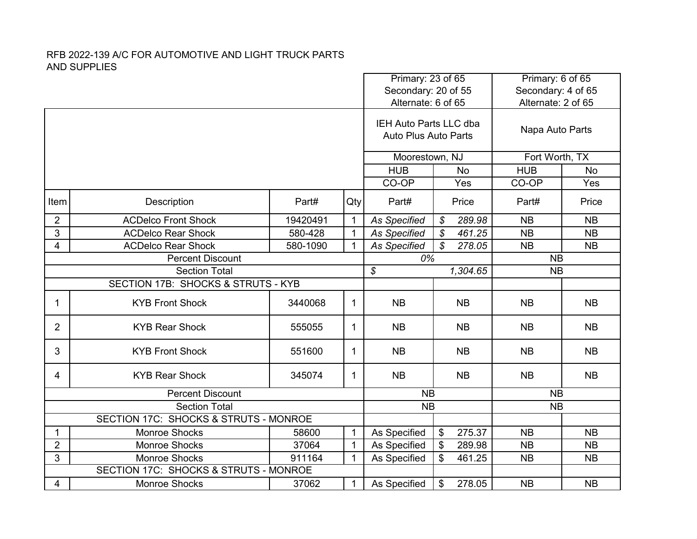|                |                                       |          |              | Primary: 23 of 65                                     |                         | Primary: 6 of 65<br>Secondary: 4 of 65 |           |
|----------------|---------------------------------------|----------|--------------|-------------------------------------------------------|-------------------------|----------------------------------------|-----------|
|                |                                       |          |              | Secondary: 20 of 55<br>Alternate: 6 of 65             |                         | Alternate: 2 of 65                     |           |
|                |                                       |          |              | IEH Auto Parts LLC dba<br><b>Auto Plus Auto Parts</b> |                         | Napa Auto Parts                        |           |
|                |                                       |          |              | Moorestown, NJ                                        |                         | Fort Worth, TX                         |           |
|                |                                       |          |              | <b>HUB</b>                                            | <b>No</b>               | <b>HUB</b>                             | <b>No</b> |
|                |                                       |          |              | CO-OP                                                 | Yes                     | CO-OP                                  | Yes       |
| Item           | Description                           | Part#    | Qty          | Part#                                                 | Price                   | Part#                                  | Price     |
| $\overline{2}$ | <b>ACDelco Front Shock</b>            | 19420491 | $\mathbf{1}$ | <b>As Specified</b>                                   | 289.98<br>$\mathcal{S}$ | <b>NB</b>                              | <b>NB</b> |
| 3              | <b>ACDelco Rear Shock</b>             | 580-428  | $\mathbf{1}$ | <b>As Specified</b>                                   | \$<br>461.25            | <b>NB</b>                              | <b>NB</b> |
| 4              | <b>ACDelco Rear Shock</b>             | 580-1090 | $\mathbf{1}$ | <b>As Specified</b>                                   | \$<br>278.05            | <b>NB</b>                              | <b>NB</b> |
|                | <b>Percent Discount</b>               |          |              | 0%                                                    |                         | <b>NB</b>                              |           |
|                | <b>Section Total</b>                  |          |              | $\boldsymbol{\mathcal{S}}$                            | 1,304.65                | <b>NB</b>                              |           |
|                | SECTION 17B: SHOCKS & STRUTS - KYB    |          |              |                                                       |                         |                                        |           |
| 1              | <b>KYB Front Shock</b>                | 3440068  | $\mathbf 1$  | <b>NB</b>                                             | <b>NB</b>               | <b>NB</b>                              | <b>NB</b> |
| $\overline{2}$ | <b>KYB Rear Shock</b>                 | 555055   | $\mathbf{1}$ | <b>NB</b>                                             | <b>NB</b>               | <b>NB</b>                              | <b>NB</b> |
| 3              | <b>KYB Front Shock</b>                | 551600   | 1            | <b>NB</b>                                             | <b>NB</b>               | <b>NB</b>                              | <b>NB</b> |
| 4              | <b>KYB Rear Shock</b>                 | 345074   | $\mathbf{1}$ | <b>NB</b>                                             | <b>NB</b>               | <b>NB</b>                              | <b>NB</b> |
|                | <b>Percent Discount</b>               |          |              | <b>NB</b>                                             |                         | <b>NB</b>                              |           |
|                | <b>Section Total</b>                  |          |              | <b>NB</b>                                             |                         | <b>NB</b>                              |           |
|                | SECTION 17C: SHOCKS & STRUTS - MONROE |          |              |                                                       |                         |                                        |           |
| 1              | <b>Monroe Shocks</b>                  | 58600    | $\mathbf{1}$ | As Specified                                          | 275.37<br>\$            | <b>NB</b>                              | <b>NB</b> |
| $\overline{2}$ | Monroe Shocks                         | 37064    | $\mathbf{1}$ | As Specified                                          | \$<br>289.98            | <b>NB</b>                              | <b>NB</b> |
| 3              | Monroe Shocks                         | 911164   | $\mathbf{1}$ | As Specified                                          | \$<br>461.25            | <b>NB</b>                              | <b>NB</b> |
|                | SECTION 17C: SHOCKS & STRUTS - MONROE |          |              |                                                       |                         |                                        |           |
| 4              | <b>Monroe Shocks</b>                  | 37062    | $\mathbf{1}$ | As Specified                                          | \$<br>278.05            | <b>NB</b>                              | <b>NB</b> |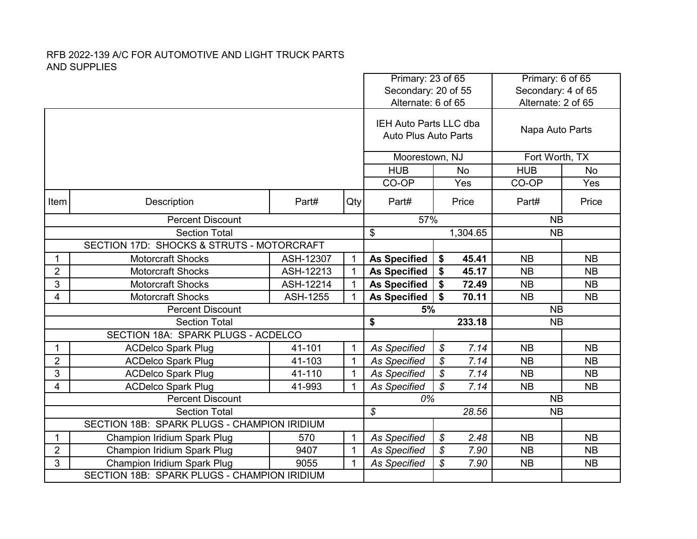|                |                                             |                 |              | Primary: 23 of 65<br>Secondary: 20 of 55 |                            |           | Primary: 6 of 65<br>Secondary: 4 of 65 |           |  |
|----------------|---------------------------------------------|-----------------|--------------|------------------------------------------|----------------------------|-----------|----------------------------------------|-----------|--|
|                |                                             |                 |              | Alternate: 6 of 65                       |                            |           | Alternate: 2 of 65                     |           |  |
|                |                                             |                 |              |                                          |                            |           |                                        |           |  |
|                |                                             |                 |              | IEH Auto Parts LLC dba                   |                            |           | Napa Auto Parts                        |           |  |
|                |                                             |                 |              | <b>Auto Plus Auto Parts</b>              |                            |           |                                        |           |  |
|                |                                             |                 |              | Moorestown, NJ                           |                            |           | Fort Worth, TX                         |           |  |
|                |                                             |                 |              | <b>HUB</b>                               |                            | <b>No</b> | <b>HUB</b>                             | No        |  |
|                |                                             |                 |              | CO-OP                                    |                            | Yes       | CO-OP                                  | Yes       |  |
| Item           | Description                                 | Part#           | Qty          | Part#                                    |                            | Price     | Part#                                  | Price     |  |
|                | <b>Percent Discount</b>                     |                 |              | 57%                                      |                            |           | <b>NB</b>                              |           |  |
|                | <b>Section Total</b>                        |                 |              | \$                                       |                            | 1,304.65  | <b>NB</b>                              |           |  |
|                | SECTION 17D: SHOCKS & STRUTS - MOTORCRAFT   |                 |              |                                          |                            |           |                                        |           |  |
| 1              | <b>Motorcraft Shocks</b>                    | ASH-12307       | $\mathbf{1}$ | <b>As Specified</b>                      | \$                         | 45.41     | <b>NB</b>                              | <b>NB</b> |  |
| $\overline{2}$ | <b>Motorcraft Shocks</b>                    | ASH-12213       | $\mathbf{1}$ | <b>As Specified</b>                      | \$                         | 45.17     | <b>NB</b>                              | <b>NB</b> |  |
| 3              | <b>Motorcraft Shocks</b>                    | ASH-12214       | $\mathbf{1}$ | <b>As Specified</b>                      | \$                         | 72.49     | <b>NB</b>                              | <b>NB</b> |  |
| 4              | Motorcraft Shocks                           | <b>ASH-1255</b> | $\mathbf{1}$ | <b>As Specified</b>                      | \$                         | 70.11     | <b>NB</b>                              | <b>NB</b> |  |
|                | <b>Percent Discount</b>                     |                 |              | 5%                                       |                            | <b>NB</b> |                                        |           |  |
|                | <b>Section Total</b>                        |                 |              | \$                                       |                            | 233.18    | <b>NB</b>                              |           |  |
|                | SECTION 18A: SPARK PLUGS - ACDELCO          |                 |              |                                          |                            |           |                                        |           |  |
| $\mathbf 1$    | <b>ACDelco Spark Plug</b>                   | 41-101          | $\mathbf{1}$ | <b>As Specified</b>                      | $\boldsymbol{\mathcal{S}}$ | 7.14      | <b>NB</b>                              | <b>NB</b> |  |
| $\overline{2}$ | <b>ACDelco Spark Plug</b>                   | 41-103          | $\mathbf{1}$ | <b>As Specified</b>                      | \$                         | 7.14      | <b>NB</b>                              | <b>NB</b> |  |
| 3              | <b>ACDelco Spark Plug</b>                   | 41-110          | $\mathbf{1}$ | <b>As Specified</b>                      | \$                         | 7.14      | <b>NB</b>                              | <b>NB</b> |  |
| 4              | <b>ACDelco Spark Plug</b>                   | 41-993          | $\mathbf 1$  | As Specified                             | \$                         | 7.14      | <b>NB</b>                              | <b>NB</b> |  |
|                | <b>Percent Discount</b>                     |                 |              | 0%                                       |                            |           | <b>NB</b>                              |           |  |
|                | <b>Section Total</b>                        |                 |              | $\boldsymbol{\mathcal{S}}$               |                            | 28.56     | <b>NB</b>                              |           |  |
|                | SECTION 18B: SPARK PLUGS - CHAMPION IRIDIUM |                 |              |                                          |                            |           |                                        |           |  |
| 1              | Champion Iridium Spark Plug                 | 570             | $\mathbf{1}$ | <b>As Specified</b>                      | \$                         | 2.48      | <b>NB</b>                              | <b>NB</b> |  |
| $\overline{2}$ | Champion Iridium Spark Plug                 | 9407            | $\mathbf{1}$ | <b>As Specified</b>                      | \$                         | 7.90      | <b>NB</b><br><b>NB</b>                 |           |  |
| 3              | Champion Iridium Spark Plug                 | 9055            | $\mathbf{1}$ | <b>As Specified</b>                      | $\mathcal{L}$              | 7.90      | <b>NB</b>                              | <b>NB</b> |  |
|                | SECTION 18B: SPARK PLUGS - CHAMPION IRIDIUM |                 |              |                                          |                            |           |                                        |           |  |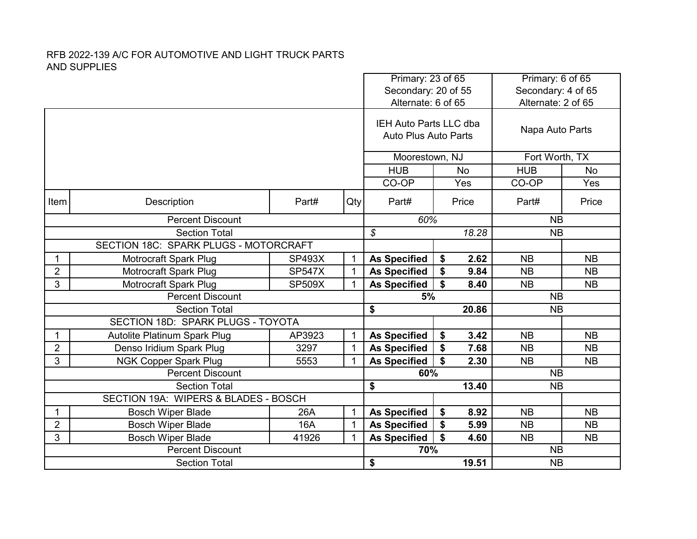|                         |                                       |               |              | Primary: 23 of 65<br>Secondary: 20 of 55                     |                                   | Primary: 6 of 65<br>Secondary: 4 of 65 |           |
|-------------------------|---------------------------------------|---------------|--------------|--------------------------------------------------------------|-----------------------------------|----------------------------------------|-----------|
|                         |                                       |               |              | Alternate: 6 of 65                                           |                                   | Alternate: 2 of 65                     |           |
|                         |                                       |               |              | <b>IEH Auto Parts LLC dba</b><br><b>Auto Plus Auto Parts</b> |                                   | Napa Auto Parts                        |           |
|                         |                                       |               |              | Moorestown, NJ                                               |                                   | Fort Worth, TX                         |           |
|                         |                                       |               |              | <b>HUB</b>                                                   | No                                | <b>HUB</b>                             | No        |
|                         |                                       |               |              | CO-OP                                                        | Yes                               | CO-OP                                  | Yes       |
| Item                    | Description                           | Part#         | Qty          | Part#                                                        | Price                             | Part#                                  | Price     |
|                         | <b>Percent Discount</b>               |               |              | 60%                                                          |                                   | <b>NB</b>                              |           |
|                         | <b>Section Total</b>                  |               |              | $\mathcal{S}$                                                | 18.28                             | <b>NB</b>                              |           |
|                         | SECTION 18C: SPARK PLUGS - MOTORCRAFT |               |              |                                                              |                                   |                                        |           |
| 1                       | <b>Motrocraft Spark Plug</b>          | <b>SP493X</b> | $\mathbf{1}$ | <b>As Specified</b>                                          | \$<br>2.62                        | <b>NB</b>                              | <b>NB</b> |
| $\overline{2}$          | Motrocraft Spark Plug                 | <b>SP547X</b> | 1            | <b>As Specified</b>                                          | \$<br>9.84                        | <b>NB</b>                              | <b>NB</b> |
| 3                       | Motrocraft Spark Plug                 | <b>SP509X</b> | $\mathbf{1}$ | <b>As Specified</b>                                          | $\mathbf{\hat{s}}$<br>8.40        | <b>NB</b>                              | <b>NB</b> |
|                         | <b>Percent Discount</b>               |               |              | 5%                                                           |                                   | <b>NB</b>                              |           |
|                         | <b>Section Total</b>                  |               |              | \$                                                           | 20.86                             | <b>NB</b>                              |           |
|                         | SECTION 18D: SPARK PLUGS - TOYOTA     |               |              |                                                              |                                   |                                        |           |
| 1                       | Autolite Platinum Spark Plug          | AP3923        | 1            | <b>As Specified</b>                                          | \$<br>3.42                        | <b>NB</b>                              | <b>NB</b> |
| $\overline{2}$          | Denso Iridium Spark Plug              | 3297          | $\mathbf{1}$ | <b>As Specified</b>                                          | \$<br>7.68                        | <b>NB</b>                              | <b>NB</b> |
| 3                       | <b>NGK Copper Spark Plug</b>          | 5553          | 1            | <b>As Specified</b>                                          | \$<br>2.30                        | <b>NB</b>                              | <b>NB</b> |
|                         | <b>Percent Discount</b>               |               |              | 60%                                                          |                                   | <b>NB</b>                              |           |
|                         | <b>Section Total</b>                  |               |              | \$                                                           | 13.40                             | <b>NB</b>                              |           |
|                         | SECTION 19A: WIPERS & BLADES - BOSCH  |               |              |                                                              |                                   |                                        |           |
| 1                       | <b>Bosch Wiper Blade</b>              | 26A           | $\mathbf{1}$ | <b>As Specified</b>                                          | \$<br>8.92                        | <b>NB</b>                              | <b>NB</b> |
| $\overline{\mathbf{c}}$ | <b>Bosch Wiper Blade</b>              | 16A           | $\mathbf 1$  | <b>As Specified</b>                                          | \$<br>5.99                        | <b>NB</b>                              | <b>NB</b> |
| 3                       | <b>Bosch Wiper Blade</b>              | 41926         | $\mathbf{1}$ | <b>As Specified</b>                                          | $\boldsymbol{\mathsf{s}}$<br>4.60 | <b>NB</b>                              | <b>NB</b> |
|                         | <b>Percent Discount</b>               |               |              | 70%                                                          |                                   | <b>NB</b>                              |           |
|                         | <b>Section Total</b>                  |               |              | 19.51<br><b>NB</b><br>\$                                     |                                   |                                        |           |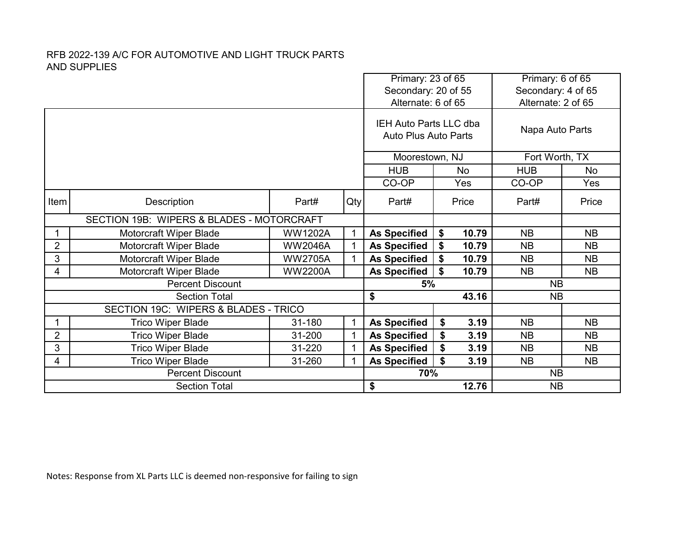|                |                                           |                | Primary: 23 of 65                                            |                                    |           | Primary: 6 of 65 |                        |           |  |
|----------------|-------------------------------------------|----------------|--------------------------------------------------------------|------------------------------------|-----------|------------------|------------------------|-----------|--|
|                |                                           |                |                                                              | Secondary: 20 of 55                |           |                  | Secondary: 4 of 65     |           |  |
|                |                                           |                |                                                              | Alternate: 6 of 65                 |           |                  | Alternate: 2 of 65     |           |  |
|                |                                           |                | <b>IEH Auto Parts LLC dba</b><br><b>Auto Plus Auto Parts</b> |                                    |           | Napa Auto Parts  |                        |           |  |
|                |                                           |                |                                                              | Moorestown, NJ                     |           |                  | Fort Worth, TX         |           |  |
|                |                                           |                |                                                              | <b>HUB</b><br>No.                  |           |                  | <b>HUB</b>             | <b>No</b> |  |
|                |                                           |                | CO-OP                                                        | Yes                                |           | CO-OP            | Yes                    |           |  |
| Item           | Description                               | Qty            | Part#                                                        | Price                              |           | Part#            | Price                  |           |  |
|                | SECTION 19B: WIPERS & BLADES - MOTORCRAFT |                |                                                              |                                    |           |                  |                        |           |  |
|                | Motorcraft Wiper Blade                    | <b>WW1202A</b> | 1                                                            | <b>As Specified</b>                | \$        | 10.79            | <b>NB</b>              | <b>NB</b> |  |
| 2              | Motorcraft Wiper Blade                    | <b>WW2046A</b> | 1                                                            | <b>As Specified</b>                | \$        | 10.79            | <b>NB</b>              | <b>NB</b> |  |
| 3              | Motorcraft Wiper Blade                    | <b>WW2705A</b> | 1                                                            | <b>As Specified</b>                | \$        | 10.79            | <b>NB</b>              | <b>NB</b> |  |
| 4              | Motorcraft Wiper Blade                    | <b>WW2200A</b> |                                                              | \$<br><b>As Specified</b><br>10.79 |           |                  | <b>NB</b><br><b>NB</b> |           |  |
|                | <b>Percent Discount</b>                   |                |                                                              | 5%                                 |           |                  | <b>NB</b>              |           |  |
|                | <b>Section Total</b>                      |                |                                                              | \$                                 |           | 43.16            | <b>NB</b>              |           |  |
|                | SECTION 19C: WIPERS & BLADES - TRICO      |                |                                                              |                                    |           |                  |                        |           |  |
|                | Trico Wiper Blade                         | 31-180         | $\mathbf{1}$                                                 | <b>As Specified</b>                | \$        | 3.19             | <b>NB</b>              | <b>NB</b> |  |
| $\overline{2}$ | <b>Trico Wiper Blade</b>                  | 31-200         | 1                                                            | <b>As Specified</b>                | \$        | 3.19             | <b>NB</b>              | <b>NB</b> |  |
| 3              | <b>Trico Wiper Blade</b>                  | 31-220         | 1                                                            | \$<br>3.19<br><b>As Specified</b>  |           |                  | <b>NB</b>              | <b>NB</b> |  |
| 4              | <b>Trico Wiper Blade</b>                  |                | <b>As Specified</b>                                          | \$                                 | 3.19      | <b>NB</b>        | <b>NB</b>              |           |  |
|                | <b>Percent Discount</b>                   | 70%            |                                                              |                                    | <b>NB</b> |                  |                        |           |  |
|                | <b>Section Total</b>                      |                |                                                              | \$                                 |           | 12.76            | <b>NB</b>              |           |  |

Notes: Response from XL Parts LLC is deemed non-responsive for failing to sign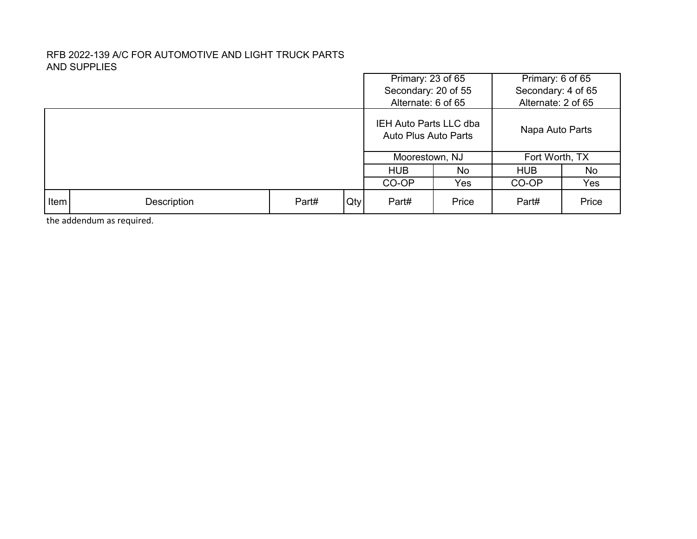|             |                      |  |     | Primary: 23 of 65                              |       | Primary: 6 of 65   |     |  |
|-------------|----------------------|--|-----|------------------------------------------------|-------|--------------------|-----|--|
|             |                      |  |     | Secondary: 20 of 55                            |       | Secondary: 4 of 65 |     |  |
|             |                      |  |     | Alternate: 6 of 65                             |       | Alternate: 2 of 65 |     |  |
|             |                      |  |     | IEH Auto Parts LLC dba<br>Auto Plus Auto Parts |       | Napa Auto Parts    |     |  |
|             |                      |  |     | Moorestown, NJ                                 |       | Fort Worth, TX     |     |  |
|             |                      |  |     | <b>HUB</b>                                     | No.   | <b>HUB</b>         | No. |  |
|             |                      |  |     | CO-OP<br>Yes                                   |       | CO-OP              | Yes |  |
| <b>Item</b> | Part#<br>Description |  | Qty | Part#                                          | Price | Price<br>Part#     |     |  |

the addendum as required.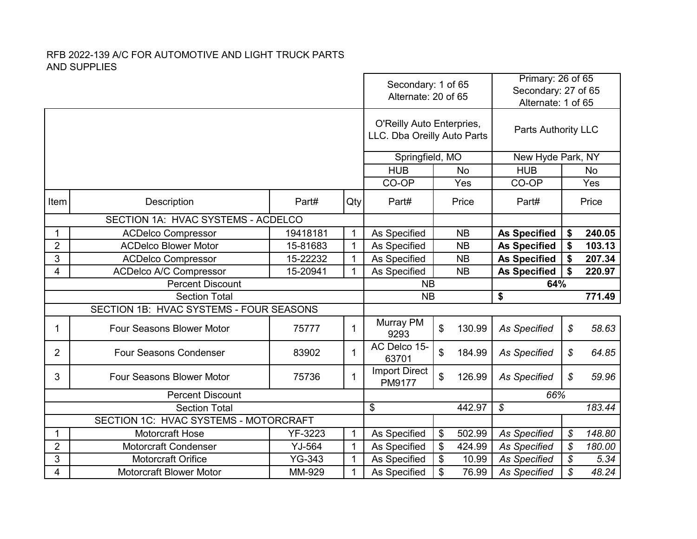|                         |                                                            |               | Secondary: 1 of 65<br>Alternate: 20 of 65 |                                                          | Primary: 26 of 65<br>Secondary: 27 of 65<br>Alternate: 1 of 65 |                     |                            |           |
|-------------------------|------------------------------------------------------------|---------------|-------------------------------------------|----------------------------------------------------------|----------------------------------------------------------------|---------------------|----------------------------|-----------|
|                         |                                                            |               |                                           | O'Reilly Auto Enterpries,<br>LLC. Dba Oreilly Auto Parts | Parts Authority LLC                                            |                     |                            |           |
|                         |                                                            |               |                                           | Springfield, MO                                          |                                                                | New Hyde Park, NY   |                            |           |
|                         |                                                            |               |                                           | <b>HUB</b>                                               | <b>No</b>                                                      | <b>HUB</b>          |                            | <b>No</b> |
|                         |                                                            |               |                                           | CO-OP                                                    | Yes                                                            | CO-OP               |                            | Yes       |
| Item                    | Description                                                | Part#         | Qty                                       | Part#                                                    | Price                                                          | Part#               |                            | Price     |
|                         | SECTION 1A: HVAC SYSTEMS - ACDELCO                         |               |                                           |                                                          |                                                                |                     |                            |           |
| 1                       | <b>ACDelco Compressor</b>                                  | 19418181      | $\mathbf{1}$                              | As Specified                                             | <b>NB</b>                                                      | <b>As Specified</b> | \$                         | 240.05    |
| $\overline{2}$          | <b>ACDelco Blower Motor</b>                                | 15-81683      | $\mathbf{1}$                              | As Specified                                             | <b>NB</b>                                                      | <b>As Specified</b> | \$                         | 103.13    |
| 3                       | <b>ACDelco Compressor</b>                                  | $\mathbf{1}$  | As Specified                              | <b>NB</b>                                                | <b>As Specified</b>                                            | \$                  | 207.34                     |           |
| 4                       | 15-22232<br><b>ACDelco A/C Compressor</b><br>15-20941<br>1 |               |                                           |                                                          | <b>NB</b>                                                      | <b>As Specified</b> | \$                         | 220.97    |
| <b>Percent Discount</b> |                                                            |               |                                           |                                                          |                                                                |                     |                            |           |
|                         |                                                            |               |                                           | <b>NB</b>                                                |                                                                | 64%                 |                            |           |
|                         | <b>Section Total</b>                                       |               |                                           | <b>NB</b>                                                |                                                                | \$                  |                            | 771.49    |
|                         | SECTION 1B: HVAC SYSTEMS - FOUR SEASONS                    |               |                                           |                                                          |                                                                |                     |                            |           |
| 1                       | Four Seasons Blower Motor                                  | 75777         | $\mathbf{1}$                              | Murray PM<br>9293                                        | \$<br>130.99                                                   | <b>As Specified</b> | $\boldsymbol{\mathcal{S}}$ | 58.63     |
| $\overline{2}$          | <b>Four Seasons Condenser</b>                              | 83902         | 1                                         | AC Delco 15-<br>63701                                    | \$<br>184.99                                                   | <b>As Specified</b> | \$                         | 64.85     |
| 3                       | <b>Four Seasons Blower Motor</b>                           | 75736         | 1                                         | <b>Import Direct</b><br>PM9177                           | \$<br>126.99                                                   | <b>As Specified</b> | $\mathcal{S}$              | 59.96     |
|                         | <b>Percent Discount</b>                                    |               |                                           |                                                          |                                                                | 66%                 |                            |           |
|                         | <b>Section Total</b>                                       |               |                                           | \$                                                       | 442.97                                                         | \$                  |                            | 183.44    |
|                         | SECTION 1C: HVAC SYSTEMS - MOTORCRAFT                      |               |                                           |                                                          |                                                                |                     |                            |           |
|                         | Motorcraft Hose                                            | YF-3223       | $\mathbf{1}$                              | As Specified                                             | \$<br>502.99                                                   | <b>As Specified</b> | $\boldsymbol{\mathcal{S}}$ | 148.80    |
| $\overline{2}$          | <b>Motorcraft Condenser</b>                                | YJ-564        | $\mathbf{1}$                              | As Specified                                             | \$<br>424.99                                                   | <b>As Specified</b> | $\overline{\mathcal{S}}$   | 180.00    |
| 3                       | <b>Motorcraft Orifice</b>                                  | <b>YG-343</b> | $\mathbf{1}$                              | As Specified                                             | \$<br>10.99                                                    | <b>As Specified</b> | \$                         | 5.34      |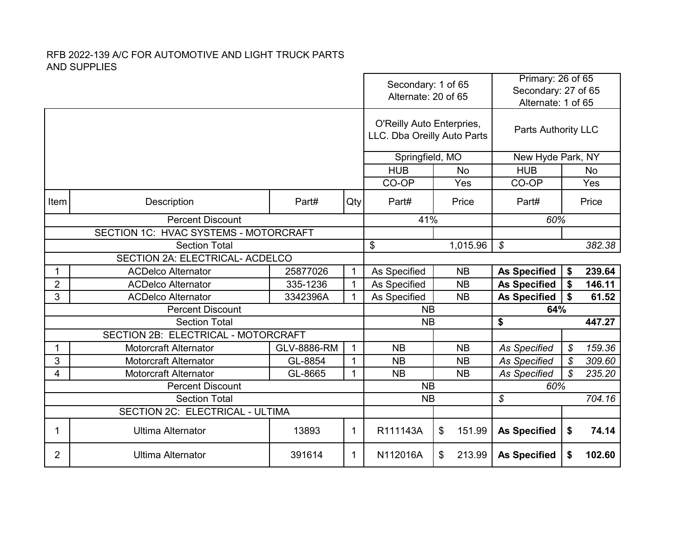| Alternate: 20 of 65                                                                                                         | Primary: 26 of 65<br>Secondary: 27 of 65<br>Alternate: 1 of 65 |                            |           |
|-----------------------------------------------------------------------------------------------------------------------------|----------------------------------------------------------------|----------------------------|-----------|
| O'Reilly Auto Enterpries,<br>LLC. Dba Oreilly Auto Parts                                                                    | <b>Parts Authority LLC</b>                                     |                            |           |
| Springfield, MO                                                                                                             | New Hyde Park, NY                                              |                            |           |
| <b>HUB</b><br><b>HUB</b><br><b>No</b>                                                                                       |                                                                |                            | <b>No</b> |
| CO-OP<br>CO-OP<br>Yes                                                                                                       |                                                                |                            | Yes       |
| Part#<br>Item<br>Part#<br>Qty<br>Price<br>Part#<br>Description                                                              |                                                                |                            | Price     |
| <b>Percent Discount</b><br>41%                                                                                              | 60%                                                            |                            |           |
| SECTION 1C: HVAC SYSTEMS - MOTORCRAFT                                                                                       |                                                                |                            |           |
| \$<br>\$<br><b>Section Total</b><br>1,015.96                                                                                |                                                                |                            | 382.38    |
| SECTION 2A: ELECTRICAL- ACDELCO                                                                                             |                                                                |                            |           |
| <b>ACDelco Alternator</b><br>25877026<br>1<br>As Specified<br><b>NB</b><br><b>As Specified</b>                              |                                                                | \$                         | 239.64    |
| $\overline{2}$<br>$\mathbf{1}$<br><b>As Specified</b><br><b>ACDelco Alternator</b><br>335-1236<br>As Specified<br><b>NB</b> |                                                                | \$                         | 146.11    |
| 3<br><b>ACDelco Alternator</b><br>3342396A<br>$\mathbf{1}$<br>As Specified<br><b>NB</b><br><b>As Specified</b>              |                                                                | \$                         | 61.52     |
| <b>Percent Discount</b><br><b>NB</b>                                                                                        | 64%                                                            |                            |           |
| <b>NB</b><br>\$<br><b>Section Total</b>                                                                                     |                                                                |                            | 447.27    |
| SECTION 2B: ELECTRICAL - MOTORCRAFT                                                                                         |                                                                |                            |           |
| <b>Motorcraft Alternator</b><br><b>GLV-8886-RM</b><br>$\mathbf{1}$<br><b>NB</b><br><b>NB</b><br><b>As Specified</b><br>1    |                                                                | $\boldsymbol{\mathcal{S}}$ | 159.36    |
| 3<br><b>Motorcraft Alternator</b><br>GL-8854<br>$\mathbf{1}$<br><b>NB</b><br><b>As Specified</b><br><b>NB</b>               |                                                                | $\boldsymbol{\mathcal{S}}$ | 309.60    |
| 4<br><b>Motorcraft Alternator</b><br>$\mathbf 1$<br><b>NB</b><br><b>NB</b><br><b>As Specified</b><br>GL-8665                |                                                                | $\mathcal{S}$              | 235.20    |
| <b>NB</b><br><b>Percent Discount</b>                                                                                        | 60%                                                            |                            |           |
| \$<br><b>Section Total</b><br><b>NB</b>                                                                                     |                                                                |                            | 704.16    |
| SECTION 2C: ELECTRICAL - ULTIMA                                                                                             |                                                                |                            |           |
| <b>Ultima Alternator</b><br>13893<br>1<br>R111143A<br>\$<br>151.99<br><b>As Specified</b><br>1                              |                                                                | \$                         | 74.14     |
| 2<br><b>Ultima Alternator</b><br>391614<br>N112016A<br>\$<br>213.99<br><b>As Specified</b><br>1                             |                                                                | \$                         | 102.60    |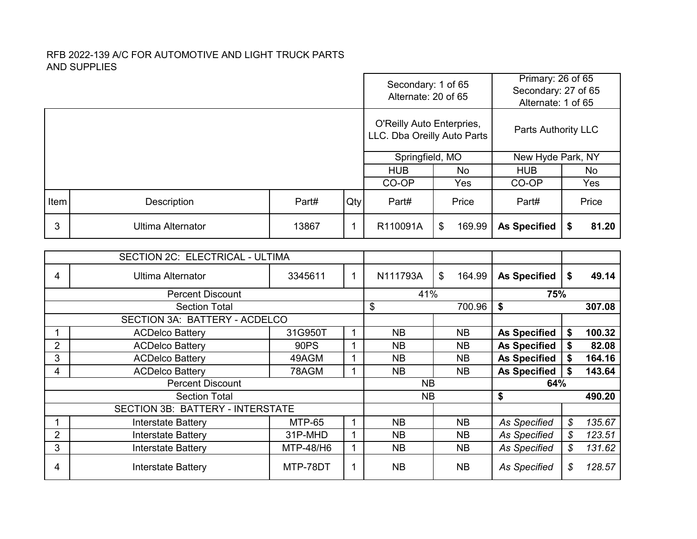|                |                                         |               |              | Secondary: 1 of 65<br>Alternate: 20 of 65                |           |                     | Primary: 26 of 65<br>Secondary: 27 of 65<br>Alternate: 1 of 65 |                   |           |  |
|----------------|-----------------------------------------|---------------|--------------|----------------------------------------------------------|-----------|---------------------|----------------------------------------------------------------|-------------------|-----------|--|
|                |                                         |               |              | O'Reilly Auto Enterpries,<br>LLC. Dba Oreilly Auto Parts |           |                     | Parts Authority LLC                                            |                   |           |  |
|                |                                         |               |              | Springfield, MO                                          |           |                     |                                                                | New Hyde Park, NY |           |  |
|                |                                         |               |              | <b>HUB</b>                                               |           | <b>No</b>           | <b>HUB</b>                                                     |                   | <b>No</b> |  |
|                |                                         |               |              | CO-OP                                                    |           | Yes                 | CO-OP                                                          |                   | Yes       |  |
| Item           | Description                             | Part#         | Qty          | Part#                                                    |           | Price               | Part#                                                          |                   | Price     |  |
| 3              | <b>Ultima Alternator</b>                | 13867         | $\mathbf{1}$ | R110091A                                                 | \$        | 169.99              | <b>As Specified</b>                                            | \$                | 81.20     |  |
|                | SECTION 2C: ELECTRICAL - ULTIMA         |               |              |                                                          |           |                     |                                                                |                   |           |  |
| 4              | <b>Ultima Alternator</b>                | 3345611       | 1            | N111793A                                                 | \$        | 164.99              | <b>As Specified</b>                                            | \$                | 49.14     |  |
|                | <b>Percent Discount</b>                 |               |              | 41%                                                      |           |                     | 75%                                                            |                   |           |  |
|                | <b>Section Total</b>                    |               |              | \$                                                       |           | 700.96              | \$                                                             |                   | 307.08    |  |
|                | SECTION 3A: BATTERY - ACDELCO           |               |              |                                                          |           |                     |                                                                |                   |           |  |
| 1              | <b>ACDelco Battery</b>                  | 31G950T       | $\mathbf{1}$ | <b>NB</b>                                                |           | <b>NB</b>           | <b>As Specified</b>                                            | \$                | 100.32    |  |
| $\overline{2}$ | <b>ACDelco Battery</b>                  | 90PS          | $\mathbf{1}$ | <b>NB</b>                                                |           | <b>NB</b>           | <b>As Specified</b>                                            | \$                | 82.08     |  |
| 3              | <b>ACDelco Battery</b>                  | 49AGM         | $\mathbf{1}$ | <b>NB</b>                                                |           | <b>NB</b>           | <b>As Specified</b>                                            | \$                | 164.16    |  |
| $\overline{4}$ | <b>ACDelco Battery</b>                  | 78AGM         | $\mathbf{1}$ | <b>NB</b>                                                |           | <b>NB</b>           | <b>As Specified</b>                                            | \$                | 143.64    |  |
|                | <b>Percent Discount</b>                 |               |              | <b>NB</b>                                                |           |                     | 64%                                                            |                   |           |  |
|                | <b>Section Total</b>                    |               |              | <b>NB</b>                                                |           |                     | \$                                                             |                   | 490.20    |  |
|                | <b>SECTION 3B: BATTERY - INTERSTATE</b> | <b>MTP-65</b> |              |                                                          |           |                     |                                                                |                   |           |  |
|                | <b>Interstate Battery</b>               | $\mathbf{1}$  | <b>NB</b>    |                                                          | <b>NB</b> | <b>As Specified</b> | \$                                                             | 135.67            |           |  |
| $\overline{2}$ | <b>Interstate Battery</b>               | $\mathbf{1}$  | <b>NB</b>    |                                                          | <b>NB</b> | <b>As Specified</b> | ${\mathcal{S}}$                                                | 123.51            |           |  |
| 3              | <b>Interstate Battery</b>               | $\mathbf{1}$  | <b>NB</b>    |                                                          | <b>NB</b> | <b>As Specified</b> | \$                                                             | 131.62            |           |  |
| 4              | <b>Interstate Battery</b>               | MTP-78DT      | $\mathbf 1$  | <b>NB</b>                                                |           | <b>NB</b>           | <b>As Specified</b>                                            | \$                | 128.57    |  |

п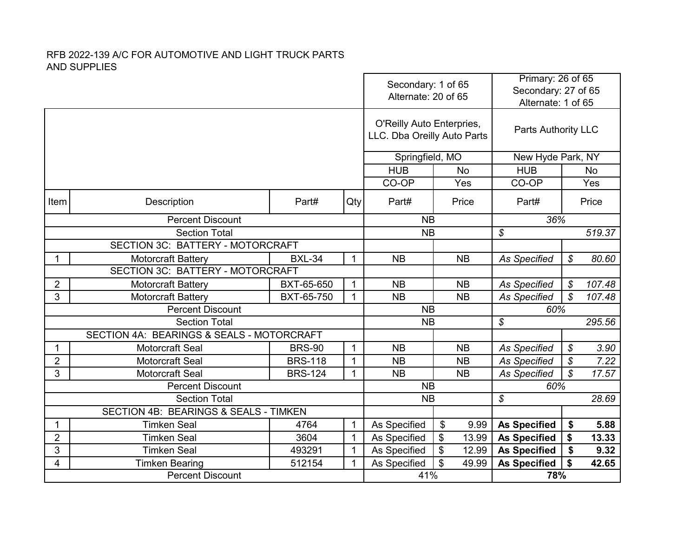|                                         |                                           |                              | Secondary: 1 of 65<br>Alternate: 20 of 65 |                                                          | Primary: 26 of 65<br>Secondary: 27 of 65<br>Alternate: 1 of 65 |                           |                                    |
|-----------------------------------------|-------------------------------------------|------------------------------|-------------------------------------------|----------------------------------------------------------|----------------------------------------------------------------|---------------------------|------------------------------------|
|                                         |                                           |                              |                                           | O'Reilly Auto Enterpries,<br>LLC. Dba Oreilly Auto Parts |                                                                | Parts Authority LLC       |                                    |
|                                         |                                           |                              |                                           | Springfield, MO                                          |                                                                | New Hyde Park, NY         |                                    |
|                                         |                                           |                              |                                           | <b>HUB</b>                                               | <b>No</b>                                                      | <b>HUB</b>                | <b>No</b>                          |
|                                         |                                           |                              |                                           | CO-OP                                                    | Yes                                                            | CO-OP                     | Yes                                |
| Item                                    | Description                               | Part#                        | Qty                                       | Part#                                                    | Price                                                          | Part#                     | Price                              |
|                                         | <b>Percent Discount</b>                   |                              |                                           | <b>NB</b>                                                |                                                                | 36%                       |                                    |
|                                         | <b>Section Total</b>                      | <b>NB</b>                    |                                           | \$                                                       | 519.37                                                         |                           |                                    |
|                                         | SECTION 3C: BATTERY - MOTORCRAFT          |                              |                                           |                                                          |                                                                |                           |                                    |
| 1                                       | <b>Motorcraft Battery</b>                 | $\mathbf{1}$                 | <b>NB</b>                                 | <b>NB</b>                                                | <b>As Specified</b>                                            | 80.60<br>\$               |                                    |
| <b>SECTION 3C: BATTERY - MOTORCRAFT</b> |                                           |                              |                                           |                                                          |                                                                |                           |                                    |
| $\overline{2}$                          | <b>Motorcraft Battery</b>                 | BXT-65-650                   | $\mathbf{1}$                              | <b>NB</b>                                                | <b>NB</b>                                                      | <b>As Specified</b>       | \$<br>107.48                       |
| 3                                       | <b>Motorcraft Battery</b>                 | BXT-65-750                   | $\mathbf{1}$                              | <b>NB</b>                                                | <b>NB</b>                                                      | <b>As Specified</b>       | $\mathcal{S}$<br>107.48            |
|                                         | <b>Percent Discount</b>                   |                              |                                           | <b>NB</b>                                                |                                                                | 60%                       |                                    |
|                                         | <b>Section Total</b>                      |                              |                                           | <b>NB</b>                                                |                                                                | \$                        | 295.56                             |
|                                         | SECTION 4A: BEARINGS & SEALS - MOTORCRAFT |                              |                                           |                                                          |                                                                |                           |                                    |
| $\mathbf{1}$                            | <b>Motorcraft Seal</b>                    | <b>BRS-90</b>                | $\mathbf{1}$                              | <b>NB</b>                                                | <b>NB</b>                                                      | <b>As Specified</b>       | $\boldsymbol{\mathcal{S}}$<br>3.90 |
| $\overline{2}$                          | <b>Motorcraft Seal</b>                    | <b>BRS-118</b>               | $\mathbf 1$                               | <b>NB</b>                                                | <b>NB</b>                                                      | <b>As Specified</b>       | \$<br>7.22                         |
| 3                                       | Motorcraft Seal                           | <b>BRS-124</b>               | $\mathbf{1}$                              | <b>NB</b>                                                | <b>NB</b>                                                      | <b>As Specified</b>       | $\mathcal{S}$<br>17.57             |
|                                         | <b>Percent Discount</b>                   |                              |                                           | <b>NB</b>                                                |                                                                | 60%                       |                                    |
|                                         | <b>Section Total</b>                      |                              |                                           | <b>NB</b>                                                |                                                                | \$                        | 28.69                              |
|                                         | SECTION 4B: BEARINGS & SEALS - TIMKEN     |                              |                                           |                                                          |                                                                |                           |                                    |
| $\mathbf 1$                             | <b>Timken Seal</b>                        | $\mathbf 1$                  | As Specified                              | \$<br>9.99                                               | <b>As Specified</b>                                            | \$<br>5.88                |                                    |
| $\overline{2}$<br>3                     | <b>Timken Seal</b><br><b>Timken Seal</b>  | $\mathbf{1}$<br>$\mathbf{1}$ | As Specified                              | \$<br>13.99<br>\$<br>12.99                               | <b>As Specified</b>                                            | \$<br>13.33<br>\$<br>9.32 |                                    |
| 4                                       | <b>Timken Bearing</b>                     | $\mathbf{1}$                 | As Specified<br>As Specified              | \$<br>49.99                                              | <b>As Specified</b>                                            | \$<br>42.65               |                                    |
|                                         | <b>Percent Discount</b>                   |                              | 41%                                       |                                                          | <b>As Specified</b>                                            |                           |                                    |
|                                         |                                           |                              |                                           | 78%                                                      |                                                                |                           |                                    |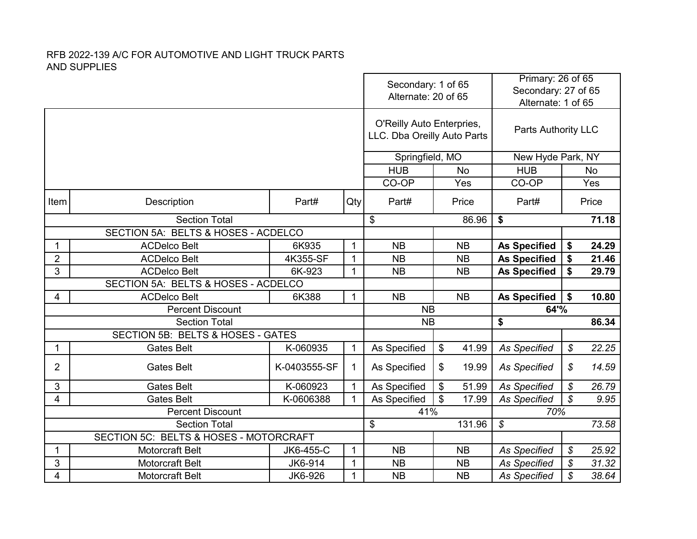|                                     |                                                                |              |              | Secondary: 1 of 65<br>Alternate: 20 of 65                |                                  | Primary: 26 of 65<br>Secondary: 27 of 65<br>Alternate: 1 of 65 |                            |                |  |
|-------------------------------------|----------------------------------------------------------------|--------------|--------------|----------------------------------------------------------|----------------------------------|----------------------------------------------------------------|----------------------------|----------------|--|
|                                     |                                                                |              |              | O'Reilly Auto Enterpries,<br>LLC. Dba Oreilly Auto Parts | <b>Parts Authority LLC</b>       |                                                                |                            |                |  |
|                                     |                                                                |              |              | Springfield, MO                                          |                                  | New Hyde Park, NY                                              |                            |                |  |
|                                     |                                                                |              |              | <b>HUB</b>                                               | <b>No</b>                        | <b>HUB</b>                                                     |                            | No             |  |
|                                     |                                                                |              |              | CO-OP                                                    | Yes                              | CO-OP                                                          |                            | Yes            |  |
| Item                                | Description                                                    | Part#        | Qty          | Part#                                                    | Part#                            |                                                                | Price                      |                |  |
|                                     | <b>Section Total</b>                                           |              |              | \$                                                       | 86.96                            | \$                                                             |                            | 71.18          |  |
| SECTION 5A: BELTS & HOSES - ACDELCO |                                                                |              |              |                                                          |                                  |                                                                |                            |                |  |
| 1                                   | <b>ACDelco Belt</b>                                            | 6K935        | 1            | <b>NB</b>                                                | <b>NB</b>                        | <b>As Specified</b>                                            | \$                         | 24.29          |  |
| $\overline{\mathbf{c}}$             | <b>ACDelco Belt</b>                                            | $\mathbf{1}$ | <b>NB</b>    | <b>As Specified</b><br><b>NB</b>                         |                                  |                                                                | 21.46                      |                |  |
| 3                                   | 4K355-SF<br>$\mathbf{1}$<br><b>ACDelco Belt</b><br>6K-923      |              |              | <b>NB</b>                                                | <b>NB</b>                        | <b>As Specified</b>                                            | \$                         | 29.79          |  |
|                                     | SECTION 5A: BELTS & HOSES - ACDELCO                            |              |              |                                                          |                                  |                                                                |                            |                |  |
| 4                                   | <b>ACDelco Belt</b>                                            | 6K388        | $\mathbf{1}$ | <b>NB</b>                                                | <b>NB</b>                        | <b>As Specified</b>                                            | \$                         | 10.80          |  |
|                                     | <b>Percent Discount</b>                                        |              |              | <b>NB</b><br>64'%                                        |                                  |                                                                |                            |                |  |
|                                     | <b>Section Total</b>                                           |              |              | <b>NB</b>                                                |                                  | \$                                                             |                            | 86.34          |  |
|                                     | SECTION 5B: BELTS & HOSES - GATES                              |              |              |                                                          |                                  |                                                                |                            |                |  |
| 1                                   | <b>Gates Belt</b>                                              | K-060935     | $\mathbf 1$  | As Specified                                             | \$<br>41.99                      | <b>As Specified</b>                                            | \$                         | 22.25          |  |
| $\overline{2}$                      | <b>Gates Belt</b>                                              | K-0403555-SF | $\mathbf 1$  | As Specified                                             | \$<br>19.99                      | <b>As Specified</b>                                            | \$                         | 14.59          |  |
| 3                                   | <b>Gates Belt</b>                                              | K-060923     | $\mathbf 1$  | As Specified                                             | \$<br>51.99                      | <b>As Specified</b>                                            | $\boldsymbol{\mathcal{S}}$ | 26.79          |  |
| 4                                   | <b>Gates Belt</b>                                              | K-0606388    | $\mathbf{1}$ | As Specified                                             | \$<br>17.99                      | <b>As Specified</b>                                            | $\mathcal{S}$              | 9.95           |  |
|                                     | <b>Percent Discount</b>                                        |              |              | 41%                                                      |                                  | 70%                                                            |                            |                |  |
|                                     | <b>Section Total</b>                                           |              |              | \$                                                       | 131.96                           | $\boldsymbol{\mathcal{S}}$                                     |                            | 73.58          |  |
|                                     | SECTION 5C: BELTS & HOSES - MOTORCRAFT                         |              |              |                                                          |                                  |                                                                |                            |                |  |
| 1                                   | <b>Motorcraft Belt</b><br>$\mathbf{1}$<br>JK6-455-C<br>JK6-914 |              |              | <b>NB</b>                                                | <b>NB</b><br><b>As Specified</b> |                                                                | $\boldsymbol{\mathcal{S}}$ | 25.92<br>31.32 |  |
| 3                                   | <b>Motorcraft Belt</b>                                         | $\mathbf{1}$ | <b>NB</b>    | <b>NB</b>                                                | \$<br><b>As Specified</b>        |                                                                |                            |                |  |
| 4                                   | Motorcraft Belt                                                | $\mathbf{1}$ | <b>NB</b>    | <b>NB</b>                                                | <b>As Specified</b>              | \$                                                             | 38.64                      |                |  |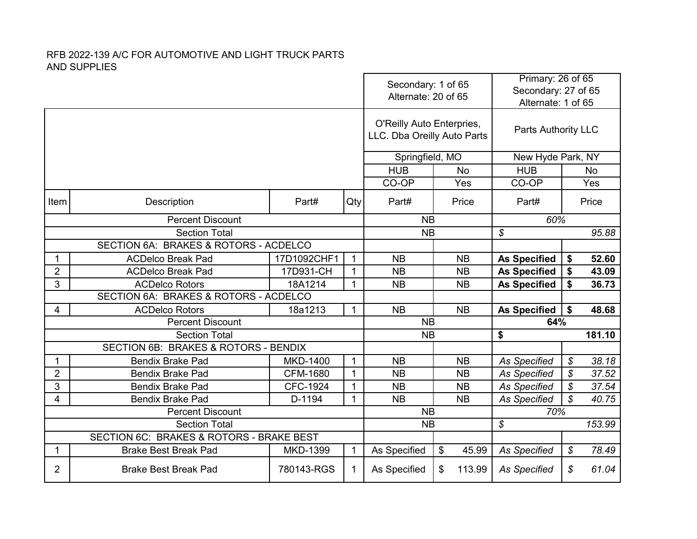|                      |                                                             |                 |              | Secondary: 1 of 65<br>Alternate: 20 of 65                |                                  | Primary: 26 of 65<br>Secondary: 27 of 65<br>Alternate: 1 of 65 |                            |           |  |
|----------------------|-------------------------------------------------------------|-----------------|--------------|----------------------------------------------------------|----------------------------------|----------------------------------------------------------------|----------------------------|-----------|--|
|                      |                                                             |                 |              | O'Reilly Auto Enterpries,<br>LLC. Dba Oreilly Auto Parts | <b>Parts Authority LLC</b>       |                                                                |                            |           |  |
|                      |                                                             |                 |              | Springfield, MO                                          |                                  |                                                                | New Hyde Park, NY          |           |  |
|                      |                                                             |                 |              | <b>HUB</b>                                               | <b>No</b>                        | <b>HUB</b>                                                     |                            | <b>No</b> |  |
|                      |                                                             |                 |              | CO-OP                                                    | Yes                              | CO-OP                                                          |                            | Yes       |  |
| Item                 | Description                                                 | Part#           | Qty          | Part#                                                    | Part#                            |                                                                | Price                      |           |  |
|                      | <b>Percent Discount</b>                                     |                 |              | <b>NB</b>                                                |                                  | 60%                                                            |                            |           |  |
| <b>Section Total</b> |                                                             |                 |              | <b>NB</b>                                                |                                  | \$                                                             |                            | 95.88     |  |
|                      | SECTION 6A: BRAKES & ROTORS - ACDELCO                       |                 |              |                                                          |                                  |                                                                |                            |           |  |
| 1                    | 17D1092CHF1<br>$\mathbf{1}$<br><b>ACDelco Break Pad</b>     |                 |              | <b>NB</b>                                                | <b>NB</b>                        | <b>As Specified</b>                                            |                            | 52.60     |  |
| $\overline{2}$       | 17D931-CH<br><b>ACDelco Break Pad</b>                       |                 | $\mathbf{1}$ | <b>NB</b>                                                | <b>As Specified</b><br><b>NB</b> |                                                                | \$                         | 43.09     |  |
| 3                    | <b>ACDelco Rotors</b>                                       | 18A1214         | $\mathbf 1$  | <b>NB</b>                                                | <b>NB</b>                        | <b>As Specified</b>                                            | \$                         | 36.73     |  |
|                      | SECTION 6A: BRAKES & ROTORS - ACDELCO                       |                 |              |                                                          |                                  |                                                                |                            |           |  |
| 4                    | <b>ACDelco Rotors</b>                                       | 18a1213         | $\mathbf{1}$ | <b>NB</b>                                                | <b>NB</b>                        | <b>As Specified</b>                                            | \$                         | 48.68     |  |
|                      | <b>Percent Discount</b>                                     |                 |              | <b>NB</b>                                                |                                  | 64%                                                            |                            |           |  |
|                      | <b>Section Total</b>                                        |                 |              | <b>NB</b>                                                |                                  | \$                                                             |                            | 181.10    |  |
|                      | SECTION 6B: BRAKES & ROTORS - BENDIX                        |                 |              |                                                          |                                  |                                                                |                            |           |  |
| 1                    | <b>Bendix Brake Pad</b>                                     | <b>MKD-1400</b> | $\mathbf{1}$ | <b>NB</b>                                                | <b>NB</b>                        | <b>As Specified</b>                                            | $\boldsymbol{\mathcal{S}}$ | 38.18     |  |
| $\overline{2}$       | <b>Bendix Brake Pad</b>                                     | CFM-1680        | $\mathbf{1}$ | <b>NB</b>                                                | <b>NB</b>                        | <b>As Specified</b>                                            | $\boldsymbol{\mathcal{S}}$ | 37.52     |  |
| 3                    | <b>Bendix Brake Pad</b>                                     | <b>CFC-1924</b> | $\mathbf 1$  | <b>NB</b>                                                | <b>NB</b>                        | <b>As Specified</b>                                            | \$                         | 37.54     |  |
| 4                    | <b>Bendix Brake Pad</b>                                     | D-1194          | $\mathbf 1$  | <b>NB</b>                                                | <b>NB</b>                        | <b>As Specified</b>                                            | $\mathcal{S}$              | 40.75     |  |
|                      | <b>Percent Discount</b>                                     |                 |              | <b>NB</b>                                                |                                  | 70%                                                            |                            |           |  |
|                      | <b>Section Total</b>                                        |                 |              | <b>NB</b>                                                |                                  | $\boldsymbol{\mathcal{S}}$                                     |                            | 153.99    |  |
|                      | SECTION 6C: BRAKES & ROTORS - BRAKE BEST                    |                 |              |                                                          |                                  |                                                                |                            |           |  |
|                      | $\mathbf 1$<br>1<br><b>Brake Best Break Pad</b><br>MKD-1399 |                 |              | As Specified                                             | \$<br>45.99                      | <b>As Specified</b>                                            | ${\mathcal S}$             | 78.49     |  |
| $\overline{2}$       | <b>Brake Best Break Pad</b><br>780143-RGS                   |                 |              | As Specified                                             | \$<br>113.99                     | <b>As Specified</b>                                            | \$                         | 61.04     |  |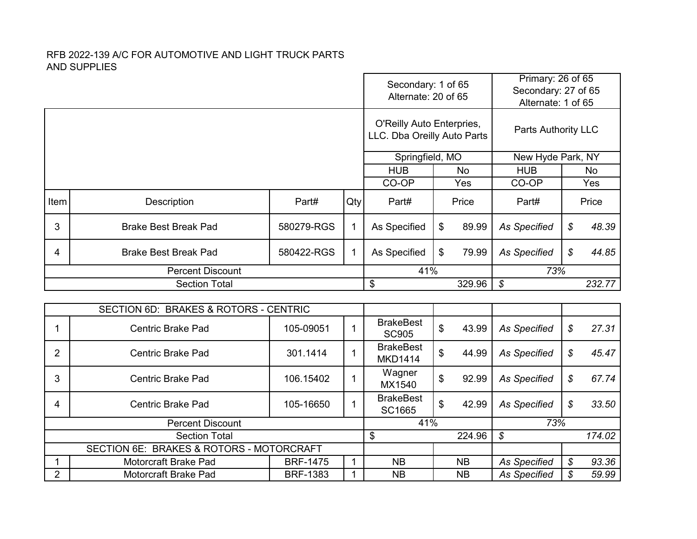1 Motorcraft Brake Pad BRF-1475 1<br>2 Motorcraft Brake Pad BRF-1383 1

Motorcraft Brake Pad BRF-1383 1

|                |                                                            |             | Secondary: 1 of 65<br>Alternate: 20 of 65 |                                                          | Primary: 26 of 65<br>Secondary: 27 of 65<br>Alternate: 1 of 65 |                            |                                     |
|----------------|------------------------------------------------------------|-------------|-------------------------------------------|----------------------------------------------------------|----------------------------------------------------------------|----------------------------|-------------------------------------|
|                |                                                            |             |                                           | O'Reilly Auto Enterpries,<br>LLC. Dba Oreilly Auto Parts |                                                                | Parts Authority LLC        |                                     |
|                |                                                            |             |                                           | Springfield, MO                                          |                                                                | New Hyde Park, NY          |                                     |
|                |                                                            |             |                                           | <b>HUB</b>                                               | <b>No</b>                                                      | <b>HUB</b>                 | <b>No</b>                           |
|                |                                                            |             |                                           | CO-OP                                                    | Yes                                                            | CO-OP                      | Yes                                 |
| Item           | Description                                                | Part#       | Qty                                       | Part#                                                    | Price                                                          | Part#                      | Price                               |
| 3              | <b>Brake Best Break Pad</b>                                | 580279-RGS  | $\mathbf{1}$                              | As Specified                                             | \$<br>89.99                                                    | <b>As Specified</b>        | \$<br>48.39                         |
| 4              | <b>Brake Best Break Pad</b>                                | $\mathbf 1$ | \$<br>79.99<br>As Specified               |                                                          | <b>As Specified</b>                                            | \$<br>44.85                |                                     |
|                | <b>Percent Discount</b>                                    |             |                                           | 41%                                                      |                                                                | 73%                        |                                     |
|                |                                                            |             |                                           |                                                          |                                                                |                            |                                     |
|                | <b>Section Total</b>                                       |             |                                           | \$                                                       | 329.96                                                         | \$                         | 232.77                              |
|                |                                                            |             |                                           |                                                          |                                                                |                            |                                     |
|                | <b>BRAKES &amp; ROTORS - CENTRIC</b><br><b>SECTION 6D:</b> |             |                                           |                                                          |                                                                |                            |                                     |
| 1              | <b>Centric Brake Pad</b>                                   | 105-09051   | $\mathbf{1}$                              | <b>BrakeBest</b><br><b>SC905</b>                         | \$<br>43.99                                                    | <b>As Specified</b>        | \$<br>27.31                         |
| $\overline{2}$ | <b>Centric Brake Pad</b>                                   | 301.1414    | $\mathbf{1}$                              | <b>BrakeBest</b><br><b>MKD1414</b>                       | \$<br>44.99                                                    | <b>As Specified</b>        | $\boldsymbol{\mathcal{S}}$<br>45.47 |
| 3              | <b>Centric Brake Pad</b>                                   | 106.15402   | $\mathbf{1}$                              | Wagner<br>MX1540                                         | \$<br>92.99                                                    | <b>As Specified</b>        | \$<br>67.74                         |
| 4              | <b>Centric Brake Pad</b>                                   | 105-16650   | $\mathbf 1$                               | <b>BrakeBest</b><br>SC1665                               | \$<br>42.99                                                    | <b>As Specified</b>        | \$<br>33.50                         |
|                | <b>Percent Discount</b>                                    |             |                                           | 41%                                                      |                                                                | 73%                        |                                     |
|                | <b>Section Total</b>                                       |             |                                           | \$                                                       | 224.96                                                         | $\boldsymbol{\mathcal{S}}$ | 174.02                              |

NB NB *As Specified \$ 93.36* NB NB *As Specified \$ 59.99*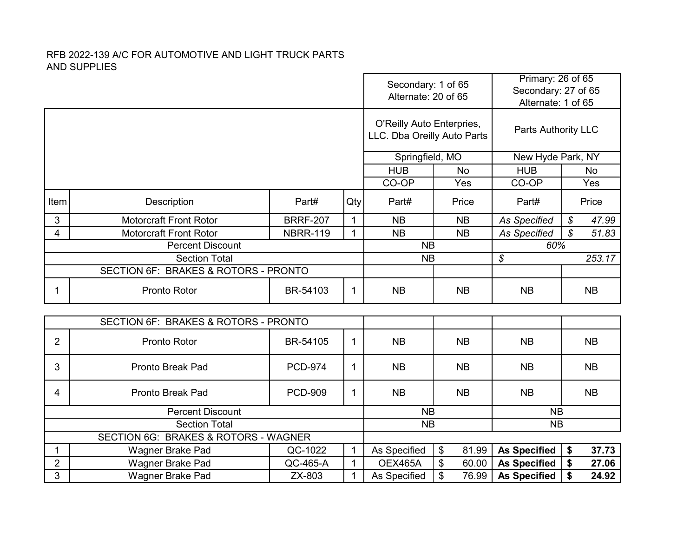|                |                                      |                                         |                                            | Secondary: 1 of 65<br>Alternate: 20 of 65                |                     | Primary: 26 of 65<br>Secondary: 27 of 65<br>Alternate: 1 of 65 |                                     |  |
|----------------|--------------------------------------|-----------------------------------------|--------------------------------------------|----------------------------------------------------------|---------------------|----------------------------------------------------------------|-------------------------------------|--|
|                |                                      |                                         |                                            | O'Reilly Auto Enterpries,<br>LLC. Dba Oreilly Auto Parts |                     | Parts Authority LLC                                            |                                     |  |
|                |                                      |                                         |                                            | Springfield, MO                                          |                     | New Hyde Park, NY                                              |                                     |  |
|                |                                      |                                         |                                            | <b>HUB</b>                                               | <b>No</b>           | <b>HUB</b>                                                     | <b>No</b>                           |  |
|                |                                      |                                         |                                            | CO-OP                                                    | Yes                 | CO-OP                                                          | Yes                                 |  |
| Item           | Description                          | Part#                                   | Qty                                        | Part#                                                    | Price               | Part#                                                          | Price                               |  |
| 3              | <b>Motorcraft Front Rotor</b>        | <b>BRRF-207</b>                         | $\mathbf{1}$                               | <b>NB</b>                                                | <b>NB</b>           | <b>As Specified</b>                                            | $\boldsymbol{\mathcal{S}}$<br>47.99 |  |
| $\overline{4}$ | <b>Motorcraft Front Rotor</b>        | $\mathbf{1}$                            | <b>NB</b>                                  | <b>NB</b>                                                | <b>As Specified</b> | $\mathcal{L}$<br>51.83                                         |                                     |  |
|                | <b>Percent Discount</b>              |                                         |                                            |                                                          | <b>NB</b>           | 60%                                                            |                                     |  |
|                | <b>Section Total</b>                 | <b>NB</b>                               |                                            | \$                                                       | 253.17              |                                                                |                                     |  |
|                | SECTION 6F: BRAKES & ROTORS - PRONTO |                                         |                                            |                                                          |                     |                                                                |                                     |  |
| 1              | Pronto Rotor                         | BR-54103                                | 1                                          | <b>NB</b>                                                | <b>NB</b>           | <b>NB</b>                                                      | <b>NB</b>                           |  |
|                | SECTION 6F: BRAKES & ROTORS - PRONTO |                                         |                                            |                                                          |                     |                                                                |                                     |  |
|                |                                      |                                         |                                            |                                                          |                     |                                                                |                                     |  |
| $\overline{2}$ | Pronto Rotor                         | BR-54105                                | 1                                          | <b>NB</b>                                                | <b>NB</b>           | <b>NB</b>                                                      | <b>NB</b>                           |  |
| 3              | <b>Pronto Break Pad</b>              | <b>PCD-974</b>                          | 1                                          | <b>NB</b>                                                | <b>NB</b>           | <b>NB</b>                                                      | <b>NB</b>                           |  |
| 4              | Pronto Break Pad                     | <b>PCD-909</b>                          | $\mathbf 1$                                | <b>NB</b>                                                | <b>NB</b>           | <b>NB</b><br><b>NB</b>                                         |                                     |  |
|                | <b>Percent Discount</b>              |                                         |                                            | <b>NB</b>                                                |                     | <b>NB</b>                                                      |                                     |  |
|                | <b>Section Total</b>                 |                                         |                                            | <b>NB</b>                                                |                     | <b>NB</b>                                                      |                                     |  |
|                | SECTION 6G: BRAKES & ROTORS - WAGNER | QC-1022                                 |                                            |                                                          |                     |                                                                |                                     |  |
| 1              | Wagner Brake Pad                     | $\mathbf 1$                             | As Specified                               | \$<br>81.99<br>\$<br>60.00                               | <b>As Specified</b> | \$<br>37.73                                                    |                                     |  |
| $\overline{2}$ | Wagner Brake Pad                     | <b>OEX465A</b><br>As Specified          | <b>As Specified</b><br><b>As Specified</b> | \$<br>27.06                                              |                     |                                                                |                                     |  |
| 3              | Wagner Brake Pad                     | QC-465-A<br>1<br>$\mathbf{1}$<br>ZX-803 |                                            |                                                          |                     |                                                                | \$<br>24.92                         |  |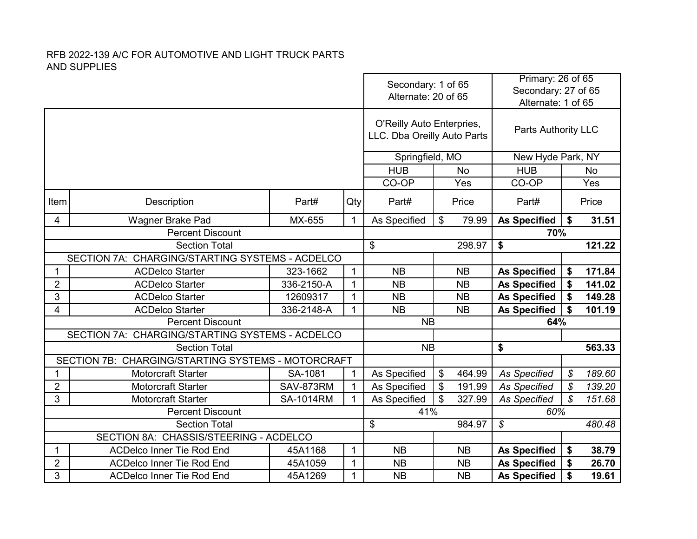|                                                 |                                                                      |                              |              | Secondary: 1 of 65<br>Alternate: 20 of 65                |           |                     | Primary: 26 of 65<br>Secondary: 27 of 65<br>Alternate: 1 of 65 |                            |           |  |
|-------------------------------------------------|----------------------------------------------------------------------|------------------------------|--------------|----------------------------------------------------------|-----------|---------------------|----------------------------------------------------------------|----------------------------|-----------|--|
|                                                 |                                                                      |                              |              | O'Reilly Auto Enterpries,<br>LLC. Dba Oreilly Auto Parts |           |                     | Parts Authority LLC                                            |                            |           |  |
|                                                 |                                                                      |                              |              | Springfield, MO                                          |           |                     | New Hyde Park, NY                                              |                            |           |  |
|                                                 |                                                                      |                              |              | <b>HUB</b>                                               |           | <b>No</b>           | <b>HUB</b>                                                     |                            | <b>No</b> |  |
|                                                 |                                                                      |                              |              | CO-OP                                                    |           | Yes                 | CO-OP                                                          |                            | Yes       |  |
| Item                                            | Description                                                          | Part#                        | Qty          | Part#                                                    |           | Price               | Part#                                                          |                            | Price     |  |
| 4                                               | Wagner Brake Pad                                                     | MX-655                       | $\mathbf{1}$ | As Specified<br>$\boldsymbol{\mathsf{S}}$<br>79.99       |           |                     | <b>As Specified</b>                                            | \$                         | 31.51     |  |
|                                                 | <b>Percent Discount</b>                                              |                              |              |                                                          | \$        |                     |                                                                | 70%                        |           |  |
|                                                 | <b>Section Total</b>                                                 |                              |              |                                                          |           | 298.97              | \$                                                             |                            | 121.22    |  |
| SECTION 7A: CHARGING/STARTING SYSTEMS - ACDELCO |                                                                      |                              |              |                                                          |           |                     |                                                                |                            |           |  |
| $\mathbf 1$                                     | <b>ACDelco Starter</b>                                               | 323-1662                     | $\mathbf{1}$ | <b>NB</b>                                                |           | <b>NB</b>           | <b>As Specified</b>                                            | \$                         | 171.84    |  |
| $\overline{2}$                                  | <b>ACDelco Starter</b>                                               | 336-2150-A                   | $\mathbf{1}$ | <b>NB</b>                                                | <b>NB</b> |                     | <b>As Specified</b>                                            | \$                         | 141.02    |  |
| 3                                               | <b>ACDelco Starter</b>                                               | 12609317                     | $\mathbf{1}$ | <b>NB</b>                                                |           | <b>NB</b>           | <b>As Specified</b>                                            | \$                         | 149.28    |  |
| 4                                               | <b>ACDelco Starter</b>                                               | 336-2148-A                   | $\mathbf{1}$ | <b>NB</b><br><b>NB</b>                                   |           |                     | <b>As Specified</b>                                            | \$                         | 101.19    |  |
|                                                 | <b>Percent Discount</b>                                              |                              |              | <b>NB</b>                                                |           |                     | 64%                                                            |                            |           |  |
|                                                 | SECTION 7A: CHARGING/STARTING SYSTEMS - ACDELCO                      |                              |              |                                                          |           |                     |                                                                |                            |           |  |
|                                                 | <b>Section Total</b>                                                 |                              |              | <b>NB</b>                                                |           |                     | \$                                                             |                            | 563.33    |  |
|                                                 | SECTION 7B: CHARGING/STARTING SYSTEMS - MOTORCRAFT                   |                              |              |                                                          |           |                     |                                                                |                            |           |  |
| 1                                               | Motorcraft Starter                                                   | SA-1081                      | $\mathbf{1}$ | As Specified                                             | \$        | 464.99              | <b>As Specified</b>                                            | $\boldsymbol{\mathcal{S}}$ | 189.60    |  |
| $\overline{2}$                                  | <b>Motorcraft Starter</b>                                            | SAV-873RM                    | $\mathbf{1}$ | As Specified                                             |           | 191.99              | <b>As Specified</b>                                            | $\boldsymbol{\mathcal{S}}$ | 139.20    |  |
| 3                                               | <b>Motorcraft Starter</b>                                            | <b>SA-1014RM</b>             | $\mathbf 1$  | As Specified                                             |           | 327.99              | <b>As Specified</b>                                            | $\mathcal{S}$              | 151.68    |  |
|                                                 | <b>Percent Discount</b>                                              |                              |              | 41%                                                      |           |                     | 60%                                                            |                            |           |  |
|                                                 | <b>Section Total</b>                                                 |                              |              | \$                                                       |           | 984.97              | $\boldsymbol{\mathcal{S}}$                                     |                            | 480.48    |  |
|                                                 | SECTION 8A: CHASSIS/STEERING - ACDELCO<br>45A1168                    |                              |              | <b>NB</b>                                                |           |                     |                                                                |                            |           |  |
| 1                                               | <b>ACDelco Inner Tie Rod End</b><br><b>ACDelco Inner Tie Rod End</b> | $\mathbf{1}$<br>$\mathbf{1}$ | <b>NB</b>    | <b>NB</b><br><b>NB</b>                                   |           | <b>As Specified</b> | \$                                                             | 38.79<br>26.70             |           |  |
| $\overline{2}$<br>3                             | <b>ACDelco Inner Tie Rod End</b>                                     | 45A1059<br>45A1269           | $\mathbf{1}$ | <b>NB</b>                                                |           | <b>NB</b>           | <b>As Specified</b>                                            | \$                         |           |  |
|                                                 |                                                                      |                              |              |                                                          |           | <b>As Specified</b> | \$                                                             | 19.61                      |           |  |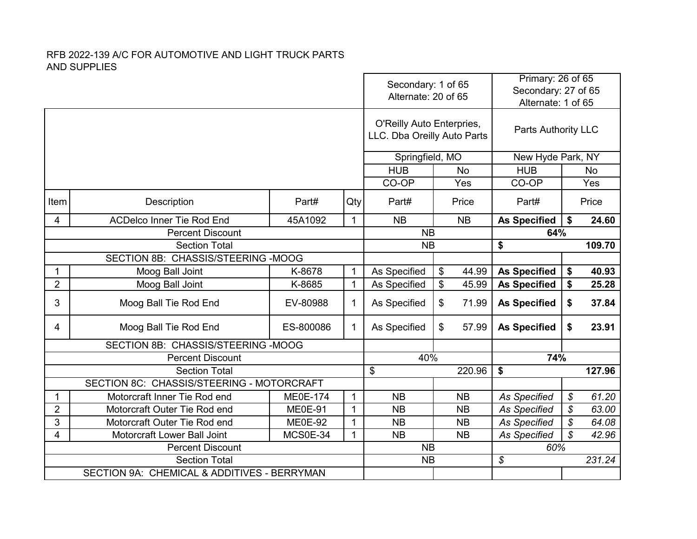|                                    |                                             |                 |              | Secondary: 1 of 65<br>Alternate: 20 of 65                |           |                     | Primary: 26 of 65<br>Secondary: 27 of 65<br>Alternate: 1 of 65 |               |           |
|------------------------------------|---------------------------------------------|-----------------|--------------|----------------------------------------------------------|-----------|---------------------|----------------------------------------------------------------|---------------|-----------|
|                                    |                                             |                 |              | O'Reilly Auto Enterpries,<br>LLC. Dba Oreilly Auto Parts |           |                     | <b>Parts Authority LLC</b>                                     |               |           |
|                                    |                                             |                 |              | Springfield, MO                                          |           |                     | New Hyde Park, NY                                              |               |           |
|                                    |                                             |                 |              | <b>HUB</b>                                               |           | <b>No</b>           | <b>HUB</b>                                                     |               | <b>No</b> |
|                                    |                                             |                 |              | CO-OP                                                    |           | Yes                 | CO-OP                                                          |               | Yes       |
| Item                               | Description                                 | Part#           | Qty          | Part#                                                    |           | Price               | Part#                                                          |               | Price     |
| 4                                  | <b>ACDelco Inner Tie Rod End</b>            | 45A1092         | $\mathbf{1}$ | <b>NB</b>                                                |           | <b>NB</b>           | <b>As Specified</b>                                            | \$            | 24.60     |
|                                    | <b>Percent Discount</b>                     |                 |              | <b>NB</b>                                                |           | 64%                 |                                                                |               |           |
|                                    | <b>Section Total</b>                        |                 |              | <b>NB</b>                                                |           |                     | \$                                                             |               | 109.70    |
| SECTION 8B: CHASSIS/STEERING -MOOG |                                             |                 |              |                                                          |           |                     |                                                                |               |           |
| 1                                  | Moog Ball Joint                             | K-8678          | $\mathbf{1}$ | As Specified                                             | \$        | 44.99               | <b>As Specified</b>                                            | \$            | 40.93     |
| $\overline{2}$                     | Moog Ball Joint                             | K-8685          | $\mathbf{1}$ | As Specified                                             | \$        | 45.99               | <b>As Specified</b>                                            | \$            | 25.28     |
| 3                                  | Moog Ball Tie Rod End                       | EV-80988        | $\mathbf{1}$ | As Specified                                             | \$        | 71.99               | <b>As Specified</b>                                            | \$            | 37.84     |
| 4                                  | Moog Ball Tie Rod End                       | ES-800086       | $\mathbf{1}$ | As Specified                                             | \$        | 57.99               | <b>As Specified</b>                                            | \$            | 23.91     |
|                                    | SECTION 8B: CHASSIS/STEERING -MOOG          |                 |              |                                                          |           |                     |                                                                |               |           |
|                                    | <b>Percent Discount</b>                     |                 |              | 40%                                                      |           |                     | 74%                                                            |               |           |
|                                    | <b>Section Total</b>                        |                 |              | \$                                                       |           | 220.96              | $\boldsymbol{\$}$                                              |               | 127.96    |
|                                    | SECTION 8C: CHASSIS/STEERING - MOTORCRAFT   |                 |              |                                                          |           |                     |                                                                |               |           |
| 1                                  | Motorcraft Inner Tie Rod end                | <b>ME0E-174</b> | $\mathbf{1}$ | <b>NB</b>                                                |           | <b>NB</b>           | <b>As Specified</b>                                            | \$            | 61.20     |
| $\overline{2}$                     | Motorcraft Outer Tie Rod end                | <b>ME0E-91</b>  | $\mathbf{1}$ | <b>NB</b>                                                |           | <b>NB</b>           | <b>As Specified</b>                                            | \$            | 63.00     |
| 3                                  | Motorcraft Outer Tie Rod end                | ME0E-92         | $\mathbf{1}$ | <b>NB</b>                                                |           | <b>NB</b>           | <b>As Specified</b>                                            | $\mathcal{S}$ | 64.08     |
| 4                                  | Motorcraft Lower Ball Joint                 | $\mathbf{1}$    | <b>NB</b>    |                                                          | <b>NB</b> | <b>As Specified</b> | $\mathcal{S}$                                                  | 42.96         |           |
|                                    | <b>Percent Discount</b>                     | <b>NB</b>       |              |                                                          | 60%       |                     |                                                                |               |           |
|                                    | <b>Section Total</b>                        | <b>NB</b>       |              |                                                          | \$        |                     | 231.24                                                         |               |           |
|                                    | SECTION 9A: CHEMICAL & ADDITIVES - BERRYMAN |                 |              |                                                          |           |                     |                                                                |               |           |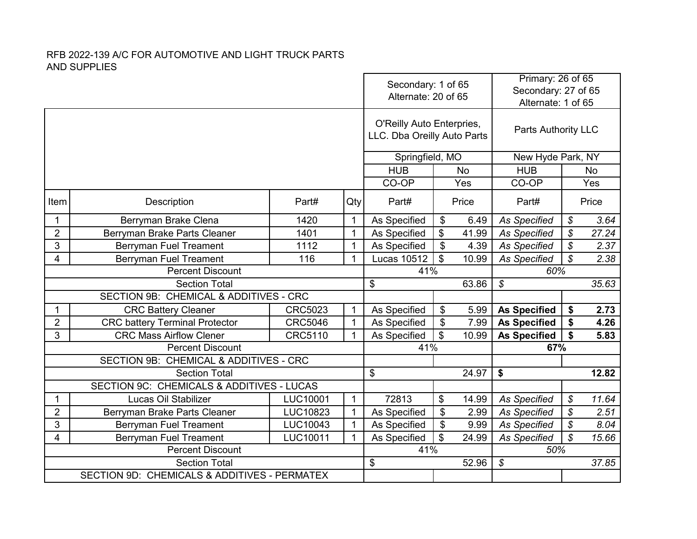|                                                                |                                       |                |              | Secondary: 1 of 65<br>Alternate: 20 of 65                |                |       | Primary: 26 of 65<br>Secondary: 27 of 65<br>Alternate: 1 of 65 |                            |       |
|----------------------------------------------------------------|---------------------------------------|----------------|--------------|----------------------------------------------------------|----------------|-------|----------------------------------------------------------------|----------------------------|-------|
|                                                                |                                       |                |              | O'Reilly Auto Enterpries,<br>LLC. Dba Oreilly Auto Parts |                |       | Parts Authority LLC                                            |                            |       |
|                                                                |                                       |                |              | Springfield, MO                                          |                |       | New Hyde Park, NY                                              |                            |       |
|                                                                |                                       |                |              | <b>HUB</b>                                               | <b>No</b>      |       | <b>HUB</b>                                                     | No                         |       |
|                                                                |                                       |                |              | CO-OP                                                    |                | Yes   | CO-OP                                                          |                            | Yes   |
| Item                                                           | Description                           | Part#          | Qty          | Part#                                                    | Price          |       | Part#                                                          | Price                      |       |
| $\mathbf{1}$                                                   | Berryman Brake Clena                  | 1420           | $\mathbf{1}$ | As Specified                                             | \$             | 6.49  | <b>As Specified</b>                                            | $\boldsymbol{\mathcal{S}}$ | 3.64  |
| $\overline{2}$                                                 | Berryman Brake Parts Cleaner          | 1401           | $\mathbf{1}$ | As Specified                                             | \$             | 41.99 | <b>As Specified</b>                                            | \$                         | 27.24 |
| 3                                                              | <b>Berryman Fuel Treament</b>         | 1112           | $\mathbf{1}$ | As Specified                                             | \$             | 4.39  | <b>As Specified</b>                                            | $\mathcal{S}$              | 2.37  |
| 4                                                              | <b>Berryman Fuel Treament</b>         | 116            | $\mathbf{1}$ | <b>Lucas 10512</b>                                       | $\mathfrak{L}$ | 10.99 | <b>As Specified</b>                                            | $\mathcal{S}$              | 2.38  |
| <b>Percent Discount</b>                                        |                                       |                |              | 41%                                                      |                | 60%   |                                                                |                            |       |
| <b>Section Total</b>                                           |                                       |                |              | \$                                                       |                | 63.86 | $\boldsymbol{\mathcal{S}}$                                     |                            | 35.63 |
| SECTION 9B: CHEMICAL & ADDITIVES - CRC                         |                                       |                |              |                                                          |                |       |                                                                |                            |       |
| $\mathbf{1}$                                                   | <b>CRC Battery Cleaner</b>            | CRC5023        | $\mathbf{1}$ | As Specified                                             | \$             | 5.99  | <b>As Specified</b>                                            | \$                         | 2.73  |
| $\overline{2}$                                                 | <b>CRC battery Terminal Protector</b> | <b>CRC5046</b> | $\mathbf{1}$ | As Specified                                             | \$             | 7.99  | <b>As Specified</b>                                            | \$                         | 4.26  |
| 3                                                              | <b>CRC Mass Airflow Clener</b>        | CRC5110        | $\mathbf{1}$ | As Specified                                             | \$             | 10.99 | <b>As Specified</b>                                            | \$                         | 5.83  |
| <b>Percent Discount</b>                                        |                                       |                |              | 41%                                                      |                |       | 67%                                                            |                            |       |
| SECTION 9B: CHEMICAL & ADDITIVES - CRC                         |                                       |                |              |                                                          |                |       |                                                                |                            |       |
| <b>Section Total</b>                                           |                                       |                |              | \$                                                       |                | 24.97 | \$                                                             |                            | 12.82 |
| SECTION 9C: CHEMICALS & ADDITIVES - LUCAS                      |                                       |                |              |                                                          |                |       |                                                                |                            |       |
| 1                                                              | Lucas Oil Stabilizer                  | LUC10001       | $\mathbf{1}$ | 72813                                                    | \$             | 14.99 | <b>As Specified</b>                                            | \$                         | 11.64 |
| $\overline{2}$                                                 | Berryman Brake Parts Cleaner          | LUC10823       | $\mathbf{1}$ | As Specified                                             | \$             | 2.99  | <b>As Specified</b>                                            | $\mathcal{S}$              | 2.51  |
| 3                                                              | <b>Berryman Fuel Treament</b>         | LUC10043       | $\mathbf{1}$ | As Specified                                             | \$             | 9.99  | <b>As Specified</b>                                            | $\boldsymbol{\mathcal{S}}$ | 8.04  |
| 4<br><b>Berryman Fuel Treament</b><br>LUC10011<br>$\mathbf{1}$ |                                       |                |              | \$<br>As Specified<br>24.99                              |                |       | $\mathcal{S}$<br><b>As Specified</b><br>15.66                  |                            |       |
| <b>Percent Discount</b>                                        |                                       |                |              | 41%                                                      |                |       | 50%                                                            |                            |       |
| <b>Section Total</b>                                           |                                       |                |              | \$                                                       |                | 52.96 | $\boldsymbol{\mathcal{S}}$                                     |                            | 37.85 |
| SECTION 9D: CHEMICALS & ADDITIVES - PERMATEX                   |                                       |                |              |                                                          |                |       |                                                                |                            |       |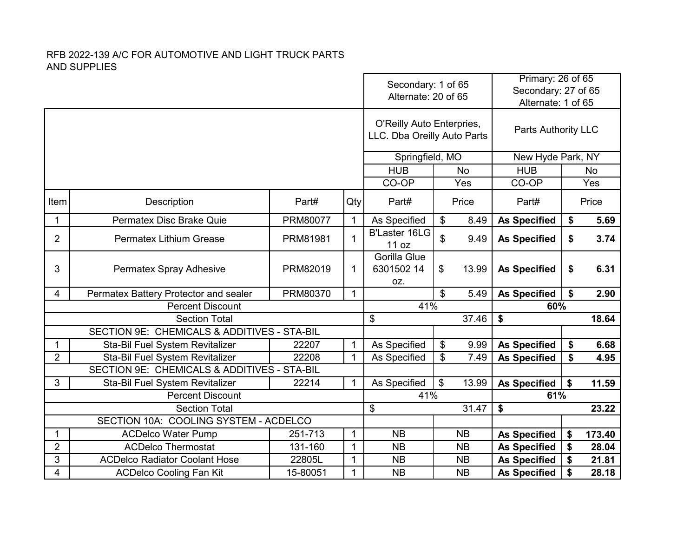|                |                                                            |          |                              | Primary: 26 of 65<br>Secondary: 1 of 65<br>Secondary: 27 of 65<br>Alternate: 20 of 65<br>Alternate: 1 of 65 |                           |                     |                            |                      |        |
|----------------|------------------------------------------------------------|----------|------------------------------|-------------------------------------------------------------------------------------------------------------|---------------------------|---------------------|----------------------------|----------------------|--------|
|                |                                                            |          |                              | O'Reilly Auto Enterpries,<br>LLC. Dba Oreilly Auto Parts                                                    |                           | Parts Authority LLC |                            |                      |        |
|                |                                                            |          |                              | Springfield, MO                                                                                             |                           |                     | New Hyde Park, NY          |                      |        |
|                |                                                            |          |                              | <b>HUB</b>                                                                                                  |                           | <b>No</b>           | <b>HUB</b>                 |                      | No     |
|                |                                                            |          |                              | CO-OP                                                                                                       |                           | Yes                 | CO-OP                      |                      | Yes    |
| Item           | Description                                                | Part#    | Qty                          | Part#                                                                                                       |                           | Price               | Part#                      |                      | Price  |
| 1              | Permatex Disc Brake Quie                                   | PRM80077 | $\mathbf{1}$                 | As Specified                                                                                                | \$                        | 8.49                | <b>As Specified</b>        | \$                   | 5.69   |
| $\overline{2}$ | <b>Permatex Lithium Grease</b>                             | PRM81981 | $\mathbf{1}$                 | <b>B'Laster 16LG</b><br>11 oz                                                                               | \$                        | 9.49                | <b>As Specified</b>        | \$                   | 3.74   |
| 3              | Permatex Spray Adhesive                                    | PRM82019 | 1                            | Gorilla Glue<br>6301502 14<br>OZ.                                                                           | \$                        | 13.99               | <b>As Specified</b>        | \$                   | 6.31   |
| 4              | Permatex Battery Protector and sealer                      | PRM80370 | $\mathbf{1}$                 |                                                                                                             | $\boldsymbol{\mathsf{S}}$ | 5.49                | <b>As Specified</b>        | \$                   | 2.90   |
|                | <b>Percent Discount</b>                                    |          |                              | 41%                                                                                                         |                           |                     | 60%                        |                      |        |
|                | <b>Section Total</b>                                       |          |                              | \$                                                                                                          |                           | 37.46               | \$                         |                      | 18.64  |
|                | SECTION 9E: CHEMICALS & ADDITIVES - STA-BIL                |          |                              |                                                                                                             |                           |                     |                            |                      |        |
| 1              | Sta-Bil Fuel System Revitalizer                            | 22207    | $\mathbf{1}$                 | As Specified                                                                                                | \$                        | 9.99                | <b>As Specified</b>        | \$                   | 6.68   |
| $\overline{2}$ | Sta-Bil Fuel System Revitalizer                            | 22208    | $\mathbf{1}$                 | As Specified                                                                                                | \$                        | 7.49                | <b>As Specified</b>        | $\overline{\bullet}$ | 4.95   |
|                | SECTION 9E: CHEMICALS & ADDITIVES - STA-BIL                |          |                              |                                                                                                             |                           |                     |                            |                      |        |
| 3              | Sta-Bil Fuel System Revitalizer<br><b>Percent Discount</b> | 22214    | $\mathbf{1}$                 | As Specified<br>41%                                                                                         | \$                        | 13.99               | <b>As Specified</b><br>61% | \$                   | 11.59  |
|                | <b>Section Total</b>                                       |          |                              | \$                                                                                                          |                           | 31.47               | \$                         |                      | 23.22  |
|                | SECTION 10A: COOLING SYSTEM - ACDELCO                      |          |                              |                                                                                                             |                           |                     |                            |                      |        |
|                | <b>ACDelco Water Pump</b><br>251-713<br>1                  |          |                              | <b>NB</b>                                                                                                   |                           | <b>NB</b>           | <b>As Specified</b>        | \$                   | 173.40 |
|                | $\overline{2}$<br><b>ACDelco Thermostat</b><br>131-160     |          |                              | <b>NB</b>                                                                                                   |                           | <b>NB</b>           | <b>As Specified</b>        | \$                   | 28.04  |
| 3              | <b>ACDelco Radiator Coolant Hose</b>                       | 22805L   | $\mathbf{1}$<br>$\mathbf{1}$ | <b>NB</b>                                                                                                   |                           | <b>NB</b>           | <b>As Specified</b>        | \$                   | 21.81  |
| 4              | <b>ACDelco Cooling Fan Kit</b>                             | 15-80051 | 1                            | <b>NB</b>                                                                                                   |                           | <b>NB</b>           | <b>As Specified</b>        | \$                   | 28.18  |
|                |                                                            |          |                              |                                                                                                             |                           |                     |                            |                      |        |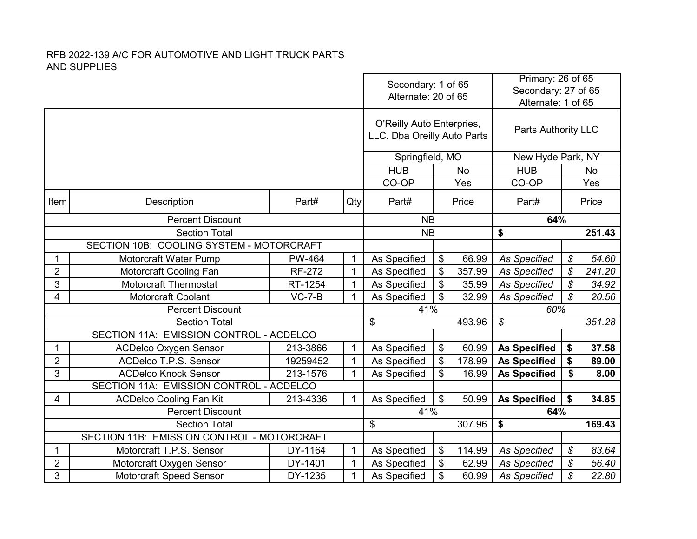| O'Reilly Auto Enterpries,<br><b>Parts Authority LLC</b><br>LLC. Dba Oreilly Auto Parts<br>Springfield, MO<br>New Hyde Park, NY<br><b>HUB</b><br><b>HUB</b><br><b>No</b><br>No<br>CO-OP<br>CO-OP<br>Yes<br>Yes<br>Item<br>Description<br>Part#<br>Qty<br>Part#<br>Price<br>Part#<br>Price<br>64%<br><b>Percent Discount</b><br><b>NB</b><br>\$<br><b>Section Total</b><br><b>NB</b><br>251.43<br>SECTION 10B: COOLING SYSTEM - MOTORCRAFT<br>Motorcraft Water Pump<br><b>PW-464</b><br>$\mathbf{1}$<br>\$<br>66.99<br>54.60<br>As Specified<br><b>As Specified</b><br>\$<br>1<br>$\overline{2}$<br>Motorcraft Cooling Fan<br><b>RF-272</b><br>$\mathbf{1}$<br>As Specified<br>\$<br>357.99<br>\$<br>241.20<br><b>As Specified</b><br>3<br><b>Motorcraft Thermostat</b><br>$\mathcal{S}$<br>$\mathbf{1}$<br>As Specified<br>\$<br><b>As Specified</b><br>RT-1254<br>35.99<br>34.92<br>$\mathbf{1}$<br>\$<br>$\mathcal{S}$<br>4<br>Motorcraft Coolant<br>$VC-7-B$<br>As Specified<br>32.99<br>20.56<br><b>As Specified</b><br><b>Percent Discount</b><br>41%<br>60%<br>\$<br>\$<br>493.96<br>351.28<br><b>Section Total</b><br>SECTION 11A: EMISSION CONTROL - ACDELCO<br>\$<br>213-3866<br>$\mathbf{1}$<br>As Specified<br>60.99<br><b>As Specified</b><br>\$<br>37.58<br>1<br><b>ACDelco Oxygen Sensor</b><br>$\overline{2}$<br>ACDelco T.P.S. Sensor<br>$\mathbf{1}$<br>\$<br>\$<br>19259452<br>As Specified<br>178.99<br><b>As Specified</b><br>89.00<br>3<br>$\mathbf{1}$<br><b>ACDelco Knock Sensor</b><br>213-1576<br>As Specified<br>\$<br>16.99<br><b>As Specified</b><br>\$<br>8.00<br>SECTION 11A: EMISSION CONTROL - ACDELCO<br>\$<br>$\mathbf{1}$<br>As Specified<br>\$<br>4<br><b>ACDelco Cooling Fan Kit</b><br>213-4336<br>50.99<br><b>As Specified</b><br>34.85<br>41%<br><b>Percent Discount</b><br>64%<br>\$<br>307.96<br>\$<br><b>Section Total</b><br>169.43<br>SECTION 11B: EMISSION CONTROL - MOTORCRAFT<br>$\mathbf 1$<br>${\mathcal S}$<br>Motorcraft T.P.S. Sensor<br>\$<br>114.99<br>83.64<br>1<br>DY-1164<br>As Specified<br><b>As Specified</b><br>$\boldsymbol{\mathcal{S}}$<br>$\overline{2}$<br>DY-1401<br>$\mathbf{1}$<br>\$<br>Motorcraft Oxygen Sensor<br>As Specified<br>62.99<br><b>As Specified</b><br>56.40 |   |                                |         | Secondary: 1 of 65<br>Alternate: 20 of 65 |              |    | Primary: 26 of 65<br>Secondary: 27 of 65<br>Alternate: 1 of 65 |                     |                            |       |
|-------------------------------------------------------------------------------------------------------------------------------------------------------------------------------------------------------------------------------------------------------------------------------------------------------------------------------------------------------------------------------------------------------------------------------------------------------------------------------------------------------------------------------------------------------------------------------------------------------------------------------------------------------------------------------------------------------------------------------------------------------------------------------------------------------------------------------------------------------------------------------------------------------------------------------------------------------------------------------------------------------------------------------------------------------------------------------------------------------------------------------------------------------------------------------------------------------------------------------------------------------------------------------------------------------------------------------------------------------------------------------------------------------------------------------------------------------------------------------------------------------------------------------------------------------------------------------------------------------------------------------------------------------------------------------------------------------------------------------------------------------------------------------------------------------------------------------------------------------------------------------------------------------------------------------------------------------------------------------------------------------------------------------------------------------------------------------------------------------------------------------------------------------------------------------------------------------------------------------------------------|---|--------------------------------|---------|-------------------------------------------|--------------|----|----------------------------------------------------------------|---------------------|----------------------------|-------|
|                                                                                                                                                                                                                                                                                                                                                                                                                                                                                                                                                                                                                                                                                                                                                                                                                                                                                                                                                                                                                                                                                                                                                                                                                                                                                                                                                                                                                                                                                                                                                                                                                                                                                                                                                                                                                                                                                                                                                                                                                                                                                                                                                                                                                                                 |   |                                |         |                                           |              |    |                                                                |                     |                            |       |
|                                                                                                                                                                                                                                                                                                                                                                                                                                                                                                                                                                                                                                                                                                                                                                                                                                                                                                                                                                                                                                                                                                                                                                                                                                                                                                                                                                                                                                                                                                                                                                                                                                                                                                                                                                                                                                                                                                                                                                                                                                                                                                                                                                                                                                                 |   |                                |         |                                           |              |    |                                                                |                     |                            |       |
|                                                                                                                                                                                                                                                                                                                                                                                                                                                                                                                                                                                                                                                                                                                                                                                                                                                                                                                                                                                                                                                                                                                                                                                                                                                                                                                                                                                                                                                                                                                                                                                                                                                                                                                                                                                                                                                                                                                                                                                                                                                                                                                                                                                                                                                 |   |                                |         |                                           |              |    |                                                                |                     |                            |       |
|                                                                                                                                                                                                                                                                                                                                                                                                                                                                                                                                                                                                                                                                                                                                                                                                                                                                                                                                                                                                                                                                                                                                                                                                                                                                                                                                                                                                                                                                                                                                                                                                                                                                                                                                                                                                                                                                                                                                                                                                                                                                                                                                                                                                                                                 |   |                                |         |                                           |              |    |                                                                |                     |                            |       |
|                                                                                                                                                                                                                                                                                                                                                                                                                                                                                                                                                                                                                                                                                                                                                                                                                                                                                                                                                                                                                                                                                                                                                                                                                                                                                                                                                                                                                                                                                                                                                                                                                                                                                                                                                                                                                                                                                                                                                                                                                                                                                                                                                                                                                                                 |   |                                |         |                                           |              |    |                                                                |                     |                            |       |
|                                                                                                                                                                                                                                                                                                                                                                                                                                                                                                                                                                                                                                                                                                                                                                                                                                                                                                                                                                                                                                                                                                                                                                                                                                                                                                                                                                                                                                                                                                                                                                                                                                                                                                                                                                                                                                                                                                                                                                                                                                                                                                                                                                                                                                                 |   |                                |         |                                           |              |    |                                                                |                     |                            |       |
|                                                                                                                                                                                                                                                                                                                                                                                                                                                                                                                                                                                                                                                                                                                                                                                                                                                                                                                                                                                                                                                                                                                                                                                                                                                                                                                                                                                                                                                                                                                                                                                                                                                                                                                                                                                                                                                                                                                                                                                                                                                                                                                                                                                                                                                 |   |                                |         |                                           |              |    |                                                                |                     |                            |       |
|                                                                                                                                                                                                                                                                                                                                                                                                                                                                                                                                                                                                                                                                                                                                                                                                                                                                                                                                                                                                                                                                                                                                                                                                                                                                                                                                                                                                                                                                                                                                                                                                                                                                                                                                                                                                                                                                                                                                                                                                                                                                                                                                                                                                                                                 |   |                                |         |                                           |              |    |                                                                |                     |                            |       |
|                                                                                                                                                                                                                                                                                                                                                                                                                                                                                                                                                                                                                                                                                                                                                                                                                                                                                                                                                                                                                                                                                                                                                                                                                                                                                                                                                                                                                                                                                                                                                                                                                                                                                                                                                                                                                                                                                                                                                                                                                                                                                                                                                                                                                                                 |   |                                |         |                                           |              |    |                                                                |                     |                            |       |
|                                                                                                                                                                                                                                                                                                                                                                                                                                                                                                                                                                                                                                                                                                                                                                                                                                                                                                                                                                                                                                                                                                                                                                                                                                                                                                                                                                                                                                                                                                                                                                                                                                                                                                                                                                                                                                                                                                                                                                                                                                                                                                                                                                                                                                                 |   |                                |         |                                           |              |    |                                                                |                     |                            |       |
|                                                                                                                                                                                                                                                                                                                                                                                                                                                                                                                                                                                                                                                                                                                                                                                                                                                                                                                                                                                                                                                                                                                                                                                                                                                                                                                                                                                                                                                                                                                                                                                                                                                                                                                                                                                                                                                                                                                                                                                                                                                                                                                                                                                                                                                 |   |                                |         |                                           |              |    |                                                                |                     |                            |       |
|                                                                                                                                                                                                                                                                                                                                                                                                                                                                                                                                                                                                                                                                                                                                                                                                                                                                                                                                                                                                                                                                                                                                                                                                                                                                                                                                                                                                                                                                                                                                                                                                                                                                                                                                                                                                                                                                                                                                                                                                                                                                                                                                                                                                                                                 |   |                                |         |                                           |              |    |                                                                |                     |                            |       |
|                                                                                                                                                                                                                                                                                                                                                                                                                                                                                                                                                                                                                                                                                                                                                                                                                                                                                                                                                                                                                                                                                                                                                                                                                                                                                                                                                                                                                                                                                                                                                                                                                                                                                                                                                                                                                                                                                                                                                                                                                                                                                                                                                                                                                                                 |   |                                |         |                                           |              |    |                                                                |                     |                            |       |
|                                                                                                                                                                                                                                                                                                                                                                                                                                                                                                                                                                                                                                                                                                                                                                                                                                                                                                                                                                                                                                                                                                                                                                                                                                                                                                                                                                                                                                                                                                                                                                                                                                                                                                                                                                                                                                                                                                                                                                                                                                                                                                                                                                                                                                                 |   |                                |         |                                           |              |    |                                                                |                     |                            |       |
|                                                                                                                                                                                                                                                                                                                                                                                                                                                                                                                                                                                                                                                                                                                                                                                                                                                                                                                                                                                                                                                                                                                                                                                                                                                                                                                                                                                                                                                                                                                                                                                                                                                                                                                                                                                                                                                                                                                                                                                                                                                                                                                                                                                                                                                 |   |                                |         |                                           |              |    |                                                                |                     |                            |       |
|                                                                                                                                                                                                                                                                                                                                                                                                                                                                                                                                                                                                                                                                                                                                                                                                                                                                                                                                                                                                                                                                                                                                                                                                                                                                                                                                                                                                                                                                                                                                                                                                                                                                                                                                                                                                                                                                                                                                                                                                                                                                                                                                                                                                                                                 |   |                                |         |                                           |              |    |                                                                |                     |                            |       |
|                                                                                                                                                                                                                                                                                                                                                                                                                                                                                                                                                                                                                                                                                                                                                                                                                                                                                                                                                                                                                                                                                                                                                                                                                                                                                                                                                                                                                                                                                                                                                                                                                                                                                                                                                                                                                                                                                                                                                                                                                                                                                                                                                                                                                                                 |   |                                |         |                                           |              |    |                                                                |                     |                            |       |
|                                                                                                                                                                                                                                                                                                                                                                                                                                                                                                                                                                                                                                                                                                                                                                                                                                                                                                                                                                                                                                                                                                                                                                                                                                                                                                                                                                                                                                                                                                                                                                                                                                                                                                                                                                                                                                                                                                                                                                                                                                                                                                                                                                                                                                                 |   |                                |         |                                           |              |    |                                                                |                     |                            |       |
|                                                                                                                                                                                                                                                                                                                                                                                                                                                                                                                                                                                                                                                                                                                                                                                                                                                                                                                                                                                                                                                                                                                                                                                                                                                                                                                                                                                                                                                                                                                                                                                                                                                                                                                                                                                                                                                                                                                                                                                                                                                                                                                                                                                                                                                 |   |                                |         |                                           |              |    |                                                                |                     |                            |       |
|                                                                                                                                                                                                                                                                                                                                                                                                                                                                                                                                                                                                                                                                                                                                                                                                                                                                                                                                                                                                                                                                                                                                                                                                                                                                                                                                                                                                                                                                                                                                                                                                                                                                                                                                                                                                                                                                                                                                                                                                                                                                                                                                                                                                                                                 |   |                                |         |                                           |              |    |                                                                |                     |                            |       |
|                                                                                                                                                                                                                                                                                                                                                                                                                                                                                                                                                                                                                                                                                                                                                                                                                                                                                                                                                                                                                                                                                                                                                                                                                                                                                                                                                                                                                                                                                                                                                                                                                                                                                                                                                                                                                                                                                                                                                                                                                                                                                                                                                                                                                                                 |   |                                |         |                                           |              |    |                                                                |                     |                            |       |
|                                                                                                                                                                                                                                                                                                                                                                                                                                                                                                                                                                                                                                                                                                                                                                                                                                                                                                                                                                                                                                                                                                                                                                                                                                                                                                                                                                                                                                                                                                                                                                                                                                                                                                                                                                                                                                                                                                                                                                                                                                                                                                                                                                                                                                                 |   |                                |         |                                           |              |    |                                                                |                     |                            |       |
|                                                                                                                                                                                                                                                                                                                                                                                                                                                                                                                                                                                                                                                                                                                                                                                                                                                                                                                                                                                                                                                                                                                                                                                                                                                                                                                                                                                                                                                                                                                                                                                                                                                                                                                                                                                                                                                                                                                                                                                                                                                                                                                                                                                                                                                 |   |                                |         |                                           |              |    |                                                                |                     |                            |       |
|                                                                                                                                                                                                                                                                                                                                                                                                                                                                                                                                                                                                                                                                                                                                                                                                                                                                                                                                                                                                                                                                                                                                                                                                                                                                                                                                                                                                                                                                                                                                                                                                                                                                                                                                                                                                                                                                                                                                                                                                                                                                                                                                                                                                                                                 |   |                                |         |                                           |              |    |                                                                |                     |                            |       |
|                                                                                                                                                                                                                                                                                                                                                                                                                                                                                                                                                                                                                                                                                                                                                                                                                                                                                                                                                                                                                                                                                                                                                                                                                                                                                                                                                                                                                                                                                                                                                                                                                                                                                                                                                                                                                                                                                                                                                                                                                                                                                                                                                                                                                                                 | 3 | <b>Motorcraft Speed Sensor</b> | DY-1235 | $\mathbf{1}$                              | As Specified | \$ | 60.99                                                          | <b>As Specified</b> | $\boldsymbol{\mathcal{S}}$ | 22.80 |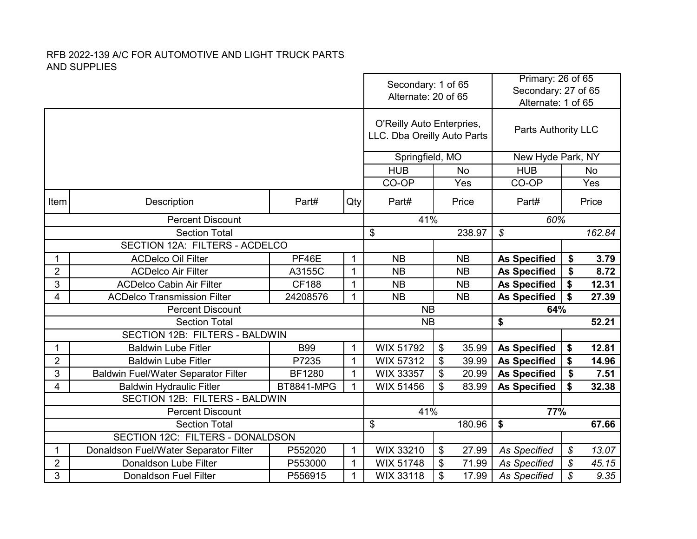|                |                                              |                   | Secondary: 1 of 65<br>Alternate: 20 of 65 |                                                          | Primary: 26 of 65<br>Secondary: 27 of 65<br>Alternate: 1 of 65 |                            |                            |           |
|----------------|----------------------------------------------|-------------------|-------------------------------------------|----------------------------------------------------------|----------------------------------------------------------------|----------------------------|----------------------------|-----------|
|                |                                              |                   |                                           | O'Reilly Auto Enterpries,<br>LLC. Dba Oreilly Auto Parts |                                                                | <b>Parts Authority LLC</b> |                            |           |
|                |                                              |                   |                                           | Springfield, MO                                          |                                                                | New Hyde Park, NY          |                            |           |
|                |                                              |                   |                                           | <b>HUB</b>                                               | <b>No</b>                                                      | <b>HUB</b>                 |                            | <b>No</b> |
|                |                                              |                   |                                           | CO-OP                                                    | Yes                                                            | CO-OP                      |                            | Yes       |
| Item           | Description                                  | Part#             | Qty                                       | Part#                                                    | Part#                                                          |                            | Price                      |           |
|                | <b>Percent Discount</b>                      |                   |                                           | 41%                                                      |                                                                | 60%                        |                            |           |
|                | <b>Section Total</b>                         |                   |                                           | \$                                                       | 238.97                                                         | $\mathcal{S}$              |                            | 162.84    |
|                | SECTION 12A: FILTERS - ACDELCO               |                   |                                           |                                                          |                                                                |                            |                            |           |
| $\mathbf 1$    | <b>ACDelco Oil Filter</b>                    | PF46E             | $\mathbf{1}$                              | <b>NB</b>                                                | <b>NB</b>                                                      | <b>As Specified</b>        | \$                         | 3.79      |
| $\overline{2}$ | <b>ACDelco Air Filter</b>                    | A3155C            | $\mathbf{1}$                              | <b>NB</b>                                                | <b>NB</b>                                                      | <b>As Specified</b>        | \$                         | 8.72      |
| 3              | <b>ACDelco Cabin Air Filter</b>              | <b>CF188</b>      | $\mathbf{1}$                              | <b>NB</b>                                                | <b>NB</b>                                                      | <b>As Specified</b>        | \$                         | 12.31     |
| 4              | <b>ACDelco Transmission Filter</b>           | 24208576          | $\mathbf{1}$                              | <b>NB</b>                                                | <b>NB</b>                                                      | <b>As Specified</b>        | \$                         | 27.39     |
|                | <b>Percent Discount</b>                      |                   |                                           | <b>NB</b>                                                |                                                                | 64%                        |                            |           |
|                | <b>Section Total</b>                         |                   |                                           | <b>NB</b>                                                |                                                                | \$                         |                            | 52.21     |
|                | <b>SECTION 12B: FILTERS - BALDWIN</b>        |                   |                                           |                                                          |                                                                |                            |                            |           |
| $\mathbf 1$    | <b>Baldwin Lube Fitler</b>                   | <b>B99</b>        | $\mathbf{1}$                              | WIX 51792                                                | \$<br>35.99                                                    | <b>As Specified</b>        | \$                         | 12.81     |
| $\overline{2}$ | <b>Baldwin Lube Fitler</b>                   | P7235             | $\mathbf{1}$                              | <b>WIX 57312</b>                                         | \$<br>39.99                                                    | <b>As Specified</b>        | \$                         | 14.96     |
| 3              | <b>Baldwin Fuel/Water Separator Filter</b>   | <b>BF1280</b>     | $\mathbf{1}$                              | WIX 33357                                                | \$<br>20.99                                                    | <b>As Specified</b>        | \$                         | 7.51      |
| 4              | <b>Baldwin Hydraulic Fitler</b>              | <b>BT8841-MPG</b> | $\mathbf{1}$                              | WIX 51456                                                | \$<br>83.99                                                    | <b>As Specified</b>        | \$                         | 32.38     |
|                | SECTION 12B: FILTERS - BALDWIN               |                   |                                           | 41%                                                      |                                                                |                            |                            |           |
|                | <b>Percent Discount</b>                      |                   |                                           |                                                          |                                                                | 77%                        |                            |           |
|                | <b>Section Total</b>                         |                   |                                           | \$                                                       | 180.96                                                         | \$                         |                            | 67.66     |
|                | SECTION 12C: FILTERS - DONALDSON             |                   |                                           |                                                          |                                                                |                            |                            |           |
| 1              | Donaldson Fuel/Water Separator Filter        | P552020           | $\mathbf{1}$                              | WIX 33210                                                | \$<br>27.99                                                    | <b>As Specified</b>        | \$                         | 13.07     |
| $\overline{c}$ | Donaldson Lube Filter                        | P553000           | $\mathbf{1}$<br>$\mathbf{1}$              | WIX 51748                                                | \$<br>71.99                                                    | <b>As Specified</b>        | \$                         | 45.15     |
|                | 3<br><b>Donaldson Fuel Filter</b><br>P556915 |                   |                                           | WIX 33118                                                | \$<br>17.99                                                    | <b>As Specified</b>        | $\boldsymbol{\mathcal{S}}$ | 9.35      |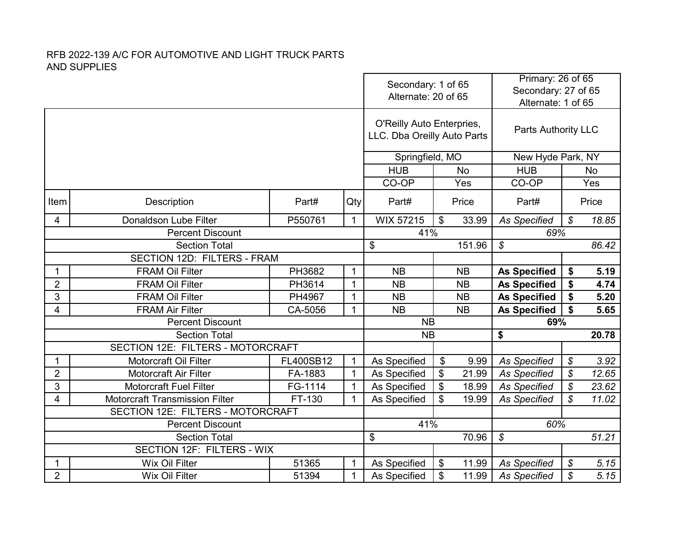|                                           |                                       |              |              | Secondary: 1 of 65<br>Alternate: 20 of 65                |                                    | Primary: 26 of 65<br>Secondary: 27 of 65<br>Alternate: 1 of 65 |                            |           |  |
|-------------------------------------------|---------------------------------------|--------------|--------------|----------------------------------------------------------|------------------------------------|----------------------------------------------------------------|----------------------------|-----------|--|
|                                           |                                       |              |              | O'Reilly Auto Enterpries,<br>LLC. Dba Oreilly Auto Parts |                                    | Parts Authority LLC                                            |                            |           |  |
|                                           |                                       |              |              | Springfield, MO                                          |                                    |                                                                | New Hyde Park, NY          |           |  |
|                                           |                                       |              |              | <b>HUB</b>                                               | <b>No</b>                          | <b>HUB</b>                                                     |                            | <b>No</b> |  |
|                                           |                                       |              |              | CO-OP                                                    | Yes                                | CO-OP                                                          |                            | Yes       |  |
| Item                                      | Description                           | Part#        | Qty          | Part#                                                    | Price                              | Part#                                                          |                            | Price     |  |
| 4                                         | Donaldson Lube Filter                 | P550761      | $\mathbf{1}$ | <b>WIX 57215</b>                                         | $\boldsymbol{\mathsf{S}}$<br>33.99 | <b>As Specified</b>                                            | $\boldsymbol{\mathcal{S}}$ | 18.85     |  |
|                                           | <b>Percent Discount</b>               |              |              | 41%                                                      |                                    | 69%                                                            |                            |           |  |
|                                           | <b>Section Total</b>                  |              |              | \$                                                       | 151.96                             | $\boldsymbol{\mathcal{S}}$                                     |                            | 86.42     |  |
| SECTION 12D: FILTERS - FRAM               |                                       |              |              |                                                          |                                    |                                                                |                            |           |  |
| $\mathbf 1$                               | <b>FRAM Oil Filter</b>                | PH3682       | $\mathbf{1}$ | <b>NB</b>                                                | <b>NB</b>                          | <b>As Specified</b>                                            | \$                         | 5.19      |  |
| $\overline{2}$                            | <b>FRAM Oil Filter</b>                | PH3614       | $\mathbf{1}$ | <b>NB</b>                                                | <b>NB</b>                          | <b>As Specified</b>                                            | \$                         | 4.74      |  |
| 3                                         | <b>FRAM Oil Filter</b>                | PH4967       | $\mathbf{1}$ | <b>NB</b>                                                | <b>NB</b>                          | <b>As Specified</b>                                            | \$                         | 5.20      |  |
| 4                                         | <b>FRAM Air Filter</b>                | CA-5056      | $\mathbf{1}$ | <b>NB</b>                                                | <b>NB</b>                          | <b>As Specified</b>                                            | \$                         | 5.65      |  |
|                                           | <b>Percent Discount</b>               |              |              | <b>NB</b>                                                |                                    | 69%                                                            |                            |           |  |
|                                           | <b>Section Total</b>                  |              |              | <b>NB</b>                                                | $\overline{\bullet}$               |                                                                | 20.78                      |           |  |
|                                           | SECTION 12E: FILTERS - MOTORCRAFT     |              |              |                                                          |                                    |                                                                |                            |           |  |
| 1                                         | Motorcraft Oil Filter                 | FL400SB12    | $\mathbf{1}$ | As Specified                                             | \$<br>9.99                         | <b>As Specified</b>                                            | $\boldsymbol{\mathcal{S}}$ | 3.92      |  |
| $\overline{2}$                            | <b>Motorcraft Air Filter</b>          | FA-1883      | $\mathbf{1}$ | As Specified                                             | \$<br>21.99                        | <b>As Specified</b>                                            | $\boldsymbol{\mathcal{S}}$ | 12.65     |  |
| 3                                         | <b>Motorcraft Fuel Filter</b>         | FG-1114      | $\mathbf{1}$ | As Specified                                             | \$<br>18.99                        | <b>As Specified</b>                                            | ${\mathcal S}$             | 23.62     |  |
| 4                                         | <b>Motorcraft Transmission Filter</b> | FT-130       | $\mathbf{1}$ | As Specified                                             | \$<br>19.99                        | <b>As Specified</b>                                            | $\mathcal{S}$              | 11.02     |  |
|                                           | SECTION 12E: FILTERS - MOTORCRAFT     |              |              |                                                          |                                    |                                                                |                            |           |  |
|                                           | <b>Percent Discount</b>               |              |              | 41%                                                      |                                    | 60%                                                            |                            |           |  |
|                                           | <b>Section Total</b>                  |              |              | \$                                                       | 70.96                              | \$                                                             |                            | 51.21     |  |
|                                           | SECTION 12F: FILTERS - WIX            |              |              |                                                          |                                    |                                                                |                            |           |  |
| 1                                         | <b>Wix Oil Filter</b><br>51365        |              | $\mathbf{1}$ | As Specified                                             | \$<br>11.99                        | <b>As Specified</b>                                            | \$                         | 5.15      |  |
| $\overline{2}$<br>Wix Oil Filter<br>51394 |                                       | $\mathbf{1}$ | As Specified | \$<br><b>As Specified</b><br>11.99                       |                                    | $\boldsymbol{\mathcal{S}}$                                     | 5.15                       |           |  |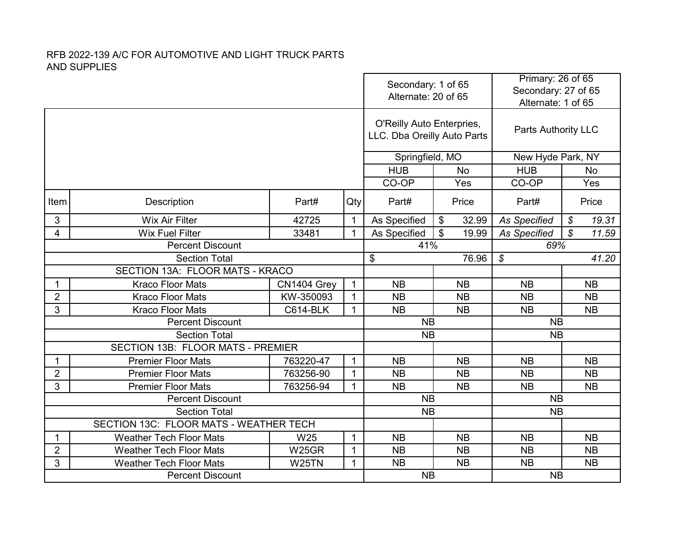|                                        |                                                                   |                        | Secondary: 1 of 65<br>Alternate: 20 of 65 |                                                          | Primary: 26 of 65<br>Secondary: 27 of 65<br>Alternate: 1 of 65 |                            |                        |  |  |
|----------------------------------------|-------------------------------------------------------------------|------------------------|-------------------------------------------|----------------------------------------------------------|----------------------------------------------------------------|----------------------------|------------------------|--|--|
|                                        |                                                                   |                        |                                           | O'Reilly Auto Enterpries,<br>LLC. Dba Oreilly Auto Parts |                                                                | <b>Parts Authority LLC</b> |                        |  |  |
|                                        |                                                                   |                        |                                           | Springfield, MO                                          |                                                                |                            | New Hyde Park, NY      |  |  |
|                                        |                                                                   |                        |                                           | <b>HUB</b>                                               | <b>No</b>                                                      | <b>HUB</b>                 | <b>No</b>              |  |  |
|                                        |                                                                   |                        |                                           | CO-OP                                                    | Yes                                                            | CO-OP                      | Yes                    |  |  |
| Item                                   | Description                                                       | Part#                  | Qty                                       | Part#                                                    | Price                                                          | Part#                      | Price                  |  |  |
| 3                                      | <b>Wix Air Filter</b>                                             | 42725                  | $\mathbf{1}$                              | As Specified                                             | \$<br>32.99                                                    | <b>As Specified</b>        | 19.31<br>$\mathcal{S}$ |  |  |
| 4                                      | <b>Wix Fuel Filter</b>                                            | $\mathbf{1}$           | As Specified                              | \$<br>19.99                                              | <b>As Specified</b>                                            | $\mathcal{S}$<br>11.59     |                        |  |  |
|                                        | <b>Percent Discount</b>                                           |                        |                                           | 41%                                                      |                                                                | 69%                        |                        |  |  |
|                                        | <b>Section Total</b>                                              |                        |                                           | \$                                                       | 76.96                                                          | $\mathcal{S}$              | 41.20                  |  |  |
| SECTION 13A: FLOOR MATS - KRACO        |                                                                   |                        |                                           |                                                          |                                                                |                            |                        |  |  |
|                                        | <b>Kraco Floor Mats</b>                                           | CN1404 Grey            | $\mathbf{1}$                              | <b>NB</b>                                                | <b>NB</b>                                                      | <b>NB</b>                  | <b>NB</b>              |  |  |
| $\overline{2}$                         | <b>Kraco Floor Mats</b>                                           | KW-350093              | $\mathbf{1}$                              | <b>NB</b>                                                | <b>NB</b>                                                      | <b>NB</b>                  | <b>NB</b>              |  |  |
| 3                                      | <b>Kraco Floor Mats</b>                                           | <b>C614-BLK</b>        | $\mathbf{1}$                              | <b>NB</b>                                                | <b>NB</b>                                                      | <b>NB</b>                  | <b>NB</b>              |  |  |
|                                        | <b>Percent Discount</b>                                           |                        |                                           | <b>NB</b>                                                |                                                                | <b>NB</b>                  |                        |  |  |
|                                        | <b>Section Total</b>                                              |                        |                                           | <b>NB</b>                                                |                                                                | <b>NB</b>                  |                        |  |  |
|                                        | SECTION 13B: FLOOR MATS - PREMIER                                 |                        |                                           |                                                          |                                                                |                            |                        |  |  |
|                                        | <b>Premier Floor Mats</b>                                         | 763220-47              | $\mathbf{1}$                              | <b>NB</b>                                                | <b>NB</b>                                                      | <b>NB</b>                  | <b>NB</b>              |  |  |
| $\overline{2}$                         | <b>Premier Floor Mats</b>                                         | 763256-90              | $\mathbf{1}$                              | <b>NB</b>                                                | <b>NB</b>                                                      | <b>NB</b>                  | <b>NB</b>              |  |  |
| 3                                      | <b>Premier Floor Mats</b>                                         | 763256-94              | $\mathbf{1}$                              | <b>NB</b>                                                | <b>NB</b>                                                      | <b>NB</b>                  | <b>NB</b>              |  |  |
|                                        | <b>Percent Discount</b>                                           |                        |                                           | <b>NB</b>                                                |                                                                | <b>NB</b>                  |                        |  |  |
|                                        | <b>Section Total</b>                                              |                        |                                           | <b>NB</b>                                                |                                                                | <b>NB</b>                  |                        |  |  |
| SECTION 13C: FLOOR MATS - WEATHER TECH |                                                                   |                        | $\mathbf{1}$                              |                                                          |                                                                |                            |                        |  |  |
| 1                                      | <b>Weather Tech Floor Mats</b><br>W <sub>25</sub><br><b>W25GR</b> |                        |                                           | <b>NB</b>                                                | <b>NB</b>                                                      | <b>NB</b>                  | <b>NB</b>              |  |  |
| $\overline{2}$                         | <b>Weather Tech Floor Mats</b>                                    | $\mathbf{1}$           | <b>NB</b>                                 | <b>NB</b>                                                | <b>NB</b>                                                      | <b>NB</b>                  |                        |  |  |
| 3                                      | <b>Weather Tech Floor Mats</b>                                    | $\mathbf{1}$           | NB<br><b>NB</b>                           |                                                          | <b>NB</b><br><b>NB</b>                                         |                            |                        |  |  |
|                                        | <b>Percent Discount</b>                                           | <b>NB</b><br><b>NB</b> |                                           |                                                          |                                                                |                            |                        |  |  |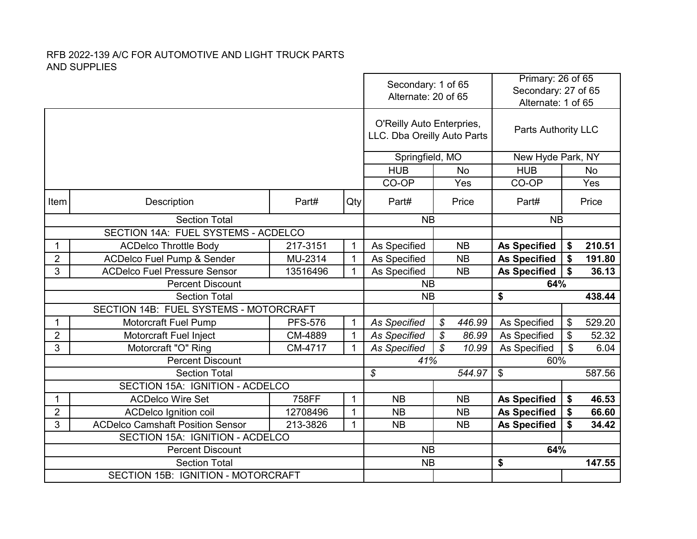|                                        |                                                                 |                | Secondary: 1 of 65<br>Alternate: 20 of 65 |                                                          | Primary: 26 of 65<br>Secondary: 27 of 65<br>Alternate: 1 of 65 |                            |                        |
|----------------------------------------|-----------------------------------------------------------------|----------------|-------------------------------------------|----------------------------------------------------------|----------------------------------------------------------------|----------------------------|------------------------|
|                                        |                                                                 |                |                                           | O'Reilly Auto Enterpries,<br>LLC. Dba Oreilly Auto Parts |                                                                | <b>Parts Authority LLC</b> |                        |
|                                        |                                                                 |                |                                           | Springfield, MO                                          |                                                                | New Hyde Park, NY          |                        |
|                                        |                                                                 |                |                                           | <b>HUB</b>                                               | <b>No</b>                                                      | <b>HUB</b>                 | <b>No</b>              |
|                                        |                                                                 |                |                                           | CO-OP                                                    | Yes                                                            | CO-OP                      | Yes                    |
| Item                                   | Description                                                     | Part#          | Qty                                       | Part#                                                    | Price                                                          | Part#                      | Price                  |
|                                        | <b>Section Total</b>                                            |                |                                           | <b>NB</b>                                                |                                                                | <b>NB</b>                  |                        |
|                                        | SECTION 14A: FUEL SYSTEMS - ACDELCO                             |                |                                           |                                                          |                                                                |                            |                        |
| 1                                      | <b>ACDelco Throttle Body</b>                                    | 217-3151       | $\mathbf{1}$                              | As Specified                                             | <b>NB</b>                                                      | <b>As Specified</b>        | 210.51<br>\$           |
| $\overline{2}$                         | <b>ACDelco Fuel Pump &amp; Sender</b>                           | MU-2314        | $\mathbf{1}$                              | As Specified                                             | <b>NB</b>                                                      | <b>As Specified</b>        | 191.80<br>\$           |
| 3                                      | <b>ACDelco Fuel Pressure Sensor</b><br>13516496<br>$\mathbf{1}$ |                |                                           | As Specified                                             | <b>NB</b>                                                      | <b>As Specified</b>        | \$<br>36.13            |
|                                        | <b>Percent Discount</b>                                         | <b>NB</b>      |                                           | 64%                                                      |                                                                |                            |                        |
|                                        | <b>Section Total</b>                                            |                |                                           | <b>NB</b>                                                |                                                                | \$                         | 438.44                 |
| SECTION 14B: FUEL SYSTEMS - MOTORCRAFT |                                                                 |                |                                           |                                                          |                                                                |                            |                        |
|                                        |                                                                 |                |                                           |                                                          |                                                                |                            |                        |
| 1                                      | <b>Motorcraft Fuel Pump</b>                                     | <b>PFS-576</b> | $\mathbf 1$                               | <b>As Specified</b>                                      | \$<br>446.99                                                   | As Specified               | 529.20<br>\$           |
| $\overline{2}$                         | Motorcraft Fuel Inject                                          | CM-4889        | $\mathbf{1}$                              | <b>As Specified</b>                                      | \$<br>86.99                                                    | As Specified               | $\frac{1}{2}$<br>52.32 |
| 3                                      | Motorcraft "O" Ring                                             | CM-4717        | $\mathbf{1}$                              | <b>As Specified</b>                                      | $\mathcal{L}$<br>10.99                                         | As Specified               | \$<br>6.04             |
|                                        | <b>Percent Discount</b>                                         |                |                                           | 41%                                                      |                                                                | 60%                        |                        |
|                                        | <b>Section Total</b>                                            |                |                                           | $\mathcal{L}$                                            | 544.97                                                         | $\mathfrak{L}$             | 587.56                 |
|                                        | SECTION 15A: IGNITION - ACDELCO                                 |                |                                           |                                                          |                                                                |                            |                        |
| 1                                      | <b>ACDelco Wire Set</b>                                         | 758FF          | $\mathbf{1}$                              | <b>NB</b>                                                | <b>NB</b>                                                      | <b>As Specified</b>        | \$<br>46.53            |
| $\overline{2}$                         | <b>ACDelco Ignition coil</b>                                    | 12708496       | $\mathbf{1}$                              | <b>NB</b>                                                | <b>NB</b>                                                      | <b>As Specified</b>        | \$<br>66.60            |
| 3                                      | <b>ACDelco Camshaft Position Sensor</b>                         | 213-3826       | $\mathbf{1}$                              | <b>NB</b>                                                | <b>NB</b>                                                      | <b>As Specified</b>        | \$<br>34.42            |
|                                        | SECTION 15A: IGNITION - ACDELCO                                 |                |                                           |                                                          |                                                                |                            |                        |
|                                        | <b>Percent Discount</b>                                         |                |                                           | <b>NB</b>                                                |                                                                | 64%                        |                        |
|                                        | <b>Section Total</b><br>SECTION 15B: IGNITION - MOTORCRAFT      |                |                                           | <b>NB</b>                                                |                                                                | \$                         | 147.55                 |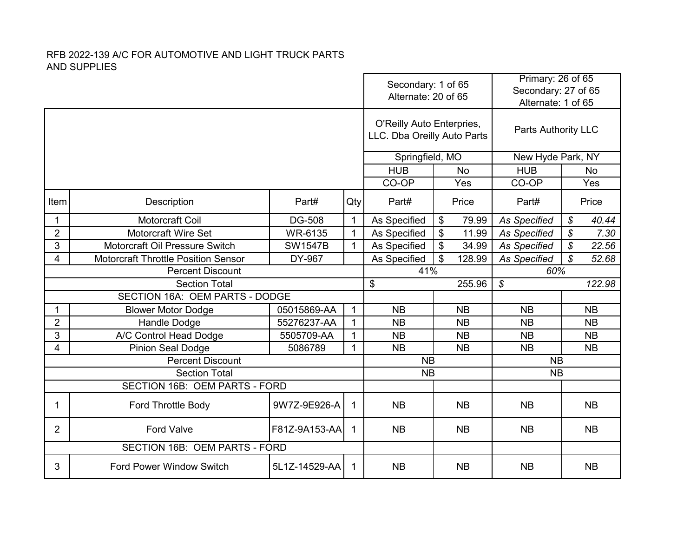|                |                                            |                    | Secondary: 1 of 65<br>Alternate: 20 of 65 |                                                          |           | Primary: 26 of 65<br>Secondary: 27 of 65<br>Alternate: 1 of 65 |                            |                            |           |
|----------------|--------------------------------------------|--------------------|-------------------------------------------|----------------------------------------------------------|-----------|----------------------------------------------------------------|----------------------------|----------------------------|-----------|
|                |                                            |                    |                                           | O'Reilly Auto Enterpries,<br>LLC. Dba Oreilly Auto Parts |           |                                                                | <b>Parts Authority LLC</b> |                            |           |
|                |                                            |                    |                                           | Springfield, MO                                          |           |                                                                | New Hyde Park, NY          |                            |           |
|                |                                            |                    |                                           | <b>HUB</b>                                               |           | <b>No</b>                                                      | <b>HUB</b>                 |                            | <b>No</b> |
|                |                                            |                    |                                           | CO-OP<br>Yes                                             |           | CO-OP                                                          |                            | Yes                        |           |
| Item           | Description                                | Part#<br>Qty       |                                           | Part#                                                    |           | Price                                                          | Part#                      |                            | Price     |
| 1              | <b>Motorcraft Coil</b>                     | <b>DG-508</b>      | $\mathbf{1}$                              | As Specified                                             | \$        | 79.99                                                          | <b>As Specified</b>        | \$                         | 40.44     |
| $\overline{2}$ | <b>Motorcraft Wire Set</b>                 | WR-6135            | $\mathbf{1}$                              | As Specified                                             | \$        | 11.99                                                          | <b>As Specified</b>        | $\boldsymbol{\mathcal{S}}$ | 7.30      |
| 3              | Motorcraft Oil Pressure Switch             | <b>SW1547B</b>     | $\mathbf{1}$                              | As Specified                                             | \$        | 34.99                                                          | <b>As Specified</b>        | $\boldsymbol{\mathcal{S}}$ | 22.56     |
| 4              | <b>Motorcraft Throttle Position Sensor</b> | DY-967             |                                           | As Specified                                             | \$        | 128.99                                                         | <b>As Specified</b>        | $\mathcal{S}$<br>52.68     |           |
|                | <b>Percent Discount</b>                    |                    |                                           |                                                          | 41%       |                                                                | 60%                        |                            |           |
|                | <b>Section Total</b>                       |                    |                                           | \$                                                       |           | 255.96                                                         | \$                         |                            | 122.98    |
|                | SECTION 16A: OEM PARTS - DODGE             |                    |                                           |                                                          |           |                                                                |                            |                            |           |
|                | <b>Blower Motor Dodge</b>                  | 05015869-AA        | $\mathbf{1}$                              | <b>NB</b>                                                |           | <b>NB</b>                                                      | <b>NB</b>                  |                            | <b>NB</b> |
| $\overline{2}$ | Handle Dodge                               | 55276237-AA        | $\mathbf{1}$                              | <b>NB</b>                                                |           | <b>NB</b>                                                      | <b>NB</b>                  |                            | <b>NB</b> |
| 3              | A/C Control Head Dodge                     | 5505709-AA         | $\mathbf{1}$                              | <b>NB</b>                                                |           | <b>NB</b>                                                      | <b>NB</b>                  |                            | <b>NB</b> |
| 4              | <b>Pinion Seal Dodge</b>                   | 5086789            | $\mathbf{1}$                              | <b>NB</b>                                                |           | <b>NB</b>                                                      | <b>NB</b>                  |                            | <b>NB</b> |
|                | <b>Percent Discount</b>                    |                    |                                           | <b>NB</b>                                                |           |                                                                | <b>NB</b>                  |                            |           |
|                | <b>Section Total</b>                       |                    |                                           | <b>NB</b>                                                |           |                                                                | <b>NB</b>                  |                            |           |
|                | <b>SECTION 16B: OEM PARTS - FORD</b>       |                    |                                           |                                                          |           |                                                                |                            |                            |           |
| 1              | <b>Ford Throttle Body</b>                  | 9W7Z-9E926-A       | $\mathbf 1$                               | <b>NB</b>                                                |           | <b>NB</b>                                                      | <b>NB</b>                  |                            | <b>NB</b> |
| $\overline{2}$ | <b>Ford Valve</b>                          | F81Z-9A153-AA<br>1 | <b>NB</b>                                 |                                                          | <b>NB</b> | <b>NB</b>                                                      |                            | <b>NB</b>                  |           |
|                | SECTION 16B: OEM PARTS - FORD              |                    |                                           |                                                          |           |                                                                |                            |                            |           |
| 3              | <b>Ford Power Window Switch</b>            | 5L1Z-14529-AA      | $\mathbf{1}$                              | <b>NB</b>                                                |           | <b>NB</b>                                                      | <b>NB</b>                  |                            | <b>NB</b> |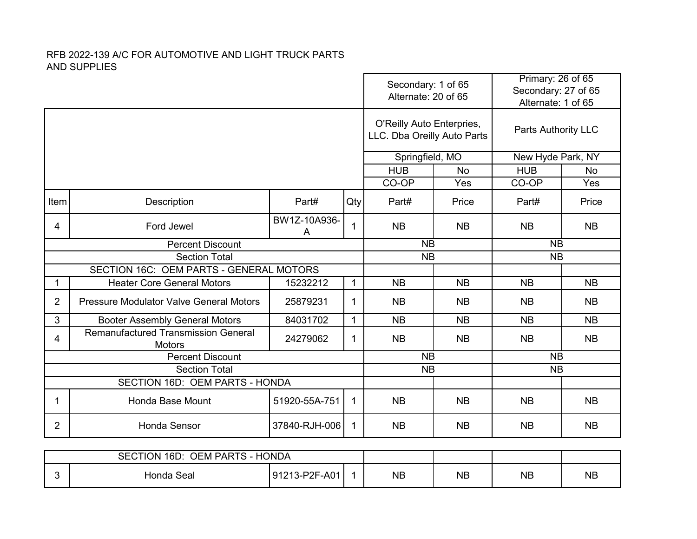|                |                                                             |                               | Secondary: 1 of 65<br>Alternate: 20 of 65 |                                                          | Primary: 26 of 65<br>Secondary: 27 of 65<br>Alternate: 1 of 65 |                            |           |  |
|----------------|-------------------------------------------------------------|-------------------------------|-------------------------------------------|----------------------------------------------------------|----------------------------------------------------------------|----------------------------|-----------|--|
|                |                                                             |                               |                                           | O'Reilly Auto Enterpries,<br>LLC. Dba Oreilly Auto Parts |                                                                | <b>Parts Authority LLC</b> |           |  |
|                |                                                             |                               |                                           | Springfield, MO                                          |                                                                | New Hyde Park, NY          |           |  |
|                |                                                             |                               |                                           | <b>HUB</b>                                               | <b>No</b>                                                      | <b>HUB</b>                 | <b>No</b> |  |
|                |                                                             |                               |                                           | CO-OP                                                    | Yes                                                            | CO-OP                      | Yes       |  |
| Item           | Description                                                 | Part#                         | Qty                                       | Part#                                                    | Price                                                          | Part#                      | Price     |  |
| 4              | Ford Jewel                                                  | BW1Z-10A936-<br>A             | $\mathbf{1}$                              | <b>NB</b>                                                | <b>NB</b>                                                      | <b>NB</b>                  | <b>NB</b> |  |
|                | <b>Percent Discount</b>                                     |                               | <b>NB</b>                                 |                                                          | <b>NB</b>                                                      |                            |           |  |
|                | <b>Section Total</b>                                        |                               |                                           | <b>NB</b>                                                |                                                                | <b>NB</b>                  |           |  |
|                | SECTION 16C: OEM PARTS - GENERAL MOTORS                     |                               |                                           |                                                          |                                                                |                            |           |  |
| 1              | <b>Heater Core General Motors</b>                           | 15232212                      | $\mathbf{1}$                              | <b>NB</b>                                                | <b>NB</b>                                                      | <b>NB</b>                  | <b>NB</b> |  |
| $\overline{2}$ | <b>Pressure Modulator Valve General Motors</b>              | 25879231                      | $\mathbf{1}$                              | <b>NB</b>                                                | <b>NB</b>                                                      | <b>NB</b>                  | <b>NB</b> |  |
| 3              | <b>Booter Assembly General Motors</b>                       | 84031702                      | $\mathbf{1}$                              | <b>NB</b>                                                | <b>NB</b>                                                      | <b>NB</b>                  | <b>NB</b> |  |
| 4              | <b>Remanufactured Transmission General</b><br><b>Motors</b> | 24279062                      | $\mathbf{1}$                              | <b>NB</b>                                                | <b>NB</b>                                                      | <b>NB</b>                  | <b>NB</b> |  |
|                | <b>Percent Discount</b>                                     |                               |                                           | <b>NB</b>                                                |                                                                | <b>NB</b>                  |           |  |
|                | <b>Section Total</b>                                        |                               |                                           | <b>NB</b>                                                |                                                                | <b>NB</b>                  |           |  |
|                | SECTION 16D: OEM PARTS - HONDA                              |                               |                                           |                                                          |                                                                |                            |           |  |
| 1              | Honda Base Mount                                            | $\mathbf 1$                   | <b>NB</b>                                 | <b>NB</b>                                                | <b>NB</b>                                                      | <b>NB</b>                  |           |  |
| $\overline{2}$ | Honda Sensor                                                | 37840-RJH-006<br>$\mathbf{1}$ | <b>NB</b>                                 | <b>NB</b>                                                | <b>NB</b>                                                      | <b>NB</b>                  |           |  |
|                |                                                             |                               |                                           |                                                          |                                                                |                            |           |  |

| <b>HONDA</b><br>16D:<br><b>OEM PARTS -</b><br><b>SECTION</b> |            |                      |  |           |           |           |           |
|--------------------------------------------------------------|------------|----------------------|--|-----------|-----------|-----------|-----------|
|                                                              | Honda Seal | 191213-P2F<br>$-A01$ |  | <b>NB</b> | <b>NB</b> | <b>NB</b> | <b>NB</b> |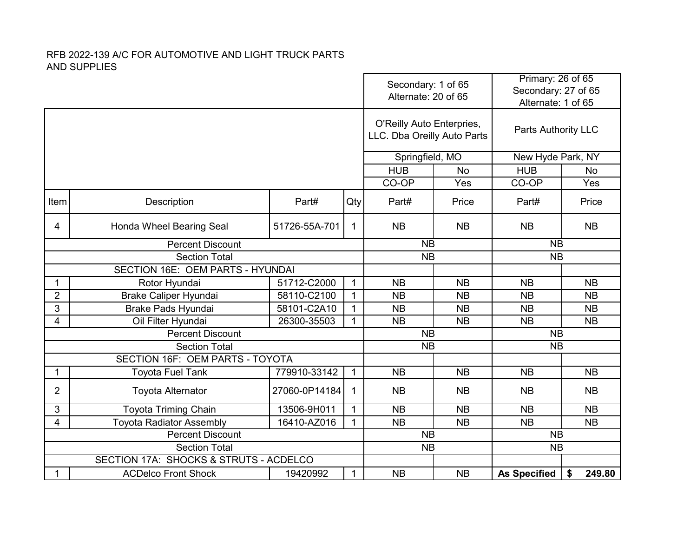|                |                                                   |               | Secondary: 1 of 65<br>Alternate: 20 of 65 |                                                          | Primary: 26 of 65<br>Secondary: 27 of 65<br>Alternate: 1 of 65 |                     |           |
|----------------|---------------------------------------------------|---------------|-------------------------------------------|----------------------------------------------------------|----------------------------------------------------------------|---------------------|-----------|
|                |                                                   |               |                                           | O'Reilly Auto Enterpries,<br>LLC. Dba Oreilly Auto Parts |                                                                | Parts Authority LLC |           |
|                |                                                   |               |                                           | Springfield, MO                                          |                                                                | New Hyde Park, NY   |           |
|                |                                                   |               |                                           | <b>HUB</b>                                               | <b>No</b>                                                      | <b>HUB</b>          | No        |
|                |                                                   |               |                                           | CO-OP                                                    | Yes                                                            | CO-OP               | Yes       |
| Item           | Description                                       | Part#         | Qty                                       | Part#                                                    | Price                                                          | Part#               | Price     |
| 4              | Honda Wheel Bearing Seal                          | 51726-55A-701 | $\mathbf{1}$                              | <b>NB</b>                                                | <b>NB</b>                                                      | <b>NB</b>           | <b>NB</b> |
|                | <b>Percent Discount</b>                           |               |                                           |                                                          | <b>NB</b>                                                      | <b>NB</b>           |           |
|                | Section Total                                     |               |                                           |                                                          | <b>NB</b>                                                      | <b>NB</b>           |           |
|                | SECTION 16E: OEM PARTS - HYUNDAI                  |               |                                           |                                                          |                                                                |                     |           |
| 1              | Rotor Hyundai                                     | 51712-C2000   | $\mathbf{1}$                              | <b>NB</b>                                                | <b>NB</b>                                                      | <b>NB</b>           | <b>NB</b> |
| $\overline{2}$ | Brake Caliper Hyundai                             | 58110-C2100   | $\mathbf{1}$                              | <b>NB</b>                                                | <b>NB</b>                                                      | <b>NB</b>           | <b>NB</b> |
| 3              | <b>Brake Pads Hyundai</b>                         | 58101-C2A10   | $\mathbf{1}$                              | <b>NB</b>                                                | <b>NB</b>                                                      | <b>NB</b>           | <b>NB</b> |
| 4              | Oil Filter Hyundai                                | 26300-35503   | $\mathbf{1}$                              | <b>NB</b>                                                | <b>NB</b>                                                      | <b>NB</b>           | <b>NB</b> |
|                | <b>Percent Discount</b>                           |               |                                           | <b>NB</b>                                                |                                                                | <b>NB</b>           |           |
|                | <b>Section Total</b>                              |               |                                           | <b>NB</b>                                                |                                                                | <b>NB</b>           |           |
|                | SECTION 16F: OEM PARTS - TOYOTA                   |               |                                           |                                                          |                                                                |                     |           |
| $\mathbf 1$    | <b>Toyota Fuel Tank</b>                           | 779910-33142  | $\mathbf{1}$                              | <b>NB</b>                                                | <b>NB</b>                                                      | <b>NB</b>           | <b>NB</b> |
| 2              | <b>Toyota Alternator</b>                          | 27060-0P14184 | $\mathbf 1$                               | <b>NB</b>                                                | <b>NB</b>                                                      | <b>NB</b>           | <b>NB</b> |
| 3              | <b>Toyota Triming Chain</b>                       | 13506-9H011   | $\mathbf{1}$                              | <b>NB</b>                                                | <b>NB</b>                                                      | <b>NB</b>           | <b>NB</b> |
| 4              | <b>Toyota Radiator Assembly</b>                   | 16410-AZ016   | $\mathbf{1}$                              | <b>NB</b>                                                | <b>NB</b>                                                      | <b>NB</b>           | <b>NB</b> |
|                | <b>Percent Discount</b>                           |               |                                           | <b>NB</b>                                                |                                                                | <b>NB</b>           |           |
|                | <b>Section Total</b>                              |               |                                           | <b>NB</b>                                                |                                                                | <b>NB</b>           |           |
|                | <b>SECTION 17A: SHOCKS &amp; STRUTS - ACDELCO</b> |               |                                           |                                                          |                                                                |                     |           |
| 1              | <b>ACDelco Front Shock</b>                        | 1             | <b>NB</b>                                 | <b>NB</b>                                                | <b>As Specified</b>                                            | 249.80<br>\$        |           |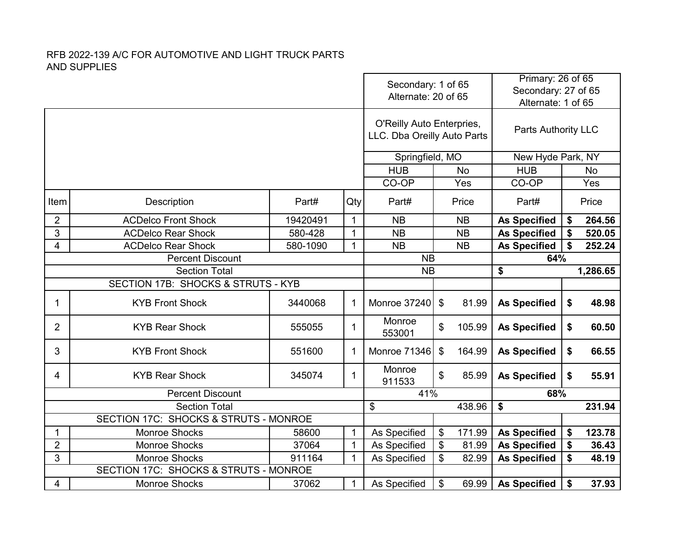|                |                                       |          |              | Secondary: 1 of 65<br>Alternate: 20 of 65                |              | Primary: 26 of 65<br>Secondary: 27 of 65<br>Alternate: 1 of 65 |              |  |
|----------------|---------------------------------------|----------|--------------|----------------------------------------------------------|--------------|----------------------------------------------------------------|--------------|--|
|                |                                       |          |              | O'Reilly Auto Enterpries,<br>LLC. Dba Oreilly Auto Parts |              | <b>Parts Authority LLC</b>                                     |              |  |
|                |                                       |          |              | Springfield, MO                                          |              | New Hyde Park, NY                                              |              |  |
|                |                                       |          |              | <b>HUB</b>                                               | <b>No</b>    | <b>HUB</b>                                                     | <b>No</b>    |  |
|                |                                       |          |              | CO-OP                                                    | Yes          | CO-OP                                                          | Yes          |  |
| Item           | Description                           | Part#    | Qty          | Part#                                                    | Price        | Part#                                                          | Price        |  |
| $\overline{2}$ | <b>ACDelco Front Shock</b>            | 19420491 | $\mathbf{1}$ | <b>NB</b>                                                | <b>NB</b>    | <b>As Specified</b>                                            | 264.56<br>\$ |  |
| 3              | <b>ACDelco Rear Shock</b>             | 580-428  | $\mathbf{1}$ | <b>NB</b>                                                | <b>NB</b>    | <b>As Specified</b>                                            | \$<br>520.05 |  |
| 4              | <b>ACDelco Rear Shock</b>             | 580-1090 | $\mathbf{1}$ | <b>NB</b>                                                | <b>NB</b>    | <b>As Specified</b>                                            | \$<br>252.24 |  |
|                | <b>Percent Discount</b>               |          |              | <b>NB</b>                                                |              | 64%                                                            |              |  |
|                | <b>Section Total</b>                  |          |              | <b>NB</b>                                                |              | \$                                                             | 1,286.65     |  |
|                | SECTION 17B: SHOCKS & STRUTS - KYB    |          |              |                                                          |              |                                                                |              |  |
| 1              | <b>KYB Front Shock</b>                | 3440068  | $\mathbf 1$  | Monroe 37240                                             | \$<br>81.99  | <b>As Specified</b>                                            | \$<br>48.98  |  |
| $\overline{2}$ | <b>KYB Rear Shock</b>                 | 555055   | 1            | Monroe<br>553001                                         | \$<br>105.99 | <b>As Specified</b>                                            | \$<br>60.50  |  |
| 3              | <b>KYB Front Shock</b>                | 551600   | 1            | Monroe 71346                                             | \$<br>164.99 | <b>As Specified</b>                                            | \$<br>66.55  |  |
| 4              | <b>KYB Rear Shock</b>                 | 345074   | 1            | Monroe<br>911533                                         | \$<br>85.99  | <b>As Specified</b>                                            | \$<br>55.91  |  |
|                | <b>Percent Discount</b>               |          |              | 41%                                                      |              | 68%                                                            |              |  |
|                | <b>Section Total</b>                  |          |              | \$                                                       | 438.96       | \$                                                             | 231.94       |  |
|                | SECTION 17C: SHOCKS & STRUTS - MONROE |          |              |                                                          |              |                                                                |              |  |
| 1              | <b>Monroe Shocks</b>                  | 58600    | $\mathbf{1}$ | As Specified                                             | \$<br>171.99 | <b>As Specified</b>                                            | 123.78<br>\$ |  |
| $\overline{2}$ | <b>Monroe Shocks</b>                  | 37064    | $\mathbf{1}$ | As Specified                                             | \$<br>81.99  | <b>As Specified</b>                                            | \$<br>36.43  |  |
| 3              | <b>Monroe Shocks</b>                  | 911164   | $\mathbf{1}$ | As Specified                                             | \$<br>82.99  | <b>As Specified</b>                                            | \$<br>48.19  |  |
|                | SECTION 17C: SHOCKS & STRUTS - MONROE |          |              |                                                          |              |                                                                |              |  |
| 4              | Monroe Shocks                         | 37062    | $\mathbf 1$  | As Specified                                             | \$<br>69.99  | <b>As Specified</b>                                            | \$<br>37.93  |  |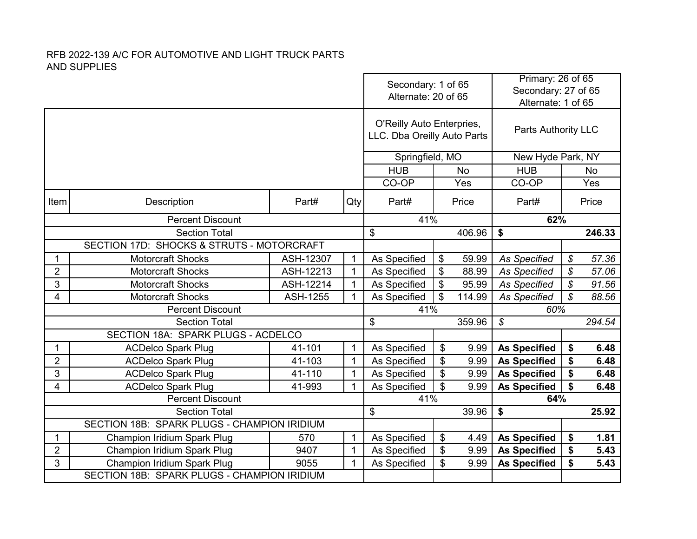|                |                                                             |                 | Secondary: 1 of 65<br>Alternate: 20 of 65 |                                                          | Primary: 26 of 65<br>Secondary: 27 of 65<br>Alternate: 1 of 65 |                     |                            |                            |        |
|----------------|-------------------------------------------------------------|-----------------|-------------------------------------------|----------------------------------------------------------|----------------------------------------------------------------|---------------------|----------------------------|----------------------------|--------|
|                |                                                             |                 |                                           | O'Reilly Auto Enterpries,<br>LLC. Dba Oreilly Auto Parts |                                                                |                     | <b>Parts Authority LLC</b> |                            |        |
|                |                                                             |                 |                                           | Springfield, MO                                          |                                                                |                     | New Hyde Park, NY          |                            |        |
|                |                                                             |                 |                                           | <b>HUB</b>                                               |                                                                | <b>No</b>           | <b>HUB</b>                 |                            | No     |
|                |                                                             |                 |                                           | CO-OP                                                    |                                                                | Yes                 | CO-OP                      |                            | Yes    |
| Item           | Description                                                 | Part#           | Qty                                       | Part#<br>Price                                           |                                                                |                     | Part#                      |                            | Price  |
|                | <b>Percent Discount</b>                                     |                 |                                           | 41%                                                      |                                                                |                     | 62%                        |                            |        |
|                | <b>Section Total</b>                                        |                 |                                           | \$                                                       |                                                                | 406.96              | \$                         |                            | 246.33 |
|                | SECTION 17D: SHOCKS & STRUTS - MOTORCRAFT                   |                 |                                           |                                                          |                                                                |                     |                            |                            |        |
| 1              | <b>Motorcraft Shocks</b>                                    | ASH-12307       | $\mathbf{1}$                              | As Specified                                             | \$                                                             | 59.99               | <b>As Specified</b>        | \$                         | 57.36  |
| $\overline{2}$ | <b>Motorcraft Shocks</b>                                    | ASH-12213       | $\mathbf{1}$                              | As Specified                                             | \$                                                             | 88.99               | <b>As Specified</b>        | \$                         | 57.06  |
| 3              | <b>Motorcraft Shocks</b>                                    | ASH-12214       | $\mathbf{1}$                              | As Specified                                             | \$                                                             | 95.99               | <b>As Specified</b>        | $\boldsymbol{\mathcal{S}}$ | 91.56  |
| 4              | Motorcraft Shocks                                           | <b>ASH-1255</b> | $\mathbf{1}$                              | As Specified                                             | \$                                                             | 114.99              | <b>As Specified</b>        | $\mathcal{S}$              | 88.56  |
|                | <b>Percent Discount</b>                                     |                 |                                           | 41%                                                      |                                                                |                     | 60%                        |                            |        |
|                | <b>Section Total</b>                                        |                 |                                           | \$                                                       |                                                                | 359.96              | \$                         |                            | 294.54 |
|                | SECTION 18A: SPARK PLUGS - ACDELCO                          |                 |                                           |                                                          |                                                                |                     |                            |                            |        |
| 1              | <b>ACDelco Spark Plug</b>                                   | 41-101          | $\mathbf{1}$                              | As Specified                                             | \$                                                             | 9.99                | <b>As Specified</b>        | \$                         | 6.48   |
| $\overline{2}$ | <b>ACDelco Spark Plug</b>                                   | 41-103          | $\mathbf{1}$                              | As Specified                                             | \$                                                             | 9.99                | <b>As Specified</b>        | \$                         | 6.48   |
| 3              | <b>ACDelco Spark Plug</b>                                   | 41-110          | $\mathbf{1}$                              | As Specified                                             | \$                                                             | 9.99                | <b>As Specified</b>        | \$                         | 6.48   |
| 4              | <b>ACDelco Spark Plug</b>                                   | 41-993          | $\mathbf{1}$                              | As Specified                                             | \$                                                             | 9.99                | <b>As Specified</b>        | \$                         | 6.48   |
|                | <b>Percent Discount</b>                                     |                 | 41%                                       |                                                          |                                                                | 64%                 |                            |                            |        |
|                | <b>Section Total</b>                                        | \$              |                                           | 39.96                                                    | \$                                                             |                     | 25.92                      |                            |        |
|                | SECTION 18B: SPARK PLUGS - CHAMPION IRIDIUM                 |                 |                                           |                                                          |                                                                |                     |                            |                            |        |
| 1              | $\mathbf{1}$<br>Champion Iridium Spark Plug<br>570          |                 |                                           |                                                          | \$                                                             | 4.49                | <b>As Specified</b>        | \$                         | 1.81   |
| $\overline{2}$ | Champion Iridium Spark Plug<br>9407<br>$\mathbf{1}$<br>9055 |                 |                                           |                                                          | \$                                                             | 9.99                | <b>As Specified</b>        | \$                         | 5.43   |
| 3              | Champion Iridium Spark Plug                                 | $\mathbf{1}$    | As Specified                              | \$                                                       | 9.99                                                           | <b>As Specified</b> | \$                         | 5.43                       |        |
|                | SECTION 18B: SPARK PLUGS - CHAMPION IRIDIUM                 |                 |                                           |                                                          |                                                                |                     |                            |                            |        |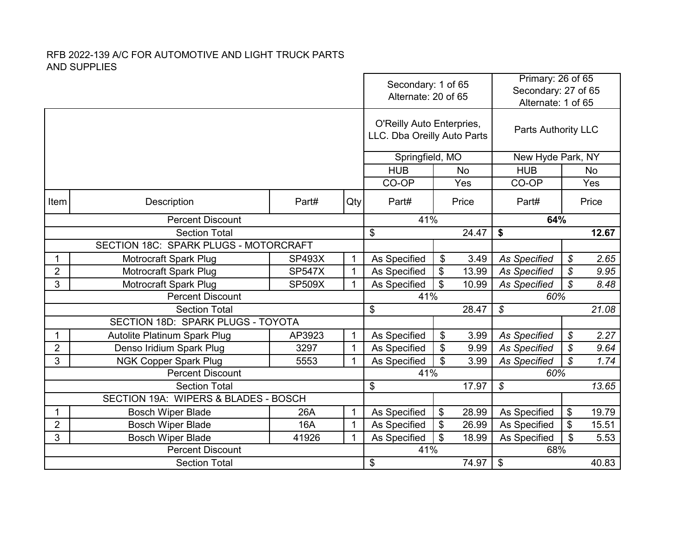|                |                                       |               |              | Secondary: 1 of 65<br>Alternate: 20 of 65                |    | Primary: 26 of 65<br>Secondary: 27 of 65<br>Alternate: 1 of 65 |                            |                            |       |
|----------------|---------------------------------------|---------------|--------------|----------------------------------------------------------|----|----------------------------------------------------------------|----------------------------|----------------------------|-------|
|                |                                       |               |              | O'Reilly Auto Enterpries,<br>LLC. Dba Oreilly Auto Parts |    |                                                                | Parts Authority LLC        |                            |       |
|                |                                       |               |              | Springfield, MO                                          |    |                                                                | New Hyde Park, NY          |                            |       |
|                |                                       |               |              | <b>HUB</b>                                               |    | No                                                             | <b>HUB</b>                 |                            | No    |
|                |                                       |               |              | CO-OP                                                    |    | Yes                                                            | CO-OP                      |                            | Yes   |
| Item           | Description                           | Part#         | Qty          | Part#                                                    |    | Price                                                          | Part#                      |                            | Price |
|                | <b>Percent Discount</b>               |               |              | 41%                                                      |    |                                                                | 64%                        |                            |       |
|                | <b>Section Total</b>                  |               |              | \$                                                       |    | 24.47                                                          | \$                         |                            | 12.67 |
|                | SECTION 18C: SPARK PLUGS - MOTORCRAFT |               |              |                                                          |    |                                                                |                            |                            |       |
| 1              | <b>Motrocraft Spark Plug</b>          | <b>SP493X</b> | $\mathbf{1}$ | As Specified                                             | \$ | 3.49                                                           | <b>As Specified</b>        | \$                         | 2.65  |
| $\overline{2}$ | <b>Motrocraft Spark Plug</b>          | <b>SP547X</b> | 1            | As Specified                                             | \$ | 13.99                                                          | <b>As Specified</b>        | $\boldsymbol{\mathcal{S}}$ | 9.95  |
| 3              | Motrocraft Spark Plug                 | <b>SP509X</b> | $\mathbf{1}$ | As Specified                                             | \$ | 10.99                                                          | <b>As Specified</b>        | $\mathcal{S}$              | 8.48  |
|                | Percent Discount                      |               |              | 41%                                                      |    |                                                                | 60%                        |                            |       |
|                | <b>Section Total</b>                  |               |              | \$                                                       |    | 28.47                                                          | $\mathcal{S}$              |                            | 21.08 |
|                | SECTION 18D: SPARK PLUGS - TOYOTA     |               |              |                                                          |    |                                                                |                            |                            |       |
| 1              | <b>Autolite Platinum Spark Plug</b>   | AP3923        | 1            | As Specified                                             | \$ | 3.99                                                           | <b>As Specified</b>        | \$                         | 2.27  |
| $\overline{2}$ | Denso Iridium Spark Plug              | 3297          | $\mathbf{1}$ | As Specified                                             | \$ | 9.99                                                           | <b>As Specified</b>        | $\boldsymbol{\mathcal{S}}$ | 9.64  |
| 3              | <b>NGK Copper Spark Plug</b>          | 5553          | 1            | As Specified                                             | \$ | 3.99                                                           | <b>As Specified</b>        | $\mathcal{S}$              | 1.74  |
|                | <b>Percent Discount</b>               |               |              | 41%                                                      |    |                                                                | 60%                        |                            |       |
|                | <b>Section Total</b>                  |               |              | \$                                                       |    | 17.97                                                          | $\boldsymbol{\mathcal{S}}$ |                            | 13.65 |
|                | SECTION 19A: WIPERS & BLADES - BOSCH  |               |              |                                                          |    |                                                                |                            |                            |       |
| 1              | <b>Bosch Wiper Blade</b>              | 26A           | 1            | As Specified                                             | \$ | 28.99                                                          | As Specified               | \$                         | 19.79 |
| $\overline{2}$ | <b>Bosch Wiper Blade</b>              | 16A           | $\mathbf{1}$ | As Specified                                             | \$ | 26.99                                                          | As Specified               | \$                         | 15.51 |
| 3              | <b>Bosch Wiper Blade</b>              | 41926         | $\mathbf{1}$ | As Specified                                             | \$ | 18.99                                                          | As Specified               | \$                         | 5.53  |
|                | <b>Percent Discount</b>               |               |              | 41%                                                      |    |                                                                | 68%                        |                            |       |
|                | <b>Section Total</b>                  |               |              | \$                                                       |    | 74.97                                                          | \$                         |                            | 40.83 |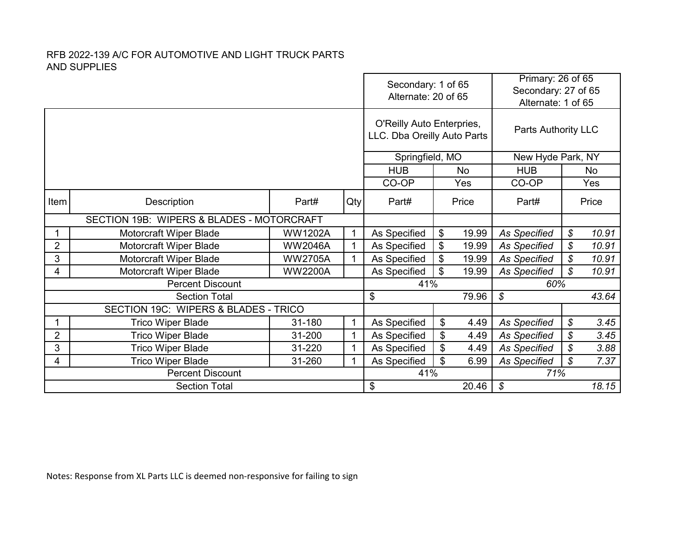|                                           |                                      | Secondary: 1 of 65<br>Alternate: 20 of 65 |     |                                                          |    |                   | Primary: 26 of 65<br>Secondary: 27 of 65<br>Alternate: 1 of 65 |                            |           |  |
|-------------------------------------------|--------------------------------------|-------------------------------------------|-----|----------------------------------------------------------|----|-------------------|----------------------------------------------------------------|----------------------------|-----------|--|
|                                           |                                      |                                           |     | O'Reilly Auto Enterpries,<br>LLC. Dba Oreilly Auto Parts |    |                   | Parts Authority LLC                                            |                            |           |  |
|                                           |                                      |                                           |     | Springfield, MO                                          |    | New Hyde Park, NY |                                                                |                            |           |  |
|                                           |                                      |                                           |     | <b>HUB</b>                                               |    | <b>No</b>         | <b>HUB</b>                                                     |                            | <b>No</b> |  |
|                                           |                                      |                                           |     | CO-OP                                                    |    | Yes               | CO-OP                                                          |                            | Yes       |  |
| Item                                      | Description                          | Part#                                     | Qty | Part#                                                    |    | Price             | Part#                                                          |                            | Price     |  |
| SECTION 19B: WIPERS & BLADES - MOTORCRAFT |                                      |                                           |     |                                                          |    |                   |                                                                |                            |           |  |
|                                           | Motorcraft Wiper Blade               | <b>WW1202A</b>                            | 1   | As Specified                                             | \$ | 19.99             | <b>As Specified</b>                                            | \$                         | 10.91     |  |
| $\overline{2}$                            | Motorcraft Wiper Blade               | <b>WW2046A</b>                            | 1   | As Specified                                             | \$ | 19.99             | <b>As Specified</b>                                            | \$                         | 10.91     |  |
| 3                                         | Motorcraft Wiper Blade               | <b>WW2705A</b>                            | 1   | As Specified                                             | \$ | 19.99             | <b>As Specified</b>                                            | \$                         | 10.91     |  |
| 4                                         | Motorcraft Wiper Blade               | <b>WW2200A</b>                            |     | As Specified                                             | \$ | 19.99             | <b>As Specified</b>                                            | \$                         | 10.91     |  |
|                                           | <b>Percent Discount</b>              |                                           |     | 41%                                                      |    |                   | 60%                                                            |                            |           |  |
|                                           | <b>Section Total</b>                 |                                           |     | \$                                                       |    | 79.96             | $\mathcal{S}$                                                  |                            | 43.64     |  |
|                                           | SECTION 19C: WIPERS & BLADES - TRICO |                                           |     |                                                          |    |                   |                                                                |                            |           |  |
|                                           | <b>Trico Wiper Blade</b>             | 31-180                                    | 1   | As Specified                                             | \$ | 4.49              | <b>As Specified</b>                                            | \$                         | 3.45      |  |
| $\overline{2}$                            | <b>Trico Wiper Blade</b>             | 31-200                                    | 1   | As Specified                                             | \$ | 4.49              | <b>As Specified</b>                                            | \$                         | 3.45      |  |
| 3                                         | <b>Trico Wiper Blade</b>             | 31-220                                    | 1   | As Specified                                             | \$ | 4.49              | <b>As Specified</b>                                            | \$                         | 3.88      |  |
| 4                                         | <b>Trico Wiper Blade</b>             | 31-260                                    | 1   | As Specified                                             | \$ | 6.99              | <b>As Specified</b>                                            | $\boldsymbol{\mathcal{S}}$ | 7.37      |  |
|                                           | <b>Percent Discount</b>              |                                           |     | 41%                                                      |    |                   | 71%                                                            |                            |           |  |
|                                           | <b>Section Total</b>                 |                                           |     | \$                                                       |    | 20.46             | \$                                                             |                            | 18.15     |  |

Notes: Response from XL Parts LLC is deemed non-responsive for failing to sign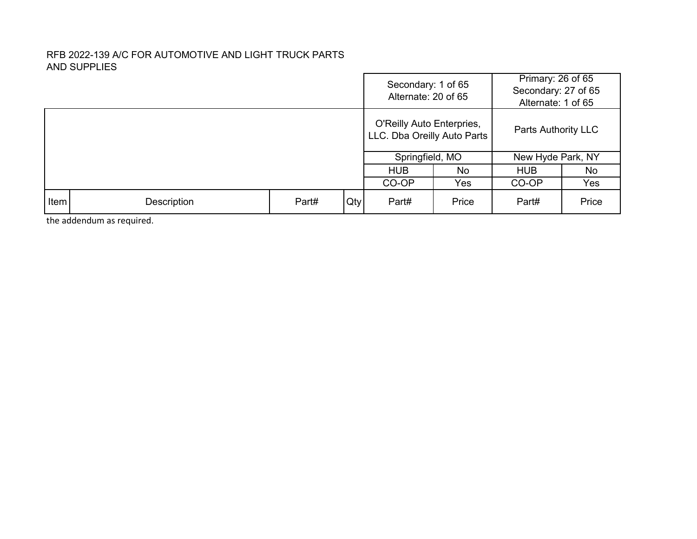|             |                    |       |     | Secondary: 1 of 65<br>Alternate: 20 of 65                |       | Primary: 26 of 65<br>Secondary: 27 of 65<br>Alternate: 1 of 65 |       |  |  |
|-------------|--------------------|-------|-----|----------------------------------------------------------|-------|----------------------------------------------------------------|-------|--|--|
|             |                    |       |     | O'Reilly Auto Enterpries,<br>LLC. Dba Oreilly Auto Parts |       | Parts Authority LLC                                            |       |  |  |
|             |                    |       |     | Springfield, MO                                          |       | New Hyde Park, NY                                              |       |  |  |
|             |                    |       |     | <b>HUB</b>                                               | No    | <b>HUB</b>                                                     | No    |  |  |
|             |                    |       |     | CO-OP                                                    | Yes   | CO-OP                                                          | Yes   |  |  |
| <b>Item</b> | <b>Description</b> | Part# | Qty | Part#                                                    | Price | Part#                                                          | Price |  |  |

the addendum as required.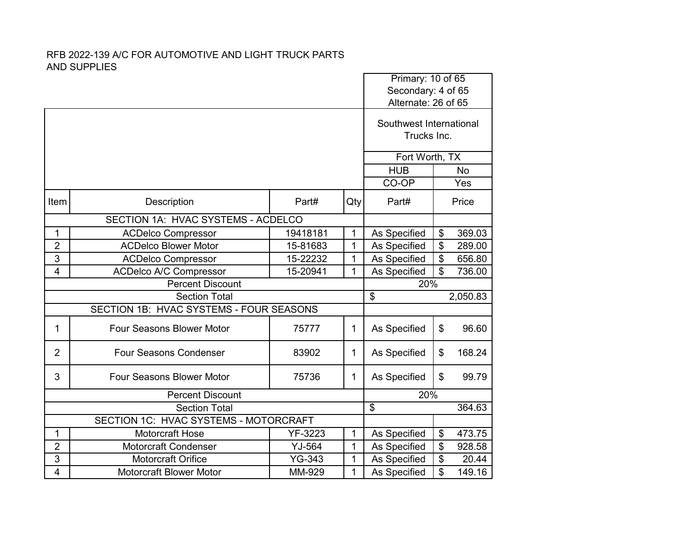|                         |                                         |                                    | Primary: 10 of 65 |                         |    |           |
|-------------------------|-----------------------------------------|------------------------------------|-------------------|-------------------------|----|-----------|
|                         |                                         |                                    |                   | Secondary: 4 of 65      |    |           |
|                         |                                         |                                    |                   | Alternate: 26 of 65     |    |           |
|                         |                                         |                                    |                   | Southwest International |    |           |
|                         |                                         |                                    |                   | Trucks Inc.             |    |           |
|                         |                                         |                                    |                   |                         |    |           |
|                         |                                         |                                    |                   | Fort Worth, TX          |    |           |
|                         |                                         |                                    |                   | <b>HUB</b>              |    | <b>No</b> |
|                         |                                         |                                    |                   | CO-OP                   |    | Yes       |
| Item                    | Description                             | Part#                              | Qty               | Part#                   |    | Price     |
|                         |                                         | SECTION 1A: HVAC SYSTEMS - ACDELCO |                   |                         |    |           |
| 1                       | <b>ACDelco Compressor</b>               | 19418181                           | 1                 | As Specified            | \$ | 369.03    |
| $\overline{2}$          | <b>ACDelco Blower Motor</b>             | 15-81683                           | 1                 | As Specified            | \$ | 289.00    |
| 3                       | <b>ACDelco Compressor</b>               | 15-22232                           | 1                 | As Specified            | \$ | 656.80    |
| $\overline{4}$          | <b>ACDelco A/C Compressor</b>           | 15-20941                           | 1                 | As Specified            | \$ | 736.00    |
| <b>Percent Discount</b> |                                         |                                    |                   | 20%                     |    |           |
|                         | <b>Section Total</b>                    |                                    |                   | $\overline{\mathbf{S}}$ |    | 2,050.83  |
|                         | SECTION 1B: HVAC SYSTEMS - FOUR SEASONS |                                    |                   |                         |    |           |
| 1                       | Four Seasons Blower Motor               | 75777                              | 1                 | As Specified            | \$ | 96.60     |
| $\overline{2}$          | <b>Four Seasons Condenser</b>           | 83902                              | 1                 | As Specified            | \$ | 168.24    |
| 3                       | <b>Four Seasons Blower Motor</b>        | 75736                              | 1                 | As Specified            | \$ | 99.79     |
|                         | <b>Percent Discount</b>                 |                                    |                   | 20%                     |    |           |
|                         | <b>Section Total</b>                    |                                    |                   | \$                      |    | 364.63    |
|                         | SECTION 1C: HVAC SYSTEMS - MOTORCRAFT   |                                    |                   |                         |    |           |
| 1                       | <b>Motorcraft Hose</b>                  | YF-3223                            | 1                 | As Specified            | \$ | 473.75    |
| $\overline{2}$          | <b>Motorcraft Condenser</b>             | YJ-564                             | 1                 | As Specified            | \$ | 928.58    |
| 3                       | <b>Motorcraft Orifice</b>               | <b>YG-343</b>                      | 1                 | As Specified            | \$ | 20.44     |
|                         |                                         |                                    |                   |                         |    |           |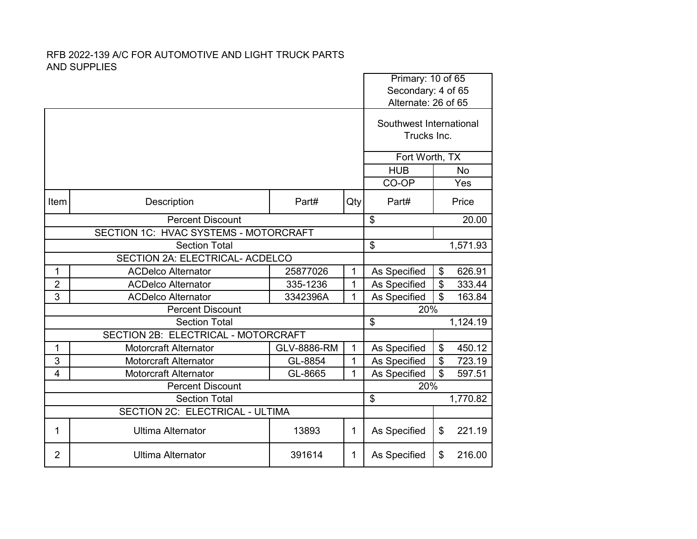|                |                                       |                    |                | Primary: 10 of 65<br>Secondary: 4 of 65<br>Alternate: 26 of 65 |                           |           |
|----------------|---------------------------------------|--------------------|----------------|----------------------------------------------------------------|---------------------------|-----------|
|                |                                       |                    |                |                                                                |                           |           |
|                |                                       |                    |                | Southwest International<br>Trucks Inc.                         |                           |           |
|                |                                       |                    |                | Fort Worth, TX                                                 |                           |           |
|                |                                       |                    |                | <b>HUB</b>                                                     |                           | <b>No</b> |
|                |                                       |                    |                | CO-OP                                                          |                           | Yes       |
| Item           | Description                           | Part#              | Qty            | Part#                                                          |                           | Price     |
|                | <b>Percent Discount</b>               |                    | $\mathfrak{L}$ |                                                                | 20.00                     |           |
|                | SECTION 1C: HVAC SYSTEMS - MOTORCRAFT |                    |                |                                                                |                           |           |
|                | <b>Section Total</b>                  | \$<br>1,571.93     |                |                                                                |                           |           |
|                | SECTION 2A: ELECTRICAL- ACDELCO       |                    |                |                                                                |                           |           |
| 1              | <b>ACDelco Alternator</b>             | 25877026           | $\mathbf 1$    | As Specified                                                   | \$                        | 626.91    |
| $\overline{2}$ | <b>ACDelco Alternator</b>             | 335-1236           | 1              | As Specified                                                   | $\boldsymbol{\mathsf{S}}$ | 333.44    |
| 3              | <b>ACDelco Alternator</b>             | 3342396A           | 1              | As Specified                                                   | \$                        | 163.84    |
|                | <b>Percent Discount</b>               |                    |                | 20%                                                            |                           |           |
|                | <b>Section Total</b>                  |                    |                | \$<br>1,124.19                                                 |                           |           |
|                | SECTION 2B: ELECTRICAL - MOTORCRAFT   |                    |                |                                                                |                           |           |
| 1              | <b>Motorcraft Alternator</b>          | <b>GLV-8886-RM</b> | 1              | As Specified                                                   | $\frac{1}{2}$             | 450.12    |
| 3              | <b>Motorcraft Alternator</b>          | GL-8854            | $\mathbf{1}$   | As Specified                                                   | $\boldsymbol{\mathsf{S}}$ | 723.19    |
| 4              | <b>Motorcraft Alternator</b>          | GL-8665            | 1              | As Specified                                                   | $\mathfrak{P}$            | 597.51    |
|                | <b>Percent Discount</b>               |                    |                | 20%                                                            |                           |           |
|                | <b>Section Total</b>                  |                    |                | $\overline{\mathbf{S}}$                                        |                           | 1,770.82  |
|                | SECTION 2C: ELECTRICAL - ULTIMA       |                    |                |                                                                |                           |           |
| 1              | <b>Ultima Alternator</b>              | 13893              | 1              | As Specified                                                   | \$                        | 221.19    |
| $\overline{2}$ | <b>Ultima Alternator</b>              | 391614             | $\mathbf{1}$   | As Specified                                                   | \$                        | 216.00    |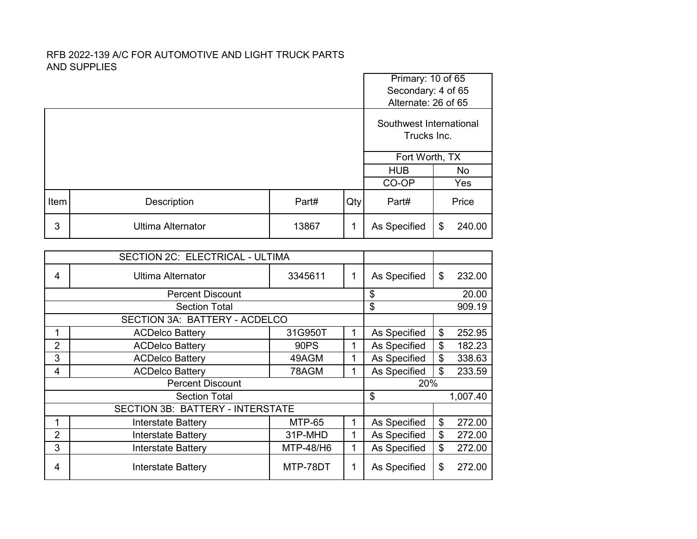|      |                          |       |     | Primary: 10 of 65<br>Secondary: 4 of 65<br>Alternate: 26 of 65 |    |        |  |
|------|--------------------------|-------|-----|----------------------------------------------------------------|----|--------|--|
|      |                          |       |     | Southwest International<br>Trucks Inc.                         |    |        |  |
|      |                          |       |     | Fort Worth, TX                                                 |    |        |  |
|      |                          |       |     | <b>HUB</b>                                                     |    | No     |  |
|      |                          |       |     | CO-OP                                                          |    | Yes    |  |
| Item | Description              | Part# | Qty | Part#                                                          |    | Price  |  |
| 3    | <b>Ultima Alternator</b> | 13867 | 1   | As Specified                                                   | \$ | 240.00 |  |

|                | SECTION 2C: ELECTRICAL - ULTIMA         |               |   |              |    |          |
|----------------|-----------------------------------------|---------------|---|--------------|----|----------|
| 4              | <b>Ultima Alternator</b>                | 3345611       | 1 | As Specified | \$ | 232.00   |
|                | <b>Percent Discount</b>                 |               |   | \$           |    | 20.00    |
|                | <b>Section Total</b>                    |               |   | \$           |    | 909.19   |
|                | SECTION 3A: BATTERY - ACDELCO           |               |   |              |    |          |
|                | <b>ACDelco Battery</b>                  | 31G950T       | 1 | As Specified | \$ | 252.95   |
| $\overline{2}$ | <b>ACDelco Battery</b>                  | 90PS          | 1 | As Specified | \$ | 182.23   |
| 3              | <b>ACDelco Battery</b>                  | 49AGM         | 1 | As Specified | \$ | 338.63   |
| 4              | <b>ACDelco Battery</b>                  | 78AGM         |   | As Specified | \$ | 233.59   |
|                | <b>Percent Discount</b>                 |               |   | 20%          |    |          |
|                | <b>Section Total</b>                    |               |   | \$           |    | 1,007.40 |
|                | <b>SECTION 3B: BATTERY - INTERSTATE</b> |               |   |              |    |          |
| 1              | <b>Interstate Battery</b>               | <b>MTP-65</b> | 1 | As Specified | \$ | 272.00   |
| $\overline{2}$ | <b>Interstate Battery</b>               | 31P-MHD       | 1 | As Specified | \$ | 272.00   |
| 3              | <b>Interstate Battery</b>               | MTP-48/H6     | 1 | As Specified | \$ | 272.00   |
| 4              | Interstate Battery                      | MTP-78DT      | 1 | As Specified | \$ | 272.00   |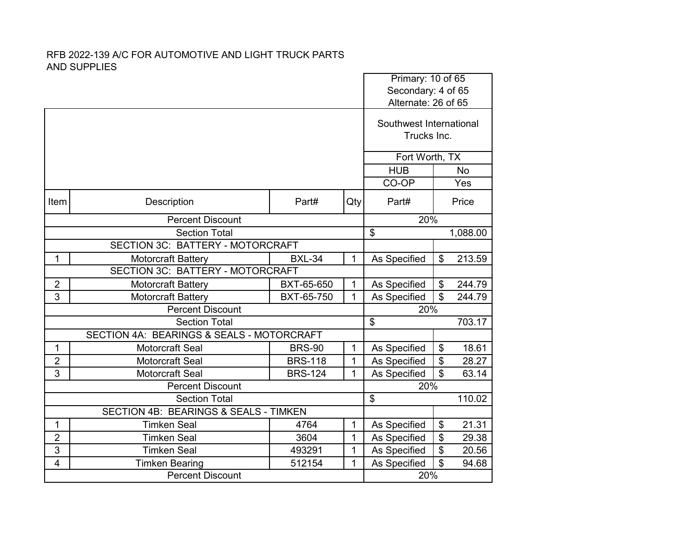|                |                                                  |                |              |                                        | Primary: 10 of 65<br>Secondary: 4 of 65 |           |  |
|----------------|--------------------------------------------------|----------------|--------------|----------------------------------------|-----------------------------------------|-----------|--|
|                |                                                  |                |              | Alternate: 26 of 65                    |                                         |           |  |
|                |                                                  |                |              | Southwest International<br>Trucks Inc. |                                         |           |  |
|                |                                                  |                |              |                                        |                                         |           |  |
|                |                                                  |                |              | Fort Worth, TX                         |                                         |           |  |
|                |                                                  |                |              | <b>HUB</b>                             |                                         | <b>No</b> |  |
|                |                                                  |                | CO-OP        |                                        | Yes                                     |           |  |
| Item           | Description                                      | Part#          | Qty          | Part#                                  |                                         | Price     |  |
|                | <b>Percent Discount</b>                          |                | 20%          |                                        |                                         |           |  |
|                | <b>Section Total</b>                             | \$             |              | 1,088.00                               |                                         |           |  |
|                | SECTION 3C: BATTERY - MOTORCRAFT                 |                |              |                                        |                                         |           |  |
| $\mathbf{1}$   | Motorcraft Battery                               | <b>BXL-34</b>  | $\mathbf{1}$ | As Specified                           | \$                                      | 213.59    |  |
|                | <b>SECTION 3C: BATTERY - MOTORCRAFT</b>          |                |              |                                        |                                         |           |  |
| $\overline{2}$ | Motorcraft Battery                               | BXT-65-650     | 1            | As Specified                           | \$                                      | 244.79    |  |
| 3              | <b>Motorcraft Battery</b>                        | BXT-65-750     | $\mathbf{1}$ | As Specified                           | $\mathfrak{P}$                          | 244.79    |  |
|                | <b>Percent Discount</b>                          |                |              | 20%                                    |                                         |           |  |
|                | <b>Section Total</b>                             |                |              | \$                                     |                                         | 703.17    |  |
|                | SECTION 4A: BEARINGS & SEALS - MOTORCRAFT        |                |              |                                        |                                         |           |  |
| 1              | <b>Motorcraft Seal</b>                           | <b>BRS-90</b>  | $\mathbf 1$  | As Specified                           | $\boldsymbol{\theta}$                   | 18.61     |  |
| $\overline{2}$ | <b>Motorcraft Seal</b>                           | <b>BRS-118</b> | 1            | As Specified                           | \$                                      | 28.27     |  |
| 3              | <b>Motorcraft Seal</b>                           | <b>BRS-124</b> | $\mathbf{1}$ | As Specified                           | \$                                      | 63.14     |  |
|                | <b>Percent Discount</b>                          |                |              | 20%                                    |                                         |           |  |
|                | <b>Section Total</b>                             |                |              | \$                                     |                                         | 110.02    |  |
|                | <b>SECTION 4B: BEARINGS &amp; SEALS - TIMKEN</b> |                |              |                                        |                                         |           |  |
| 1              | <b>Timken Seal</b>                               | 4764           | $\mathbf{1}$ | As Specified                           | $\frac{1}{2}$                           | 21.31     |  |
| $\overline{2}$ | <b>Timken Seal</b>                               | 3604           | 1            | As Specified                           | \$                                      | 29.38     |  |
| 3              | <b>Timken Seal</b>                               | 493291         | 1            | As Specified                           | \$                                      | 20.56     |  |
| $\overline{4}$ | <b>Timken Bearing</b>                            | 512154         | 1            | As Specified<br>20%                    | \$                                      | 94.68     |  |
|                | <b>Percent Discount</b>                          |                |              |                                        |                                         |           |  |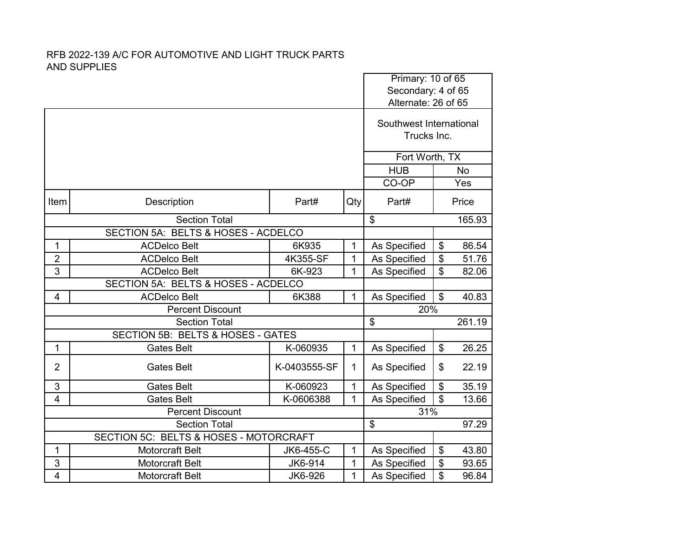|                         |                                        |              | Primary: 10 of 65 |                                           |                |           |
|-------------------------|----------------------------------------|--------------|-------------------|-------------------------------------------|----------------|-----------|
|                         |                                        |              |                   | Secondary: 4 of 65<br>Alternate: 26 of 65 |                |           |
|                         |                                        |              |                   | Southwest International<br>Trucks Inc.    |                |           |
|                         |                                        |              |                   | Fort Worth, TX                            |                |           |
|                         |                                        |              |                   | <b>HUB</b>                                |                | <b>No</b> |
|                         |                                        |              |                   | CO-OP                                     |                | Yes       |
| Item                    | Description                            | Part#        | Qty               | Part#                                     |                | Price     |
|                         | <b>Section Total</b>                   |              |                   | \$                                        |                | 165.93    |
|                         | SECTION 5A: BELTS & HOSES - ACDELCO    |              |                   |                                           |                |           |
| 1                       | <b>ACDelco Belt</b>                    | 6K935        | 1                 | As Specified                              | \$             | 86.54     |
| $\overline{2}$          | <b>ACDelco Belt</b>                    | 4K355-SF     | $\mathbf{1}$      | As Specified                              | \$             | 51.76     |
| 3                       | <b>ACDelco Belt</b>                    | 6K-923       | 1                 | As Specified                              | \$             | 82.06     |
|                         | SECTION 5A: BELTS & HOSES - ACDELCO    |              |                   |                                           |                |           |
| $\overline{4}$          | <b>ACDelco Belt</b>                    | 6K388        | $\mathbf{1}$      | As Specified                              | $\mathfrak{S}$ | 40.83     |
|                         | <b>Percent Discount</b>                |              |                   | 20%                                       |                |           |
|                         | <b>Section Total</b>                   |              |                   | \$                                        |                | 261.19    |
|                         | SECTION 5B: BELTS & HOSES - GATES      |              |                   |                                           |                |           |
| 1                       | <b>Gates Belt</b>                      | K-060935     | $\mathbf{1}$      | As Specified                              | \$             | 26.25     |
| $\overline{2}$          | <b>Gates Belt</b>                      | K-0403555-SF | 1                 | As Specified                              | \$             | 22.19     |
| 3                       | <b>Gates Belt</b>                      | K-060923     | $\mathbf{1}$      | As Specified                              | \$             | 35.19     |
| $\overline{4}$          | <b>Gates Belt</b>                      | K-0606388    | 1                 | As Specified                              | \$             | 13.66     |
|                         | <b>Percent Discount</b>                |              |                   | 31%                                       |                |           |
|                         | <b>Section Total</b>                   |              |                   | $\overline{\mathcal{E}}$                  |                | 97.29     |
|                         | SECTION 5C: BELTS & HOSES - MOTORCRAFT |              |                   |                                           |                |           |
| 1                       | <b>Motorcraft Belt</b>                 | JK6-455-C    | 1                 | As Specified                              | \$             | 43.80     |
| 3                       | <b>Motorcraft Belt</b>                 | JK6-914      | 1                 | As Specified                              | \$             | 93.65     |
| $\overline{\mathbf{4}}$ | Motorcraft Belt                        | JK6-926      | 1                 | As Specified                              | \$             | 96.84     |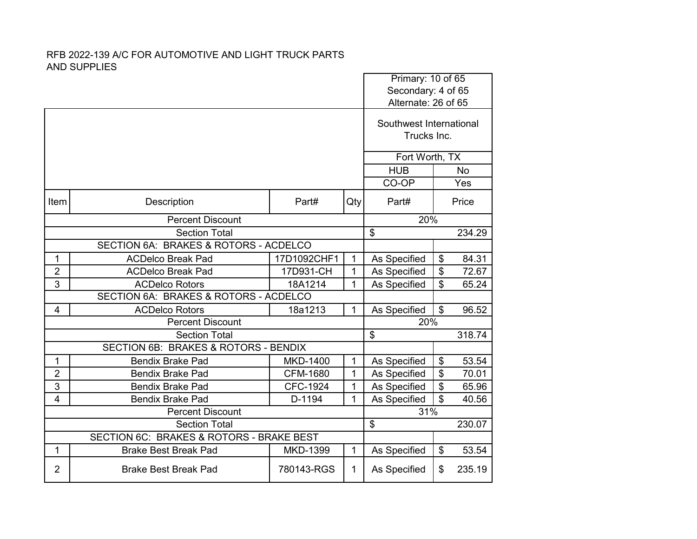|                |                                          |                          |              |                                           | Primary: 10 of 65                      |           |  |
|----------------|------------------------------------------|--------------------------|--------------|-------------------------------------------|----------------------------------------|-----------|--|
|                |                                          |                          |              | Secondary: 4 of 65<br>Alternate: 26 of 65 |                                        |           |  |
|                |                                          |                          |              |                                           | Southwest International<br>Trucks Inc. |           |  |
|                |                                          |                          |              | Fort Worth, TX                            |                                        |           |  |
|                |                                          |                          |              | <b>HUB</b>                                |                                        | <b>No</b> |  |
|                |                                          |                          |              | CO-OP                                     |                                        | Yes       |  |
| Item           | Description                              | Part#                    | Qty          | Part#                                     |                                        | Price     |  |
|                | <b>Percent Discount</b>                  |                          | 20%          |                                           |                                        |           |  |
|                | <b>Section Total</b>                     | $\overline{\mathcal{S}}$ |              | 234.29                                    |                                        |           |  |
|                | SECTION 6A: BRAKES & ROTORS - ACDELCO    |                          |              |                                           |                                        |           |  |
| 1              | <b>ACDelco Break Pad</b>                 | 17D1092CHF1              | $\mathbf{1}$ | As Specified                              | \$                                     | 84.31     |  |
| $\overline{2}$ | <b>ACDelco Break Pad</b>                 | 17D931-CH                | 1            | As Specified                              | \$                                     | 72.67     |  |
| 3              | <b>ACDelco Rotors</b>                    | 18A1214                  | 1            | As Specified                              | \$                                     | 65.24     |  |
|                | SECTION 6A: BRAKES & ROTORS - ACDELCO    |                          |              |                                           |                                        |           |  |
| $\overline{4}$ | <b>ACDelco Rotors</b>                    | 18a1213                  | 1            | As Specified                              | \$                                     | 96.52     |  |
|                | <b>Percent Discount</b>                  |                          |              | 20%                                       |                                        |           |  |
|                | <b>Section Total</b>                     |                          |              | $\mathfrak{S}$                            |                                        | 318.74    |  |
|                | SECTION 6B: BRAKES & ROTORS - BENDIX     |                          |              |                                           |                                        |           |  |
| 1              | <b>Bendix Brake Pad</b>                  | <b>MKD-1400</b>          | 1            | As Specified                              | \$                                     | 53.54     |  |
| $\overline{2}$ | <b>Bendix Brake Pad</b>                  | <b>CFM-1680</b>          | 1            | As Specified                              | \$                                     | 70.01     |  |
| 3              | <b>Bendix Brake Pad</b>                  | <b>CFC-1924</b>          | 1            | As Specified                              | \$                                     | 65.96     |  |
| $\overline{4}$ | <b>Bendix Brake Pad</b>                  | D-1194                   | 1            | As Specified                              | $\mathfrak{L}$                         | 40.56     |  |
|                | <b>Percent Discount</b>                  |                          |              | 31%                                       |                                        |           |  |
|                | <b>Section Total</b>                     |                          |              | $\overline{\mathcal{S}}$                  |                                        | 230.07    |  |
|                | SECTION 6C: BRAKES & ROTORS - BRAKE BEST |                          |              |                                           |                                        |           |  |
| 1              | <b>Brake Best Break Pad</b>              | MKD-1399                 | 1            | As Specified                              | \$                                     | 53.54     |  |
| $\overline{2}$ | <b>Brake Best Break Pad</b>              | 780143-RGS               | 1            | As Specified                              | \$                                     | 235.19    |  |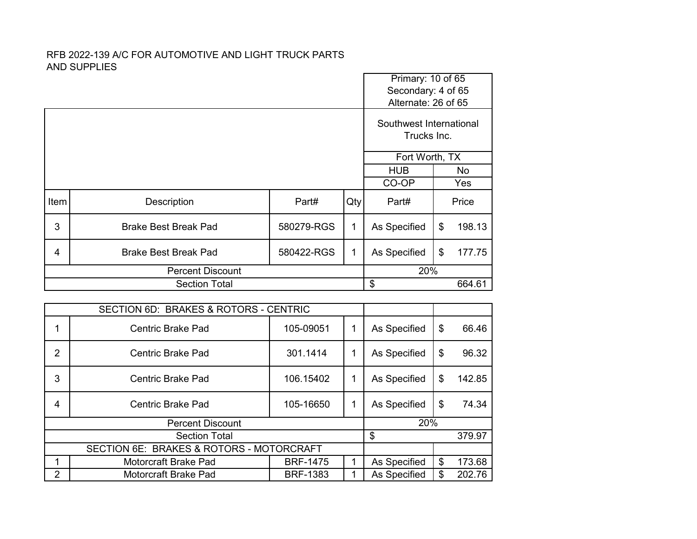|      |                             | Primary: 10 of 65                      |     |                     |     |        |  |
|------|-----------------------------|----------------------------------------|-----|---------------------|-----|--------|--|
|      |                             |                                        |     | Secondary: 4 of 65  |     |        |  |
|      |                             |                                        |     | Alternate: 26 of 65 |     |        |  |
|      |                             | Southwest International<br>Trucks Inc. |     |                     |     |        |  |
|      |                             | Fort Worth, TX                         |     |                     |     |        |  |
|      |                             |                                        |     | <b>HUB</b>          |     | No     |  |
|      |                             |                                        |     | CO-OP               |     | Yes    |  |
| Item | Description                 | Part#                                  | Qty | Part#               |     | Price  |  |
| 3    | <b>Brake Best Break Pad</b> | 580279-RGS                             | 1   | As Specified        | \$  | 198.13 |  |
| 4    | <b>Brake Best Break Pad</b> | 580422-RGS                             | 1   | As Specified        | \$  | 177.75 |  |
|      | <b>Percent Discount</b>     |                                        |     |                     | 20% |        |  |
|      | <b>Section Total</b>        |                                        |     | \$                  |     | 664.61 |  |

|                | SECTION 6D: BRAKES & ROTORS - CENTRIC    |                 |              |    |        |
|----------------|------------------------------------------|-----------------|--------------|----|--------|
|                | <b>Centric Brake Pad</b>                 | 105-09051       | As Specified | \$ | 66.46  |
| $\overline{2}$ | <b>Centric Brake Pad</b>                 | 301.1414        | As Specified | \$ | 96.32  |
| 3              | Centric Brake Pad                        | 106.15402       | As Specified | \$ | 142.85 |
| 4              | <b>Centric Brake Pad</b>                 | 105-16650       | As Specified | \$ | 74.34  |
|                | <b>Percent Discount</b>                  |                 | 20%          |    |        |
|                | <b>Section Total</b>                     |                 | \$           |    | 379.97 |
|                | SECTION 6E: BRAKES & ROTORS - MOTORCRAFT |                 |              |    |        |
|                | Motorcraft Brake Pad                     | <b>BRF-1475</b> | As Specified | \$ | 173.68 |
| $\overline{2}$ | Motorcraft Brake Pad                     | <b>BRF-1383</b> | As Specified | \$ | 202.76 |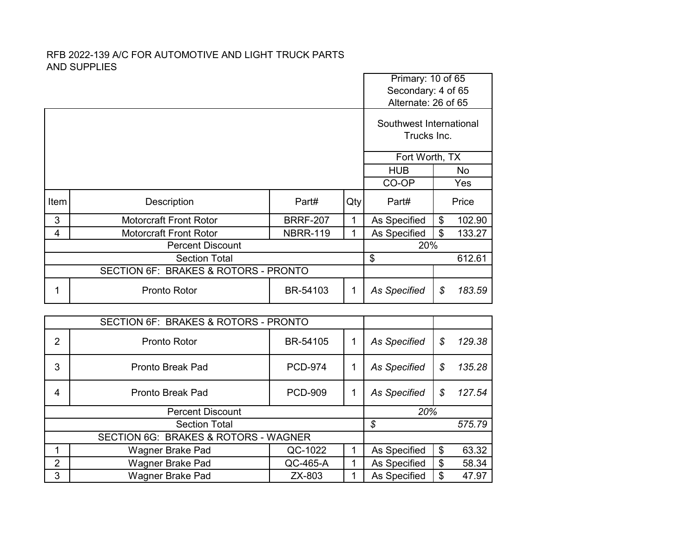|                                      |                               |                 |        |                                        | Primary: 10 of 65<br>Secondary: 4 of 65<br>Alternate: 26 of 65 |        |  |
|--------------------------------------|-------------------------------|-----------------|--------|----------------------------------------|----------------------------------------------------------------|--------|--|
|                                      |                               |                 |        | Southwest International<br>Trucks Inc. |                                                                |        |  |
|                                      |                               |                 |        |                                        | Fort Worth, TX                                                 |        |  |
|                                      |                               |                 |        | <b>HUB</b>                             |                                                                | No     |  |
|                                      |                               |                 |        | CO-OP                                  |                                                                | Yes    |  |
| Item                                 | Description                   | Part#           | Qty    | Part#                                  |                                                                | Price  |  |
| 3                                    | <b>Motorcraft Front Rotor</b> | <b>BRRF-207</b> | 1      | As Specified                           | \$                                                             | 102.90 |  |
| 4                                    | <b>Motorcraft Front Rotor</b> | <b>NBRR-119</b> |        | As Specified                           | \$                                                             | 133.27 |  |
|                                      | <b>Percent Discount</b>       |                 |        | 20%                                    |                                                                |        |  |
|                                      | \$                            |                 | 612.61 |                                        |                                                                |        |  |
| SECTION 6F: BRAKES & ROTORS - PRONTO |                               |                 |        |                                        |                                                                |        |  |
| 1                                    | <b>Pronto Rotor</b>           | BR-54103        | 1      | <b>As Specified</b>                    | \$                                                             | 183.59 |  |

|   | SECTION 6F: BRAKES & ROTORS - PRONTO |                |  |              |              |
|---|--------------------------------------|----------------|--|--------------|--------------|
| 2 | Pronto Rotor                         | BR-54105       |  | As Specified | \$<br>129.38 |
| 3 | <b>Pronto Break Pad</b>              | <b>PCD-974</b> |  | As Specified | \$<br>135.28 |
| 4 | <b>Pronto Break Pad</b>              | <b>PCD-909</b> |  | As Specified | \$<br>127.54 |
|   | <b>Percent Discount</b>              |                |  | 20%          |              |
|   | <b>Section Total</b>                 |                |  | \$           | 575.79       |
|   | SECTION 6G: BRAKES & ROTORS - WAGNER |                |  |              |              |
|   | Wagner Brake Pad                     | QC-1022        |  | As Specified | \$<br>63.32  |
| 2 | Wagner Brake Pad                     | QC-465-A       |  | As Specified | \$<br>58.34  |
| 3 | Wagner Brake Pad                     | ZX-803         |  | As Specified | \$<br>47.97  |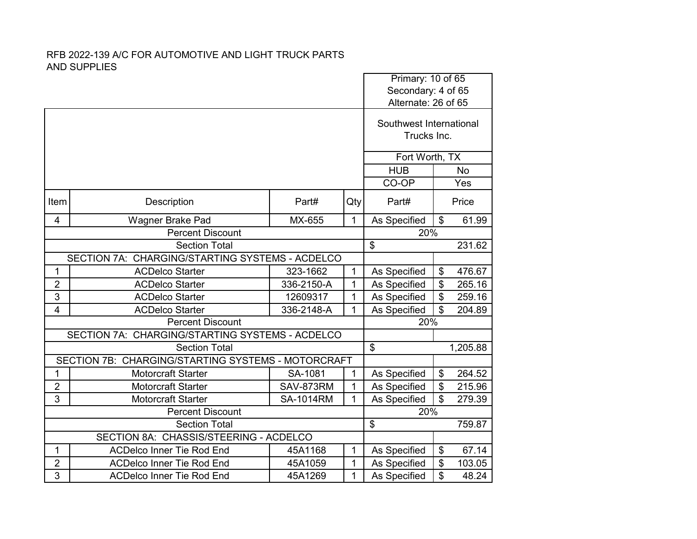|                                                 |                                                    |                  |              |                                           | Primary: 10 of 65       |           |  |
|-------------------------------------------------|----------------------------------------------------|------------------|--------------|-------------------------------------------|-------------------------|-----------|--|
|                                                 |                                                    |                  |              | Secondary: 4 of 65<br>Alternate: 26 of 65 |                         |           |  |
|                                                 |                                                    |                  |              |                                           |                         |           |  |
|                                                 |                                                    |                  |              |                                           | Southwest International |           |  |
|                                                 |                                                    |                  |              |                                           | Trucks Inc.             |           |  |
|                                                 |                                                    |                  |              |                                           | Fort Worth, TX          |           |  |
|                                                 |                                                    |                  |              | <b>HUB</b>                                |                         | <b>No</b> |  |
|                                                 |                                                    |                  |              | CO-OP                                     |                         | Yes       |  |
| Item                                            | Description                                        | Part#            | Qty          | Part#                                     |                         | Price     |  |
| 4                                               | Wagner Brake Pad                                   | MX-655           | 1            | As Specified                              | \$                      | 61.99     |  |
| <b>Percent Discount</b>                         |                                                    |                  |              | 20%                                       |                         |           |  |
|                                                 | <b>Section Total</b>                               | \$               |              | 231.62                                    |                         |           |  |
| SECTION 7A: CHARGING/STARTING SYSTEMS - ACDELCO |                                                    |                  |              |                                           |                         |           |  |
| 1                                               | <b>ACDelco Starter</b>                             | 323-1662         | 1            | As Specified                              | \$                      | 476.67    |  |
| $\overline{2}$                                  | <b>ACDelco Starter</b>                             | 336-2150-A       | $\mathbf{1}$ | As Specified                              | $\overline{\mathbf{S}}$ | 265.16    |  |
| 3                                               | <b>ACDelco Starter</b>                             | 12609317         | 1            | As Specified                              | $\overline{\$}$         | 259.16    |  |
| $\overline{4}$                                  | <b>ACDelco Starter</b>                             | 336-2148-A       | 1            | As Specified                              | \$                      | 204.89    |  |
|                                                 | <b>Percent Discount</b>                            |                  |              | 20%                                       |                         |           |  |
|                                                 | SECTION 7A: CHARGING/STARTING SYSTEMS - ACDELCO    |                  |              |                                           |                         |           |  |
|                                                 | <b>Section Total</b>                               |                  |              | $\boldsymbol{\mathsf{\$}}$                |                         | 1,205.88  |  |
|                                                 | SECTION 7B: CHARGING/STARTING SYSTEMS - MOTORCRAFT |                  |              |                                           |                         |           |  |
| 1                                               | <b>Motorcraft Starter</b>                          | SA-1081          | $\mathbf{1}$ | As Specified                              | \$                      | 264.52    |  |
| $\overline{2}$                                  | <b>Motorcraft Starter</b>                          | SAV-873RM        | 1            | As Specified                              | $\overline{\mathbf{S}}$ | 215.96    |  |
| 3                                               | <b>Motorcraft Starter</b>                          | <b>SA-1014RM</b> | 1            | As Specified                              | $\mathfrak{L}$          | 279.39    |  |
|                                                 | <b>Percent Discount</b>                            |                  |              | 20%                                       |                         |           |  |
|                                                 | <b>Section Total</b>                               |                  |              | \$                                        |                         | 759.87    |  |
|                                                 | SECTION 8A: CHASSIS/STEERING - ACDELCO             |                  |              |                                           |                         |           |  |
| 1                                               | <b>ACDelco Inner Tie Rod End</b>                   | 45A1168          | 1            | As Specified                              | \$                      | 67.14     |  |
| $\overline{2}$                                  | <b>ACDelco Inner Tie Rod End</b>                   | 45A1059          | 1            | As Specified                              | \$                      | 103.05    |  |
| 3                                               | <b>ACDelco Inner Tie Rod End</b>                   | 45A1269          | 1            | As Specified                              | \$                      | 48.24     |  |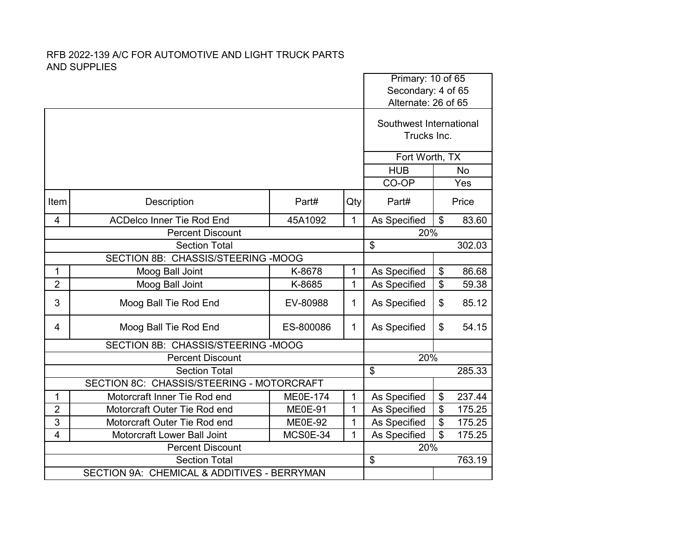|                         |                                             |                 |                |                                           | Primary: 10 of 65       |           |  |
|-------------------------|---------------------------------------------|-----------------|----------------|-------------------------------------------|-------------------------|-----------|--|
|                         |                                             |                 |                | Secondary: 4 of 65<br>Alternate: 26 of 65 |                         |           |  |
|                         |                                             |                 |                |                                           |                         |           |  |
|                         |                                             |                 |                | Southwest International                   |                         |           |  |
|                         |                                             |                 |                | Trucks Inc.                               |                         |           |  |
|                         |                                             |                 |                | Fort Worth, TX                            |                         |           |  |
|                         |                                             |                 |                | <b>HUB</b>                                |                         | <b>No</b> |  |
|                         |                                             |                 |                | CO-OP                                     |                         | Yes       |  |
|                         |                                             |                 |                |                                           |                         |           |  |
| Item                    | Description                                 | Part#           | Qty            | Part#                                     |                         | Price     |  |
| $\overline{\mathbf{4}}$ | <b>ACDelco Inner Tie Rod End</b>            | 45A1092         | $\mathbf{1}$   | As Specified                              | $\mathfrak{S}$          | 83.60     |  |
| <b>Percent Discount</b> |                                             |                 |                | 20%                                       |                         |           |  |
|                         | <b>Section Total</b>                        | \$              |                | 302.03                                    |                         |           |  |
|                         |                                             |                 |                |                                           |                         |           |  |
| 1                       | Moog Ball Joint                             | K-8678          | 1              | As Specified                              | \$                      | 86.68     |  |
| $\overline{2}$          | Moog Ball Joint                             | K-8685          | $\mathbf{1}$   | As Specified                              | \$                      | 59.38     |  |
| 3                       | Moog Ball Tie Rod End                       | EV-80988        | 1              | As Specified                              | \$                      | 85.12     |  |
| 4                       | Moog Ball Tie Rod End                       | ES-800086       | $\mathbf{1}$   | As Specified                              | \$                      | 54.15     |  |
|                         | SECTION 8B: CHASSIS/STEERING -MOOG          |                 |                |                                           |                         |           |  |
|                         | <b>Percent Discount</b>                     |                 |                | 20%                                       |                         |           |  |
|                         | <b>Section Total</b>                        |                 |                | \$                                        |                         | 285.33    |  |
|                         | SECTION 8C: CHASSIS/STEERING - MOTORCRAFT   |                 |                |                                           |                         |           |  |
| 1                       | Motorcraft Inner Tie Rod end                | <b>ME0E-174</b> | $\mathbf{1}$   | As Specified                              | \$                      | 237.44    |  |
| $\overline{2}$          | Motorcraft Outer Tie Rod end                | <b>ME0E-91</b>  | $\overline{1}$ | As Specified                              | $\overline{\mathbf{S}}$ | 175.25    |  |
| 3                       | Motorcraft Outer Tie Rod end                | <b>ME0E-92</b>  | 1              | As Specified                              | $\overline{\mathbf{S}}$ | 175.25    |  |
| 4                       | Motorcraft Lower Ball Joint                 | MCS0E-34        | 1              | As Specified                              | \$                      | 175.25    |  |
|                         | <b>Percent Discount</b>                     |                 |                | 20%                                       |                         |           |  |
|                         | <b>Section Total</b>                        |                 |                | \$                                        |                         | 763.19    |  |
|                         | SECTION 9A: CHEMICAL & ADDITIVES - BERRYMAN |                 |                |                                           |                         |           |  |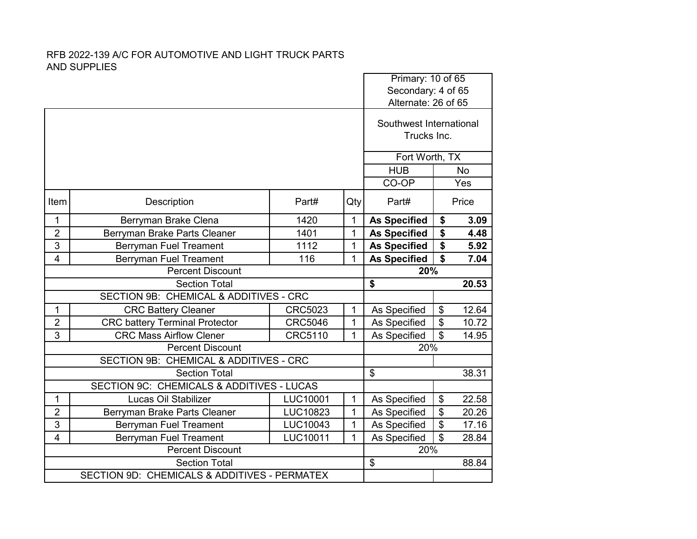|                         |                                              |                |                |                                           | Primary: 10 of 65                    |           |  |
|-------------------------|----------------------------------------------|----------------|----------------|-------------------------------------------|--------------------------------------|-----------|--|
|                         |                                              |                |                | Secondary: 4 of 65<br>Alternate: 26 of 65 |                                      |           |  |
|                         |                                              |                |                |                                           |                                      |           |  |
|                         |                                              |                |                |                                           | Southwest International              |           |  |
|                         |                                              |                |                |                                           | Trucks Inc.                          |           |  |
|                         |                                              |                |                |                                           |                                      |           |  |
|                         |                                              |                |                |                                           | Fort Worth, TX                       |           |  |
|                         |                                              |                |                | <b>HUB</b>                                |                                      | <b>No</b> |  |
|                         |                                              |                |                | CO-OP                                     |                                      | Yes       |  |
| Item                    | Description                                  | Part#          | Qty            | Part#                                     |                                      | Price     |  |
| 1                       | Berryman Brake Clena                         | 1420           | $\mathbf{1}$   | <b>As Specified</b>                       | \$                                   | 3.09      |  |
| $\overline{2}$          | Berryman Brake Parts Cleaner                 | 1401           | $\overline{1}$ | <b>As Specified</b>                       | $\overline{\boldsymbol{\mathsf{s}}}$ | 4.48      |  |
| 3                       | Berryman Fuel Treament                       | 1112           | 1              | <b>As Specified</b>                       | \$                                   | 5.92      |  |
| $\overline{4}$          | <b>Berryman Fuel Treament</b>                | 116            | $\mathbf{1}$   | <b>As Specified</b>                       | \$                                   | 7.04      |  |
| <b>Percent Discount</b> |                                              |                |                | 20%                                       |                                      |           |  |
| <b>Section Total</b>    |                                              |                |                | \$                                        |                                      | 20.53     |  |
|                         | SECTION 9B: CHEMICAL & ADDITIVES - CRC       |                |                |                                           |                                      |           |  |
| 1                       | <b>CRC Battery Cleaner</b>                   | <b>CRC5023</b> | 1              | As Specified                              | \$                                   | 12.64     |  |
| $\overline{2}$          | <b>CRC battery Terminal Protector</b>        | <b>CRC5046</b> | 1              | As Specified                              | $\overline{\mathbf{s}}$              | 10.72     |  |
| 3                       | <b>CRC Mass Airflow Clener</b>               | <b>CRC5110</b> | 1              | As Specified                              | $\overline{\mathcal{S}}$             | 14.95     |  |
|                         | <b>Percent Discount</b>                      |                |                | 20%                                       |                                      |           |  |
|                         | SECTION 9B: CHEMICAL & ADDITIVES - CRC       |                |                |                                           |                                      |           |  |
|                         | <b>Section Total</b>                         |                |                | $\overline{\mathcal{S}}$                  |                                      | 38.31     |  |
|                         | SECTION 9C: CHEMICALS & ADDITIVES - LUCAS    |                |                |                                           |                                      |           |  |
| $\mathbf{1}$            | Lucas Oil Stabilizer                         | LUC10001       | $\mathbf{1}$   | As Specified                              | \$                                   | 22.58     |  |
| $\overline{2}$          | Berryman Brake Parts Cleaner                 | LUC10823       | 1              | As Specified                              | $\overline{\$}$                      | 20.26     |  |
| 3                       | <b>Berryman Fuel Treament</b>                | LUC10043       | 1              | As Specified                              | $\overline{\$}$                      | 17.16     |  |
| $\overline{4}$          | <b>Berryman Fuel Treament</b>                | LUC10011       | 1              | As Specified                              | $\overline{\mathbf{s}}$              | 28.84     |  |
|                         | <b>Percent Discount</b>                      |                |                | 20%                                       |                                      |           |  |
|                         | <b>Section Total</b>                         |                |                | $\overline{\mathbf{e}}$                   |                                      | 88.84     |  |
|                         | SECTION 9D: CHEMICALS & ADDITIVES - PERMATEX |                |                |                                           |                                      |           |  |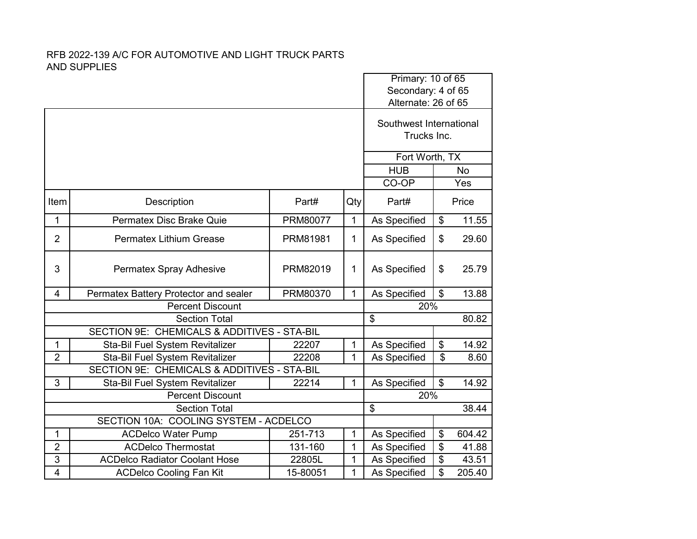|                |                                             |          |              | Primary: 10 of 65       |                 |           |
|----------------|---------------------------------------------|----------|--------------|-------------------------|-----------------|-----------|
|                |                                             |          |              | Secondary: 4 of 65      |                 |           |
|                |                                             |          |              | Alternate: 26 of 65     |                 |           |
|                |                                             |          |              | Southwest International |                 |           |
|                |                                             |          |              |                         | Trucks Inc.     |           |
|                |                                             |          |              |                         |                 |           |
|                |                                             |          |              | Fort Worth, TX          |                 |           |
|                |                                             |          |              | <b>HUB</b>              |                 | <b>No</b> |
|                |                                             |          |              | CO-OP                   |                 | Yes       |
| Item           | Description                                 | Part#    | Qty          | Part#                   |                 | Price     |
| 1              | Permatex Disc Brake Quie                    | PRM80077 | $\mathbf{1}$ | As Specified            | \$              | 11.55     |
| $\overline{2}$ | <b>Permatex Lithium Grease</b>              | PRM81981 | 1            | As Specified            | \$              | 29.60     |
| 3              | <b>Permatex Spray Adhesive</b>              | PRM82019 | 1            | As Specified            | \$              | 25.79     |
| $\overline{4}$ | Permatex Battery Protector and sealer       | PRM80370 | $\mathbf{1}$ | As Specified            | $\mathfrak{S}$  | 13.88     |
|                | <b>Percent Discount</b>                     |          |              | 20%                     |                 |           |
|                | <b>Section Total</b>                        |          |              | \$                      |                 | 80.82     |
|                | SECTION 9E: CHEMICALS & ADDITIVES - STA-BIL |          |              |                         |                 |           |
| 1              | Sta-Bil Fuel System Revitalizer             | 22207    | 1            | As Specified            | \$              | 14.92     |
| $\overline{2}$ | Sta-Bil Fuel System Revitalizer             | 22208    | 1            | As Specified            | \$              | 8.60      |
|                | SECTION 9E: CHEMICALS & ADDITIVES - STA-BIL |          |              |                         |                 |           |
| 3              | Sta-Bil Fuel System Revitalizer             | 22214    | 1            | As Specified            | \$              | 14.92     |
|                | <b>Percent Discount</b>                     |          |              | 20%                     |                 |           |
|                | <b>Section Total</b>                        |          |              | \$                      |                 | 38.44     |
|                | SECTION 10A: COOLING SYSTEM - ACDELCO       |          |              |                         |                 |           |
| 1              | <b>ACDelco Water Pump</b>                   | 251-713  | 1            | As Specified            | \$              | 604.42    |
| $\overline{2}$ | <b>ACDelco Thermostat</b>                   | 131-160  | 1            | As Specified            | \$              | 41.88     |
| 3              | <b>ACDelco Radiator Coolant Hose</b>        | 22805L   | $\mathbf{1}$ | As Specified            | $\overline{\$}$ | 43.51     |
| $\overline{4}$ | <b>ACDelco Cooling Fan Kit</b>              | 15-80051 | 1            | As Specified            | \$              | 205.40    |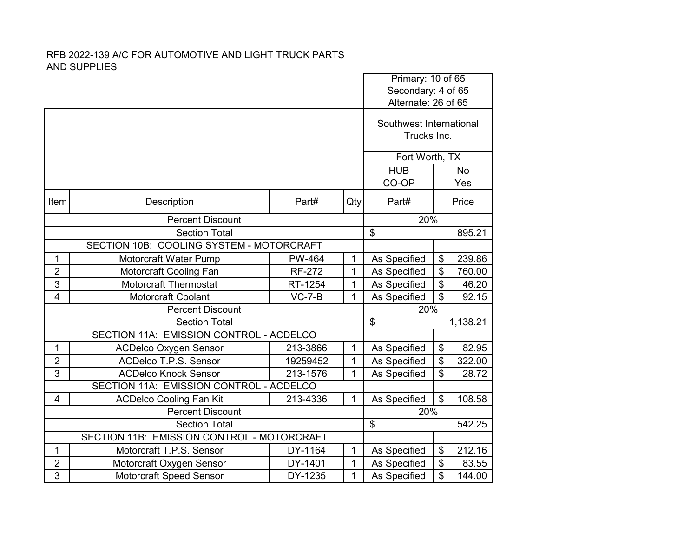|                                          |                                            |                          |              | Primary: 10 of 65<br>Secondary: 4 of 65 |                           |          |  |
|------------------------------------------|--------------------------------------------|--------------------------|--------------|-----------------------------------------|---------------------------|----------|--|
|                                          |                                            |                          |              | Alternate: 26 of 65                     |                           |          |  |
|                                          |                                            |                          |              | Southwest International<br>Trucks Inc.  |                           |          |  |
|                                          |                                            |                          |              |                                         | Fort Worth, TX            |          |  |
|                                          | <b>HUB</b>                                 |                          | No           |                                         |                           |          |  |
|                                          |                                            | CO-OP                    |              | Yes                                     |                           |          |  |
| Item                                     | Description                                | Part#                    | Qty          | Part#                                   |                           | Price    |  |
|                                          | <b>Percent Discount</b>                    |                          |              |                                         | 20%                       |          |  |
|                                          | <b>Section Total</b>                       | $\overline{\mathcal{S}}$ |              | 895.21                                  |                           |          |  |
| SECTION 10B: COOLING SYSTEM - MOTORCRAFT |                                            |                          |              |                                         |                           |          |  |
| 1                                        | Motorcraft Water Pump                      | PW-464                   | 1            | As Specified                            | \$                        | 239.86   |  |
| $\overline{2}$                           | Motorcraft Cooling Fan                     | <b>RF-272</b>            | 1            | As Specified                            | \$                        | 760.00   |  |
| 3                                        | <b>Motorcraft Thermostat</b>               | RT-1254                  | 1            | As Specified                            | $\boldsymbol{\mathsf{S}}$ | 46.20    |  |
| $\overline{4}$                           | <b>Motorcraft Coolant</b>                  | $VC-7-B$                 | 1            | As Specified                            | $\mathfrak{P}$            | 92.15    |  |
|                                          | <b>Percent Discount</b>                    |                          |              | 20%                                     |                           |          |  |
|                                          | <b>Section Total</b>                       |                          |              | \$                                      |                           | 1,138.21 |  |
|                                          | SECTION 11A: EMISSION CONTROL - ACDELCO    |                          |              |                                         |                           |          |  |
| $\mathbf{1}$                             | <b>ACDelco Oxygen Sensor</b>               | 213-3866                 | $\mathbf{1}$ | As Specified                            | \$                        | 82.95    |  |
| $\overline{2}$                           | ACDelco T.P.S. Sensor                      | 19259452                 | 1            | As Specified                            | \$                        | 322.00   |  |
| 3                                        | <b>ACDelco Knock Sensor</b>                | 213-1576                 | 1            | As Specified                            | \$                        | 28.72    |  |
|                                          | SECTION 11A: EMISSION CONTROL - ACDELCO    |                          |              |                                         |                           |          |  |
| 4                                        | <b>ACDelco Cooling Fan Kit</b>             | 213-4336                 | $\mathbf{1}$ | As Specified                            | \$                        | 108.58   |  |
|                                          | <b>Percent Discount</b>                    |                          |              | 20%                                     |                           |          |  |
|                                          | <b>Section Total</b>                       |                          |              | \$                                      |                           | 542.25   |  |
|                                          | SECTION 11B: EMISSION CONTROL - MOTORCRAFT |                          |              |                                         |                           |          |  |
| 1                                        | Motorcraft T.P.S. Sensor                   | DY-1164                  | $\mathbf{1}$ | As Specified                            | \$                        | 212.16   |  |
| $\overline{2}$                           | Motorcraft Oxygen Sensor                   | DY-1401                  | 1            | As Specified                            | \$                        | 83.55    |  |
| 3                                        | <b>Motorcraft Speed Sensor</b>             | DY-1235                  | 1            | As Specified                            | \$                        | 144.00   |  |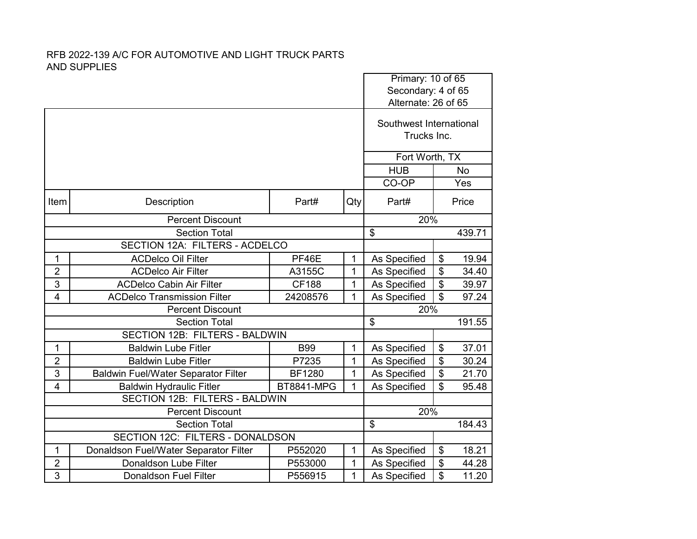|                                |                                            |                          |              | Primary: 10 of 65        |                            |           |
|--------------------------------|--------------------------------------------|--------------------------|--------------|--------------------------|----------------------------|-----------|
|                                |                                            |                          |              | Secondary: 4 of 65       |                            |           |
|                                |                                            |                          |              | Alternate: 26 of 65      |                            |           |
|                                |                                            |                          |              | Southwest International  |                            |           |
|                                |                                            |                          |              | Trucks Inc.              |                            |           |
|                                |                                            |                          |              |                          |                            |           |
|                                |                                            |                          |              | Fort Worth, TX           |                            |           |
|                                |                                            |                          |              | <b>HUB</b>               |                            | <b>No</b> |
|                                |                                            |                          |              | CO-OP                    |                            | Yes       |
| Item                           | Description                                | Part#                    | Qty          | Part#                    |                            | Price     |
|                                | <b>Percent Discount</b>                    |                          |              |                          | 20%                        |           |
|                                | <b>Section Total</b>                       | $\overline{\mathcal{S}}$ |              | 439.71                   |                            |           |
| SECTION 12A: FILTERS - ACDELCO |                                            |                          |              |                          |                            |           |
| $\mathbf{1}$                   | <b>ACDelco Oil Filter</b>                  | PF46E                    | $\mathbf{1}$ | As Specified             | \$                         | 19.94     |
| $\overline{2}$                 | <b>ACDelco Air Filter</b>                  | A3155C                   | 1            | As Specified             | $\overline{\mathcal{S}}$   | 34.40     |
| 3                              | <b>ACDelco Cabin Air Filter</b>            | <b>CF188</b>             | 1            | As Specified             | \$                         | 39.97     |
| $\overline{4}$                 | <b>ACDelco Transmission Filter</b>         | 24208576                 | $\mathbf{1}$ | As Specified             | $\overline{\mathcal{S}}$   | 97.24     |
|                                | <b>Percent Discount</b>                    |                          |              | 20%                      |                            |           |
|                                | <b>Section Total</b>                       |                          |              | \$                       |                            | 191.55    |
|                                | <b>SECTION 12B: FILTERS - BALDWIN</b>      |                          |              |                          |                            |           |
| 1                              | <b>Baldwin Lube Fitler</b>                 | <b>B99</b>               | $\mathbf 1$  | As Specified             | \$                         | 37.01     |
| $\overline{2}$                 | <b>Baldwin Lube Fitler</b>                 | P7235                    | 1            | As Specified             | \$                         | 30.24     |
| 3                              | <b>Baldwin Fuel/Water Separator Filter</b> | <b>BF1280</b>            | $\mathbf{1}$ | As Specified             | $\boldsymbol{\mathsf{\$}}$ | 21.70     |
| $\overline{4}$                 | <b>Baldwin Hydraulic Fitler</b>            | <b>BT8841-MPG</b>        | 1            | As Specified             | \$                         | 95.48     |
|                                | SECTION 12B: FILTERS - BALDWIN             |                          |              |                          |                            |           |
| <b>Percent Discount</b>        |                                            |                          |              | 20%                      |                            |           |
|                                | <b>Section Total</b>                       |                          |              | $\overline{\mathcal{S}}$ |                            | 184.43    |
|                                | SECTION 12C: FILTERS - DONALDSON           |                          |              |                          |                            |           |
| 1                              | Donaldson Fuel/Water Separator Filter      | P552020                  | 1            | As Specified             | $\boldsymbol{\mathsf{S}}$  | 18.21     |
| $\overline{2}$                 | Donaldson Lube Filter                      | P553000                  | 1            | As Specified             | $\frac{1}{2}$              | 44.28     |
| 3                              | <b>Donaldson Fuel Filter</b>               | P556915                  | 1            | As Specified             | \$                         | 11.20     |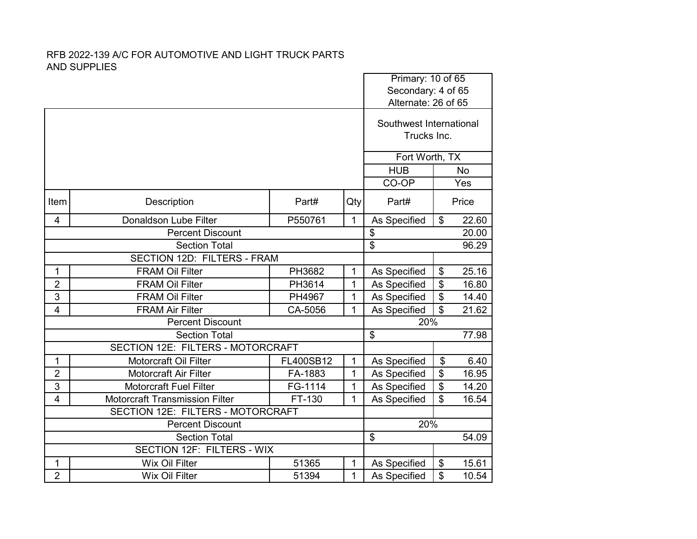|                         |                                          |                          |              |                                        | Primary: 10 of 65<br>Secondary: 4 of 65 |       |  |
|-------------------------|------------------------------------------|--------------------------|--------------|----------------------------------------|-----------------------------------------|-------|--|
|                         |                                          |                          |              | Alternate: 26 of 65                    |                                         |       |  |
|                         |                                          |                          |              | Southwest International<br>Trucks Inc. |                                         |       |  |
|                         |                                          |                          |              | Fort Worth, TX                         |                                         |       |  |
|                         | <b>HUB</b>                               |                          | <b>No</b>    |                                        |                                         |       |  |
|                         |                                          |                          |              | CO-OP                                  |                                         | Yes   |  |
| Item                    | Description                              | Part#                    | Qty          | Part#                                  |                                         | Price |  |
| $\overline{4}$          | <b>Donaldson Lube Filter</b>             | P550761                  | $\mathbf{1}$ | As Specified                           | $\boldsymbol{\mathsf{S}}$               | 22.60 |  |
|                         | <b>Percent Discount</b>                  | $\overline{\mathcal{S}}$ |              | 20.00                                  |                                         |       |  |
|                         | <b>Section Total</b>                     | $\overline{\mathbf{S}}$  |              | 96.29                                  |                                         |       |  |
|                         | SECTION 12D: FILTERS - FRAM              |                          |              |                                        |                                         |       |  |
| 1                       | <b>FRAM Oil Filter</b>                   | PH3682                   | $\mathbf{1}$ | As Specified                           | \$                                      | 25.16 |  |
| $\overline{2}$          | <b>FRAM Oil Filter</b>                   | PH3614                   | 1            | As Specified                           | \$                                      | 16.80 |  |
| 3                       | <b>FRAM Oil Filter</b>                   | PH4967                   | $\mathbf{1}$ | As Specified                           | \$                                      | 14.40 |  |
| $\overline{4}$          | <b>FRAM Air Filter</b>                   | CA-5056                  | 1            | As Specified                           | $\mathfrak{L}$                          | 21.62 |  |
|                         | <b>Percent Discount</b>                  |                          |              | 20%                                    |                                         |       |  |
|                         | <b>Section Total</b>                     |                          |              | \$                                     |                                         | 77.98 |  |
|                         | <b>SECTION 12E: FILTERS - MOTORCRAFT</b> |                          |              |                                        |                                         |       |  |
| 1                       | <b>Motorcraft Oil Filter</b>             | FL400SB12                | $\mathbf 1$  | As Specified                           | \$                                      | 6.40  |  |
| $\overline{2}$          | <b>Motorcraft Air Filter</b>             | FA-1883                  | $\mathbf{1}$ | As Specified                           | $\boldsymbol{\theta}$                   | 16.95 |  |
| 3                       | <b>Motorcraft Fuel Filter</b>            | FG-1114                  | 1            | As Specified                           | $\overline{\boldsymbol{\theta}}$        | 14.20 |  |
| $\overline{\mathbf{4}}$ | <b>Motorcraft Transmission Filter</b>    | FT-130                   | 1            | As Specified                           | \$                                      | 16.54 |  |
|                         | SECTION 12E: FILTERS - MOTORCRAFT        |                          |              |                                        |                                         |       |  |
|                         | <b>Percent Discount</b>                  |                          |              | 20%                                    |                                         |       |  |
|                         | <b>Section Total</b>                     |                          |              | \$                                     |                                         | 54.09 |  |
|                         | <b>SECTION 12F: FILTERS - WIX</b>        |                          |              |                                        |                                         |       |  |
| 1                       | Wix Oil Filter                           | 51365                    | 1            | As Specified                           | $\boldsymbol{\theta}$                   | 15.61 |  |
| $\overline{2}$          | <b>Wix Oil Filter</b>                    | 51394                    | 1            | As Specified                           | \$                                      | 10.54 |  |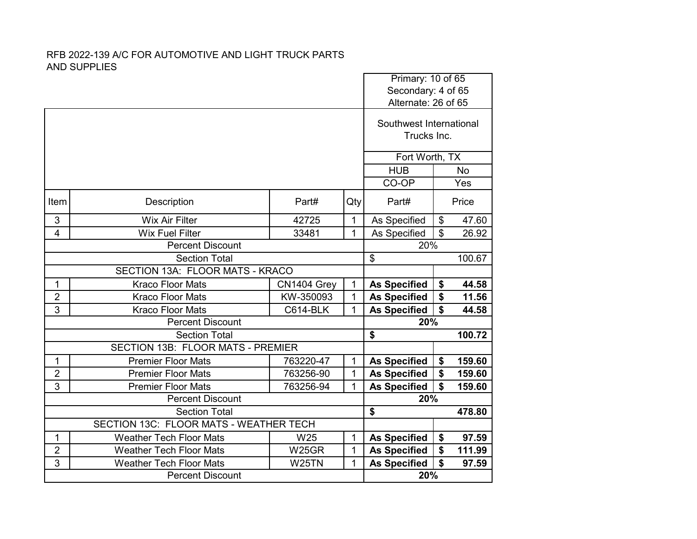|                                 |                                        |                    |                |                                        | Primary: 10 of 65<br>Secondary: 4 of 65 |        |  |
|---------------------------------|----------------------------------------|--------------------|----------------|----------------------------------------|-----------------------------------------|--------|--|
|                                 |                                        |                    |                | Alternate: 26 of 65                    |                                         |        |  |
|                                 |                                        |                    |                |                                        |                                         |        |  |
|                                 |                                        |                    |                | Southwest International<br>Trucks Inc. |                                         |        |  |
|                                 |                                        |                    |                |                                        |                                         |        |  |
|                                 |                                        |                    | Fort Worth, TX |                                        |                                         |        |  |
|                                 |                                        |                    | <b>HUB</b>     |                                        | <b>No</b>                               |        |  |
|                                 |                                        |                    |                | CO-OP                                  |                                         | Yes    |  |
| Item                            | Description                            | Part#              | Qty            | Part#                                  |                                         | Price  |  |
| 3                               | <b>Wix Air Filter</b>                  | 42725              | $\mathbf{1}$   | As Specified                           | $\boldsymbol{\mathsf{S}}$               | 47.60  |  |
| $\overline{4}$                  | <b>Wix Fuel Filter</b>                 | 33481              | 1              | As Specified                           | $\mathfrak{S}$                          | 26.92  |  |
| <b>Percent Discount</b>         |                                        |                    |                | 20%                                    |                                         |        |  |
| <b>Section Total</b>            |                                        |                    |                | \$                                     |                                         | 100.67 |  |
| SECTION 13A: FLOOR MATS - KRACO |                                        |                    |                |                                        |                                         |        |  |
| 1                               | <b>Kraco Floor Mats</b>                | CN1404 Grey        | $\mathbf{1}$   | <b>As Specified</b>                    | \$                                      | 44.58  |  |
| $\overline{2}$                  | <b>Kraco Floor Mats</b>                | KW-350093          | $\mathbf{1}$   | <b>As Specified</b>                    | \$                                      | 11.56  |  |
| 3                               | <b>Kraco Floor Mats</b>                | <b>C614-BLK</b>    | 1              | <b>As Specified</b>                    | $\boldsymbol{\mathsf{s}}$               | 44.58  |  |
|                                 | <b>Percent Discount</b>                |                    |                | 20%                                    |                                         |        |  |
|                                 | <b>Section Total</b>                   |                    |                | \$                                     |                                         | 100.72 |  |
|                                 | SECTION 13B: FLOOR MATS - PREMIER      |                    |                |                                        |                                         |        |  |
| 1                               | <b>Premier Floor Mats</b>              | 763220-47          | $\mathbf{1}$   | <b>As Specified</b>                    | \$                                      | 159.60 |  |
| $\overline{2}$                  | <b>Premier Floor Mats</b>              | 763256-90          | 1              | <b>As Specified</b>                    | \$                                      | 159.60 |  |
| 3                               | <b>Premier Floor Mats</b>              | 763256-94          | 1              | <b>As Specified</b>                    | $\boldsymbol{\mathsf{s}}$               | 159.60 |  |
|                                 | <b>Percent Discount</b>                |                    |                | 20%                                    |                                         |        |  |
|                                 | <b>Section Total</b>                   |                    |                | \$                                     |                                         | 478.80 |  |
|                                 | SECTION 13C: FLOOR MATS - WEATHER TECH |                    |                |                                        |                                         |        |  |
| 1                               | <b>Weather Tech Floor Mats</b>         | W25                | $\mathbf 1$    | <b>As Specified</b>                    | \$                                      | 97.59  |  |
| $\overline{2}$                  | <b>Weather Tech Floor Mats</b>         | <b>W25GR</b>       | $\mathbf{1}$   | <b>As Specified</b>                    | \$                                      | 111.99 |  |
| 3                               | <b>Weather Tech Floor Mats</b>         | W <sub>25</sub> TN | $\mathbf 1$    | <b>As Specified</b>                    | $\mathbf S$                             | 97.59  |  |
|                                 | <b>Percent Discount</b>                |                    |                |                                        | 20%                                     |        |  |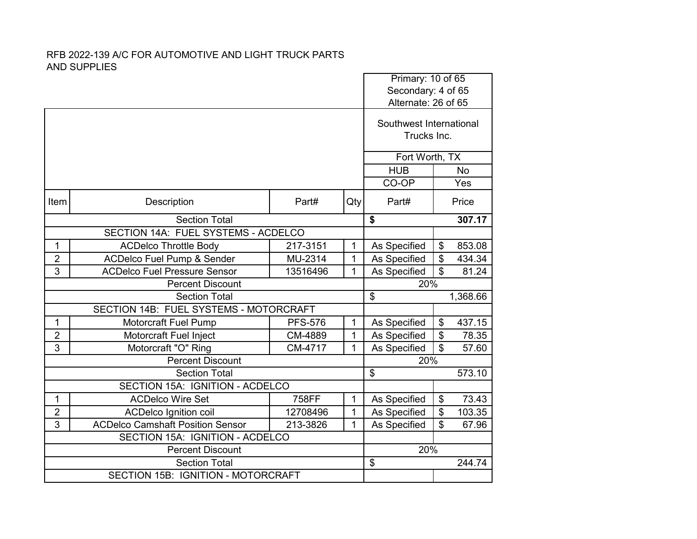|                         |                                                            |                |              |                                        | Primary: 10 of 65<br>Secondary: 4 of 65 |  |  |
|-------------------------|------------------------------------------------------------|----------------|--------------|----------------------------------------|-----------------------------------------|--|--|
|                         |                                                            |                |              | Alternate: 26 of 65                    |                                         |  |  |
|                         |                                                            |                |              | Southwest International<br>Trucks Inc. |                                         |  |  |
|                         |                                                            |                |              |                                        | Fort Worth, TX                          |  |  |
|                         |                                                            |                |              | <b>HUB</b>                             | <b>No</b>                               |  |  |
|                         |                                                            |                |              | CO-OP                                  | Yes                                     |  |  |
| Item                    | Description                                                | Part#          | Qty          | Part#                                  | Price                                   |  |  |
| <b>Section Total</b>    |                                                            |                |              | \$                                     | 307.17                                  |  |  |
|                         | SECTION 14A: FUEL SYSTEMS - ACDELCO                        |                |              |                                        |                                         |  |  |
| 1                       | <b>ACDelco Throttle Body</b>                               | 217-3151       | 1            | As Specified                           | \$<br>853.08                            |  |  |
| $\overline{2}$          | <b>ACDelco Fuel Pump &amp; Sender</b>                      | MU-2314        | $\mathbf{1}$ | As Specified                           | $\overline{\mathcal{S}}$<br>434.34      |  |  |
| 3                       | <b>ACDelco Fuel Pressure Sensor</b>                        | 13516496       | 1            | As Specified                           | $\overline{\$}$<br>81.24                |  |  |
| <b>Percent Discount</b> |                                                            |                | 20%          |                                        |                                         |  |  |
|                         | <b>Section Total</b>                                       |                |              | \$                                     | 1,368.66                                |  |  |
|                         | SECTION 14B: FUEL SYSTEMS - MOTORCRAFT                     |                |              |                                        |                                         |  |  |
| 1                       | <b>Motorcraft Fuel Pump</b>                                | <b>PFS-576</b> | 1            | As Specified                           | \$<br>437.15                            |  |  |
|                         |                                                            |                |              |                                        |                                         |  |  |
| $\overline{2}$          | Motorcraft Fuel Inject                                     | CM-4889        | $\mathbf{1}$ | As Specified                           | \$<br>78.35                             |  |  |
| 3                       | Motorcraft "O" Ring                                        | CM-4717        | 1            | As Specified                           | $\overline{\mathbf{s}}$<br>57.60        |  |  |
|                         | <b>Percent Discount</b>                                    |                |              | 20%                                    |                                         |  |  |
|                         | <b>Section Total</b>                                       |                |              | $\mathfrak{L}$                         | 573.10                                  |  |  |
|                         | SECTION 15A: IGNITION - ACDELCO                            |                |              |                                        |                                         |  |  |
| 1                       | <b>ACDelco Wire Set</b>                                    | 758FF          | 1            | As Specified                           | \$<br>73.43                             |  |  |
| $\overline{2}$          | <b>ACDelco Ignition coil</b>                               | 12708496       | $\mathbf{1}$ | As Specified                           | \$<br>103.35                            |  |  |
| 3                       | <b>ACDelco Camshaft Position Sensor</b>                    | 213-3826       | 1            | As Specified                           | $\overline{\mathcal{S}}$<br>67.96       |  |  |
|                         | SECTION 15A: IGNITION - ACDELCO                            |                |              |                                        |                                         |  |  |
|                         | <b>Percent Discount</b>                                    |                |              | 20%                                    |                                         |  |  |
|                         | <b>Section Total</b><br>SECTION 15B: IGNITION - MOTORCRAFT |                |              | \$                                     | 244.74                                  |  |  |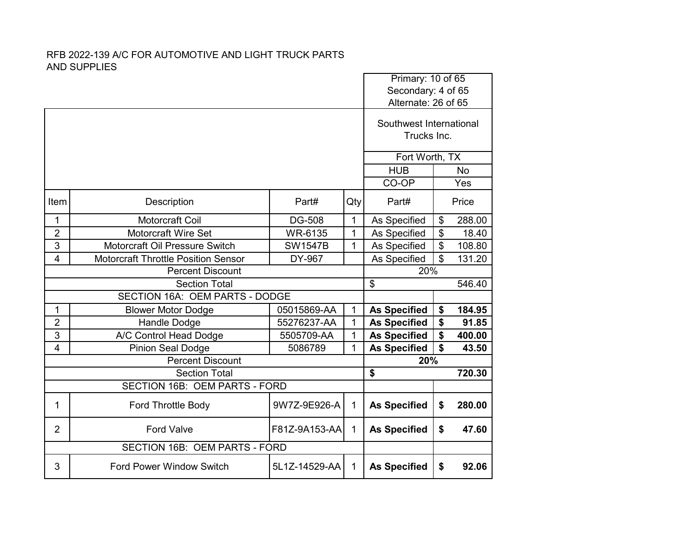|                         |                                            |                |              |                                        | Primary: 10 of 65<br>Secondary: 4 of 65 |           |  |
|-------------------------|--------------------------------------------|----------------|--------------|----------------------------------------|-----------------------------------------|-----------|--|
|                         |                                            |                |              | Alternate: 26 of 65                    |                                         |           |  |
|                         |                                            |                |              | Southwest International<br>Trucks Inc. |                                         |           |  |
|                         |                                            |                |              | Fort Worth, TX                         |                                         |           |  |
|                         |                                            |                |              | <b>HUB</b>                             |                                         | <b>No</b> |  |
|                         |                                            |                |              | CO-OP                                  |                                         | Yes       |  |
| Item                    | Description                                | Part#          | Qty          | Part#                                  |                                         | Price     |  |
| 1                       | Motorcraft Coil                            | DG-508         | $\mathbf{1}$ | As Specified                           | \$                                      | 288.00    |  |
| $\overline{2}$          | <b>Motorcraft Wire Set</b>                 | WR-6135        | 1            | As Specified                           | \$                                      | 18.40     |  |
| 3                       | Motorcraft Oil Pressure Switch             | <b>SW1547B</b> | $\mathbf{1}$ | As Specified                           | \$                                      | 108.80    |  |
| 4                       | <b>Motorcraft Throttle Position Sensor</b> | DY-967         |              | As Specified                           | \$                                      | 131.20    |  |
| <b>Percent Discount</b> |                                            |                |              | 20%                                    |                                         |           |  |
| <b>Section Total</b>    |                                            |                |              | \$                                     |                                         | 546.40    |  |
|                         | SECTION 16A: OEM PARTS - DODGE             |                |              |                                        |                                         |           |  |
| 1                       | <b>Blower Motor Dodge</b>                  | 05015869-AA    | 1            | <b>As Specified</b>                    | \$                                      | 184.95    |  |
| $\overline{2}$          | <b>Handle Dodge</b>                        | 55276237-AA    | $\mathbf 1$  | <b>As Specified</b>                    | \$                                      | 91.85     |  |
| 3                       | A/C Control Head Dodge                     | 5505709-AA     | 1            | <b>As Specified</b>                    | \$                                      | 400.00    |  |
| $\overline{4}$          | <b>Pinion Seal Dodge</b>                   | 5086789        | 1            | <b>As Specified</b>                    | \$                                      | 43.50     |  |
|                         | <b>Percent Discount</b>                    |                |              | 20%                                    |                                         |           |  |
|                         | <b>Section Total</b>                       |                |              | \$                                     |                                         | 720.30    |  |
|                         | SECTION 16B: OEM PARTS - FORD              |                |              |                                        |                                         |           |  |
| 1                       | Ford Throttle Body                         | 9W7Z-9E926-A   | $\mathbf 1$  | <b>As Specified</b>                    | \$                                      | 280.00    |  |
| $\overline{2}$          | <b>Ford Valve</b>                          | F81Z-9A153-AA  | $\mathbf{1}$ | <b>As Specified</b>                    | \$                                      | 47.60     |  |
|                         | SECTION 16B: OEM PARTS - FORD              |                |              |                                        |                                         |           |  |
| 3                       | <b>Ford Power Window Switch</b>            | 5L1Z-14529-AA  | $\mathbf{1}$ | <b>As Specified</b>                    | \$                                      | 92.06     |  |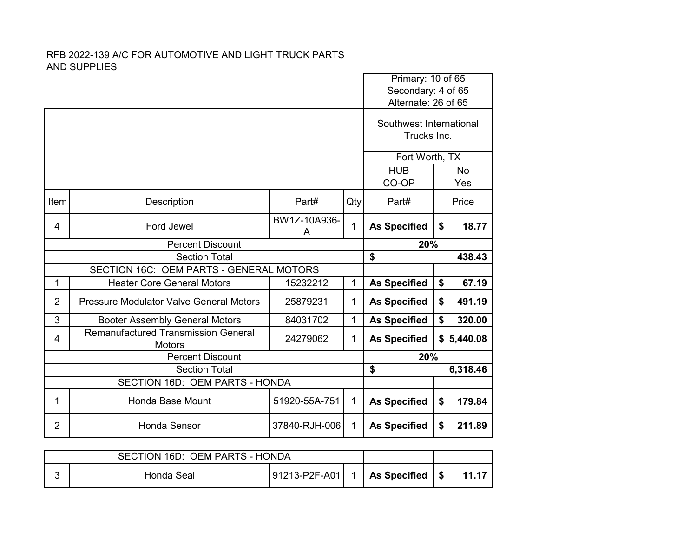|                         |                                                             |                   |              | Primary: 10 of 65<br>Secondary: 4 of 65<br>Alternate: 26 of 65 |    |            |  |
|-------------------------|-------------------------------------------------------------|-------------------|--------------|----------------------------------------------------------------|----|------------|--|
|                         |                                                             |                   |              | Southwest International<br>Trucks Inc.                         |    |            |  |
|                         |                                                             |                   |              | Fort Worth, TX                                                 |    |            |  |
|                         |                                                             |                   |              | <b>HUB</b>                                                     |    | <b>No</b>  |  |
|                         |                                                             |                   |              | CO-OP                                                          |    | Yes        |  |
| Item                    | Description                                                 | Part#             | Qty          | Part#                                                          |    | Price      |  |
| 4                       | Ford Jewel                                                  | BW1Z-10A936-<br>A | 1            | <b>As Specified</b>                                            | \$ | 18.77      |  |
| <b>Percent Discount</b> |                                                             |                   |              | 20%                                                            |    |            |  |
| <b>Section Total</b>    |                                                             |                   |              | \$                                                             |    | 438.43     |  |
|                         | SECTION 16C: OEM PARTS - GENERAL MOTORS                     |                   |              |                                                                |    |            |  |
| 1                       | <b>Heater Core General Motors</b>                           | 15232212          | 1            | <b>As Specified</b>                                            | \$ | 67.19      |  |
| $\overline{2}$          | <b>Pressure Modulator Valve General Motors</b>              | 25879231          | 1            | <b>As Specified</b>                                            | \$ | 491.19     |  |
| 3                       | <b>Booter Assembly General Motors</b>                       | 84031702          | 1            | <b>As Specified</b>                                            | \$ | 320.00     |  |
| 4                       | <b>Remanufactured Transmission General</b><br><b>Motors</b> | 24279062          | 1            | <b>As Specified</b>                                            |    | \$5,440.08 |  |
| <b>Percent Discount</b> |                                                             |                   |              | 20%                                                            |    |            |  |
| <b>Section Total</b>    |                                                             |                   |              | \$                                                             |    | 6,318.46   |  |
|                         | SECTION 16D: OEM PARTS - HONDA                              |                   |              |                                                                |    |            |  |
| 1                       | Honda Base Mount                                            | 51920-55A-751     | 1            | <b>As Specified</b>                                            | \$ | 179.84     |  |
| 2                       | <b>Honda Sensor</b>                                         | 37840-RJH-006     | $\mathbf{1}$ | <b>As Specified</b>                                            | \$ | 211.89     |  |

| SECTION 16D: OEM PARTS - HONDA |            |                                        |  |  |       |
|--------------------------------|------------|----------------------------------------|--|--|-------|
|                                | Honda Seal | $ 91213-P2F-A01  1   As Specified   $$ |  |  | 11.17 |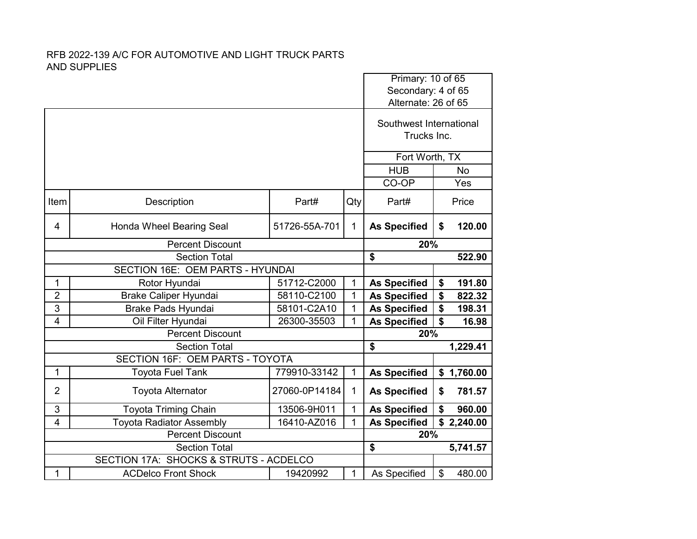|                                        |                                  |               | Primary: 10 of 65                      |                                           |                                    |  |  |
|----------------------------------------|----------------------------------|---------------|----------------------------------------|-------------------------------------------|------------------------------------|--|--|
|                                        |                                  |               |                                        | Secondary: 4 of 65<br>Alternate: 26 of 65 |                                    |  |  |
|                                        |                                  |               | Southwest International<br>Trucks Inc. |                                           |                                    |  |  |
|                                        |                                  |               |                                        | Fort Worth, TX                            |                                    |  |  |
|                                        |                                  |               |                                        | <b>HUB</b>                                | <b>No</b>                          |  |  |
|                                        |                                  |               |                                        | CO-OP                                     | Yes                                |  |  |
| Item                                   | Description                      | Part#         | Qty                                    | Part#                                     | Price                              |  |  |
| 4                                      | Honda Wheel Bearing Seal         | 51726-55A-701 | 1                                      | <b>As Specified</b>                       | 120.00<br>\$                       |  |  |
|                                        | <b>Percent Discount</b>          |               |                                        | 20%                                       |                                    |  |  |
|                                        | <b>Section Total</b>             | \$            | 522.90                                 |                                           |                                    |  |  |
|                                        | SECTION 16E: OEM PARTS - HYUNDAI |               |                                        |                                           |                                    |  |  |
| 1                                      | Rotor Hyundai                    | 51712-C2000   | 1                                      | <b>As Specified</b>                       | \$<br>191.80                       |  |  |
| $\overline{2}$                         | <b>Brake Caliper Hyundai</b>     | 58110-C2100   | 1                                      | <b>As Specified</b>                       | \$<br>822.32                       |  |  |
| 3                                      | <b>Brake Pads Hyundai</b>        | 58101-C2A10   | $\mathbf{1}$                           | <b>As Specified</b>                       | \$<br>198.31                       |  |  |
| $\overline{\mathbf{4}}$                | Oil Filter Hyundai               | 26300-35503   | 1                                      | <b>As Specified</b>                       | $\boldsymbol{\mathsf{s}}$<br>16.98 |  |  |
|                                        | <b>Percent Discount</b>          |               |                                        | 20%                                       |                                    |  |  |
|                                        | <b>Section Total</b>             |               |                                        | \$                                        | 1,229.41                           |  |  |
|                                        | SECTION 16F: OEM PARTS - TOYOTA  |               |                                        |                                           |                                    |  |  |
| 1                                      | <b>Toyota Fuel Tank</b>          | 779910-33142  | $\mathbf 1$                            | <b>As Specified</b>                       | \$1,760.00                         |  |  |
| $\overline{2}$                         | <b>Toyota Alternator</b>         | 27060-0P14184 | $\mathbf{1}$                           | <b>As Specified</b>                       | 781.57<br>\$                       |  |  |
| 3                                      | <b>Toyota Triming Chain</b>      | 13506-9H011   | 1                                      | <b>As Specified</b>                       | \$<br>960.00                       |  |  |
| $\overline{4}$                         | <b>Toyota Radiator Assembly</b>  | 16410-AZ016   | 1                                      | <b>As Specified</b>                       | \$2,240.00                         |  |  |
| <b>Percent Discount</b>                |                                  |               | 20%                                    |                                           |                                    |  |  |
| <b>Section Total</b>                   |                                  |               |                                        | \$                                        | 5,741.57                           |  |  |
| SECTION 17A: SHOCKS & STRUTS - ACDELCO |                                  |               |                                        |                                           |                                    |  |  |
| 1                                      | <b>ACDelco Front Shock</b>       | 19420992      | 1                                      | As Specified                              | \$<br>480.00                       |  |  |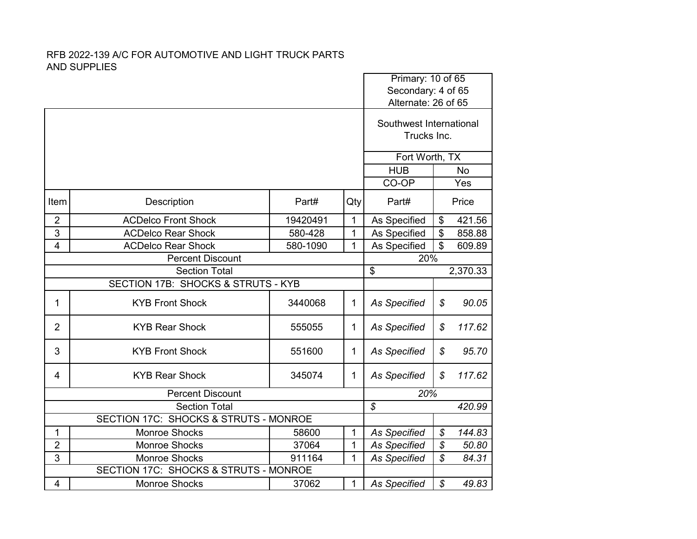|                                                  |                            |          |                | Primary: 10 of 65<br>Secondary: 4 of 65                       |                          |        |  |
|--------------------------------------------------|----------------------------|----------|----------------|---------------------------------------------------------------|--------------------------|--------|--|
|                                                  |                            |          |                |                                                               |                          |        |  |
|                                                  |                            |          |                | Alternate: 26 of 65<br>Southwest International<br>Trucks Inc. |                          |        |  |
|                                                  |                            |          |                | Fort Worth, TX                                                |                          |        |  |
|                                                  |                            |          |                | <b>HUB</b><br><b>No</b>                                       |                          |        |  |
|                                                  |                            |          |                | CO-OP                                                         |                          | Yes    |  |
| Item                                             | Description                | Part#    | Qty            | Part#                                                         | Price                    |        |  |
| $\overline{2}$                                   | <b>ACDelco Front Shock</b> | 19420491 | 1              | As Specified                                                  | $\frac{1}{2}$            | 421.56 |  |
| 3                                                | <b>ACDelco Rear Shock</b>  | 580-428  | 1              | As Specified                                                  | \$                       | 858.88 |  |
| $\overline{4}$                                   | <b>ACDelco Rear Shock</b>  | 580-1090 | $\mathbf{1}$   | As Specified                                                  | \$                       | 609.89 |  |
| <b>Percent Discount</b>                          |                            |          |                | 20%                                                           |                          |        |  |
| <b>Section Total</b>                             |                            |          | \$             | 2,370.33                                                      |                          |        |  |
| SECTION 17B: SHOCKS & STRUTS - KYB               |                            |          |                |                                                               |                          |        |  |
| 1                                                | <b>KYB Front Shock</b>     | 3440068  | 1              | <b>As Specified</b>                                           | \$                       | 90.05  |  |
| $\overline{2}$                                   | <b>KYB Rear Shock</b>      | 555055   | 1              | <b>As Specified</b>                                           | \$                       | 117.62 |  |
| 3                                                | <b>KYB Front Shock</b>     | 551600   | 1              | As Specified                                                  | $\mathcal{L}$            | 95.70  |  |
| 4                                                | <b>KYB Rear Shock</b>      | 345074   | 1              | <b>As Specified</b>                                           | \$                       | 117.62 |  |
|                                                  | <b>Percent Discount</b>    |          |                | 20%                                                           |                          |        |  |
| <b>Section Total</b>                             |                            |          |                | $\mathcal{S}$                                                 |                          | 420.99 |  |
| <b>SECTION 17C: SHOCKS &amp; STRUTS - MONROE</b> |                            |          |                |                                                               |                          |        |  |
| 1                                                | Monroe Shocks              | 58600    | $\mathbf{1}$   | <b>As Specified</b>                                           | \$                       | 144.83 |  |
| $\overline{2}$                                   | <b>Monroe Shocks</b>       | 37064    | 1              | <b>As Specified</b>                                           | \$                       | 50.80  |  |
| 3                                                | Monroe Shocks              | 911164   | $\overline{1}$ | <b>As Specified</b>                                           | $\overline{\mathcal{S}}$ | 84.31  |  |
| SECTION 17C: SHOCKS & STRUTS - MONROE            |                            |          |                |                                                               |                          |        |  |
| 4                                                | <b>Monroe Shocks</b>       | 37062    | 1              | <b>As Specified</b>                                           | \$                       | 49.83  |  |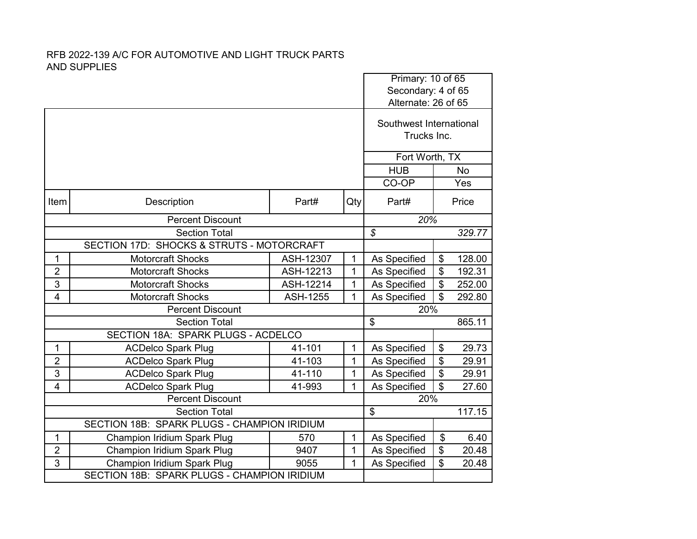|                                             |                                             |                 | Primary: 10 of 65 |                                           |                         |        |  |
|---------------------------------------------|---------------------------------------------|-----------------|-------------------|-------------------------------------------|-------------------------|--------|--|
|                                             |                                             |                 |                   | Secondary: 4 of 65<br>Alternate: 26 of 65 |                         |        |  |
|                                             |                                             |                 |                   |                                           |                         |        |  |
|                                             |                                             |                 |                   | Southwest International                   |                         |        |  |
|                                             |                                             |                 |                   | Trucks Inc.                               |                         |        |  |
|                                             |                                             |                 |                   |                                           |                         |        |  |
|                                             |                                             |                 |                   | Fort Worth, TX                            |                         |        |  |
|                                             |                                             |                 |                   | <b>HUB</b>                                | <b>No</b>               |        |  |
|                                             |                                             |                 |                   | CO-OP                                     |                         | Yes    |  |
| Item                                        | Description                                 | Part#           | Qty               | Part#                                     |                         | Price  |  |
|                                             | <b>Percent Discount</b>                     |                 |                   | 20%                                       |                         |        |  |
|                                             | <b>Section Total</b>                        |                 |                   | $\overline{s}$                            |                         | 329.77 |  |
|                                             | SECTION 17D: SHOCKS & STRUTS - MOTORCRAFT   |                 |                   |                                           |                         |        |  |
| 1                                           | <b>Motorcraft Shocks</b>                    | ASH-12307       | $\mathbf{1}$      | As Specified                              | \$                      | 128.00 |  |
| $\overline{2}$                              | <b>Motorcraft Shocks</b>                    | ASH-12213       | 1                 | As Specified                              | \$                      | 192.31 |  |
| 3                                           | <b>Motorcraft Shocks</b>                    | ASH-12214       | 1                 | As Specified                              | \$                      | 252.00 |  |
| $\overline{4}$                              | Motorcraft Shocks                           | <b>ASH-1255</b> | 1                 | As Specified                              | \$                      | 292.80 |  |
| <b>Percent Discount</b>                     |                                             |                 | 20%               |                                           |                         |        |  |
| <b>Section Total</b>                        |                                             |                 |                   | $\overline{\mathcal{E}}$                  |                         | 865.11 |  |
|                                             | SECTION 18A: SPARK PLUGS - ACDELCO          |                 |                   |                                           |                         |        |  |
| $\mathbf{1}$                                | <b>ACDelco Spark Plug</b>                   | 41-101          | $\mathbf{1}$      | As Specified                              | \$                      | 29.73  |  |
| $\overline{2}$                              | <b>ACDelco Spark Plug</b>                   | 41-103          | 1                 | As Specified                              | \$                      | 29.91  |  |
| 3                                           | <b>ACDelco Spark Plug</b>                   | 41-110          | 1                 | As Specified                              | \$                      | 29.91  |  |
| $\overline{4}$                              | <b>ACDelco Spark Plug</b>                   | 41-993          | 1                 | As Specified                              | $\overline{\mathbf{s}}$ | 27.60  |  |
| <b>Percent Discount</b>                     |                                             |                 |                   | 20%                                       |                         |        |  |
| <b>Section Total</b>                        |                                             |                 |                   | $\overline{\mathcal{S}}$                  |                         | 117.15 |  |
| SECTION 18B: SPARK PLUGS - CHAMPION IRIDIUM |                                             |                 |                   |                                           |                         |        |  |
| $\mathbf{1}$                                | Champion Iridium Spark Plug                 | 570             | $\mathbf{1}$      | As Specified                              | \$                      | 6.40   |  |
| $\overline{2}$                              | Champion Iridium Spark Plug                 | 9407            | 1                 | As Specified                              | \$                      | 20.48  |  |
| 3                                           | <b>Champion Iridium Spark Plug</b>          | 9055            | 1                 | As Specified                              | \$                      | 20.48  |  |
|                                             | SECTION 18B: SPARK PLUGS - CHAMPION IRIDIUM |                 |                   |                                           |                         |        |  |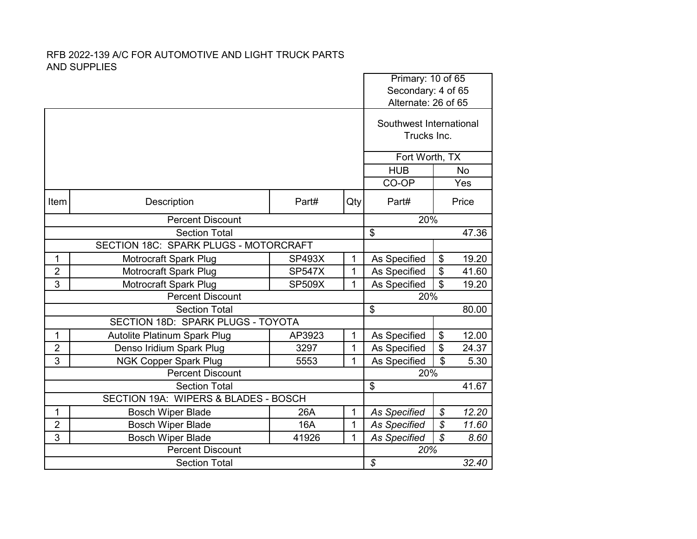## RFB 2022-139 A/C FOR AUTOMOTIVE AND LIGHT TRUCK PARTS AND SUPPLIES

|                                      |                                       |               |              | Primary: 10 of 65                      |                                           |       |  |
|--------------------------------------|---------------------------------------|---------------|--------------|----------------------------------------|-------------------------------------------|-------|--|
|                                      |                                       |               |              |                                        | Secondary: 4 of 65<br>Alternate: 26 of 65 |       |  |
|                                      |                                       |               |              | Southwest International<br>Trucks Inc. |                                           |       |  |
|                                      |                                       |               |              |                                        | Fort Worth, TX                            |       |  |
|                                      |                                       | <b>HUB</b>    |              | <b>No</b>                              |                                           |       |  |
|                                      |                                       |               |              | CO-OP                                  |                                           | Yes   |  |
| Item                                 | Description                           | Part#         | Qty          | Part#                                  |                                           | Price |  |
|                                      | <b>Percent Discount</b>               |               | 20%          |                                        |                                           |       |  |
|                                      | <b>Section Total</b>                  |               |              | \$                                     |                                           | 47.36 |  |
|                                      | SECTION 18C: SPARK PLUGS - MOTORCRAFT |               |              |                                        |                                           |       |  |
| 1                                    | Motrocraft Spark Plug                 | <b>SP493X</b> | $\mathbf{1}$ | As Specified                           | $\boldsymbol{\theta}$                     | 19.20 |  |
| $\overline{2}$                       | Motrocraft Spark Plug                 | <b>SP547X</b> | 1            | As Specified                           | \$                                        | 41.60 |  |
| 3                                    | Motrocraft Spark Plug                 | <b>SP509X</b> | $\mathbf{1}$ | As Specified                           | $\mathfrak{S}$                            | 19.20 |  |
|                                      | <b>Percent Discount</b>               | 20%           |              |                                        |                                           |       |  |
|                                      | <b>Section Total</b>                  | \$            |              | 80.00                                  |                                           |       |  |
| SECTION 18D: SPARK PLUGS - TOYOTA    |                                       |               |              |                                        |                                           |       |  |
| 1                                    | <b>Autolite Platinum Spark Plug</b>   | AP3923        | 1            | As Specified                           | \$                                        | 12.00 |  |
| $\overline{2}$                       | Denso Iridium Spark Plug              | 3297          | 1            | As Specified                           | \$                                        | 24.37 |  |
| 3                                    | <b>NGK Copper Spark Plug</b>          | 5553          | 1            | As Specified                           | \$                                        | 5.30  |  |
|                                      | <b>Percent Discount</b>               |               | 20%          |                                        |                                           |       |  |
| <b>Section Total</b>                 |                                       |               |              | $\overline{\boldsymbol{\mathsf{S}}}$   |                                           | 41.67 |  |
| SECTION 19A: WIPERS & BLADES - BOSCH |                                       |               |              |                                        |                                           |       |  |
| 1                                    | <b>Bosch Wiper Blade</b>              | 26A           | 1            | <b>As Specified</b>                    | $\boldsymbol{\mathcal{S}}$                | 12.20 |  |
| $\overline{2}$                       | <b>Bosch Wiper Blade</b>              | 16A           | 1            | <b>As Specified</b>                    | \$                                        | 11.60 |  |
| 3                                    | <b>Bosch Wiper Blade</b>              | 41926         | 1            | <b>As Specified</b>                    | $\mathcal{S}$                             | 8.60  |  |
| <b>Percent Discount</b>              |                                       |               |              | 20%                                    |                                           |       |  |
| <b>Section Total</b>                 |                                       |               |              | \$                                     |                                           | 32.40 |  |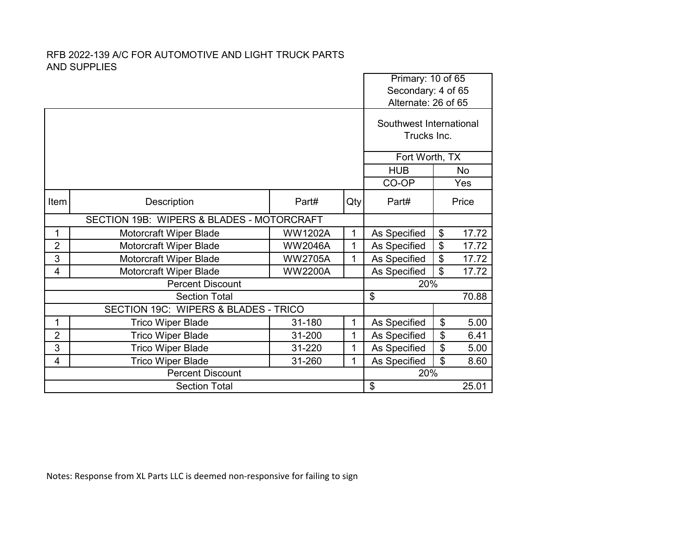## RFB 2022-139 A/C FOR AUTOMOTIVE AND LIGHT TRUCK PARTS AND SUPPLIES

|                         |                                           |                |            | Primary: 10 of 65<br>Secondary: 4 of 65<br>Alternate: 26 of 65 |    |       |
|-------------------------|-------------------------------------------|----------------|------------|----------------------------------------------------------------|----|-------|
|                         |                                           |                |            | Southwest International<br>Trucks Inc.                         |    |       |
|                         |                                           |                |            | Fort Worth, TX                                                 |    |       |
|                         |                                           |                | <b>HUB</b> | No                                                             |    |       |
|                         |                                           |                |            | CO-OP                                                          |    | Yes   |
| Item                    | Description                               | Part#          | Qty        | Part#                                                          |    | Price |
|                         | SECTION 19B: WIPERS & BLADES - MOTORCRAFT |                |            |                                                                |    |       |
| 1                       | Motorcraft Wiper Blade                    | <b>WW1202A</b> | 1          | As Specified                                                   | \$ | 17.72 |
| $\overline{2}$          | Motorcraft Wiper Blade                    | <b>WW2046A</b> | 1          | As Specified                                                   | \$ | 17.72 |
| 3                       | Motorcraft Wiper Blade                    | <b>WW2705A</b> | 1          | As Specified                                                   | \$ | 17.72 |
| 4                       | Motorcraft Wiper Blade                    | <b>WW2200A</b> |            | As Specified                                                   | \$ | 17.72 |
|                         | <b>Percent Discount</b>                   |                | 20%        |                                                                |    |       |
| <b>Section Total</b>    |                                           |                |            | \$                                                             |    | 70.88 |
|                         | SECTION 19C: WIPERS & BLADES - TRICO      |                |            |                                                                |    |       |
| 1                       | <b>Trico Wiper Blade</b>                  | 31-180         | 1          | As Specified                                                   | \$ | 5.00  |
| $\overline{2}$          | <b>Trico Wiper Blade</b>                  | 31-200         | 1          | As Specified                                                   | \$ | 6.41  |
| 3                       | <b>Trico Wiper Blade</b>                  | 31-220         | 1          | As Specified                                                   | \$ | 5.00  |
| 4                       | <b>Trico Wiper Blade</b>                  | 31-260         | 1          | As Specified                                                   | \$ | 8.60  |
| <b>Percent Discount</b> |                                           |                |            | 20%                                                            |    |       |
| <b>Section Total</b>    |                                           |                |            | \$                                                             |    | 25.01 |

Notes: Response from XL Parts LLC is deemed non-responsive for failing to sign